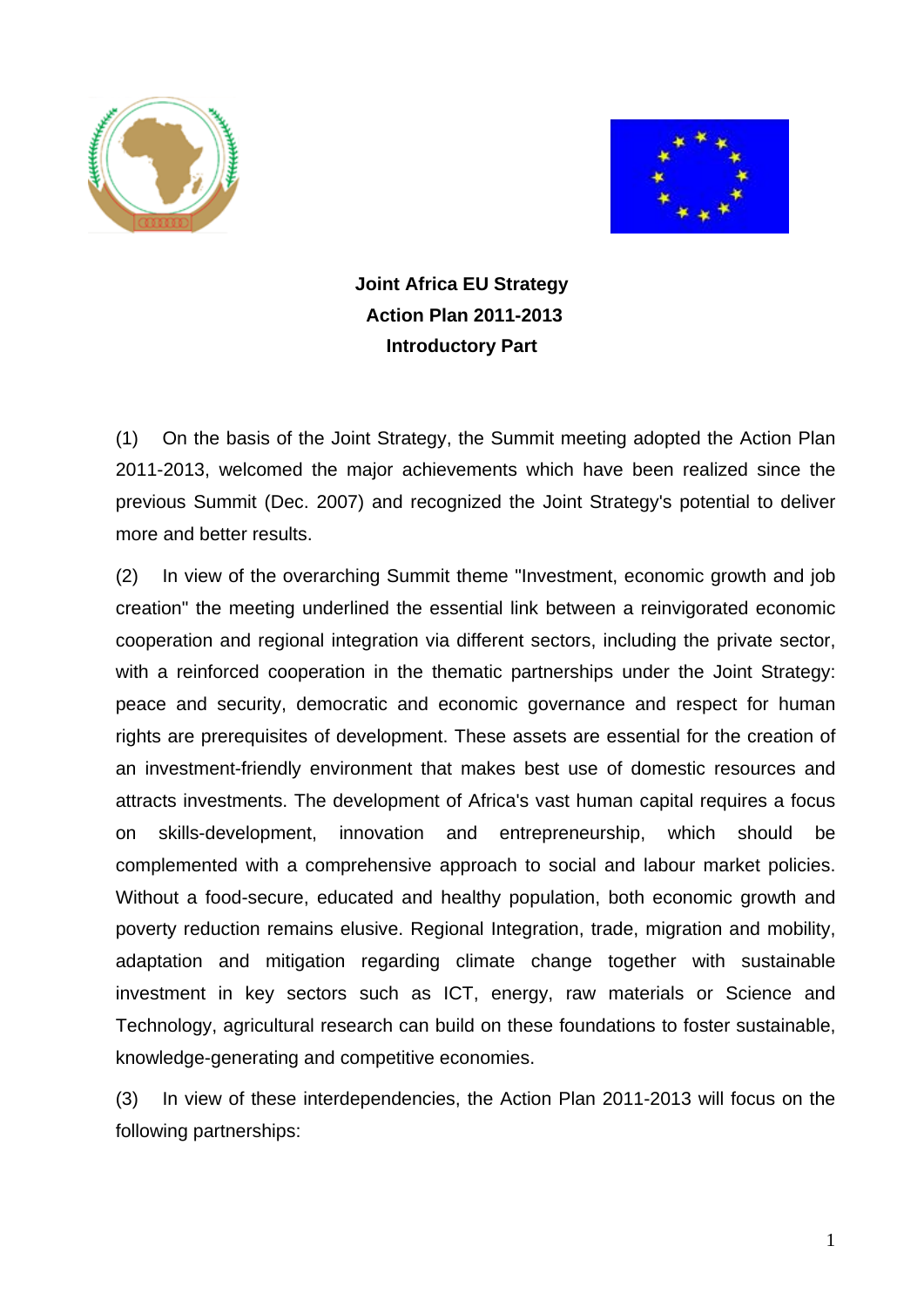



**Joint Africa EU Strategy Action Plan 2011-2013 Introductory Part** 

(1) On the basis of the Joint Strategy, the Summit meeting adopted the Action Plan 2011-2013, welcomed the major achievements which have been realized since the previous Summit (Dec. 2007) and recognized the Joint Strategy's potential to deliver more and better results.

(2) In view of the overarching Summit theme "Investment, economic growth and job creation" the meeting underlined the essential link between a reinvigorated economic cooperation and regional integration via different sectors, including the private sector, with a reinforced cooperation in the thematic partnerships under the Joint Strategy: peace and security, democratic and economic governance and respect for human rights are prerequisites of development. These assets are essential for the creation of an investment-friendly environment that makes best use of domestic resources and attracts investments. The development of Africa's vast human capital requires a focus on skills-development, innovation and entrepreneurship, which should be complemented with a comprehensive approach to social and labour market policies. Without a food-secure, educated and healthy population, both economic growth and poverty reduction remains elusive. Regional Integration, trade, migration and mobility, adaptation and mitigation regarding climate change together with sustainable investment in key sectors such as ICT, energy, raw materials or Science and Technology, agricultural research can build on these foundations to foster sustainable, knowledge-generating and competitive economies.

(3) In view of these interdependencies, the Action Plan 2011-2013 will focus on the following partnerships: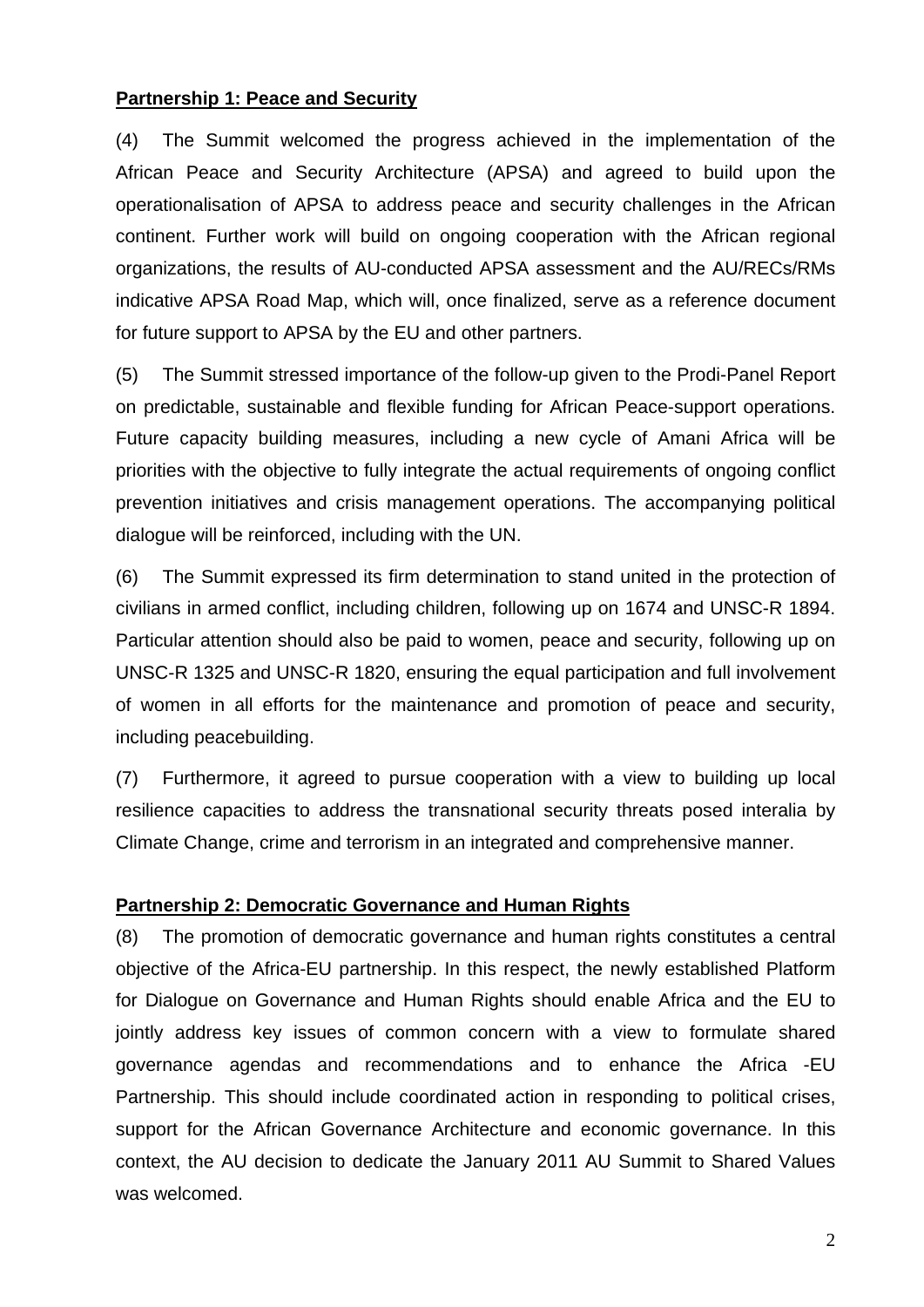## **Partnership 1: Peace and Security**

(4) The Summit welcomed the progress achieved in the implementation of the African Peace and Security Architecture (APSA) and agreed to build upon the operationalisation of APSA to address peace and security challenges in the African continent. Further work will build on ongoing cooperation with the African regional organizations, the results of AU-conducted APSA assessment and the AU/RECs/RMs indicative APSA Road Map, which will, once finalized, serve as a reference document for future support to APSA by the EU and other partners.

(5) The Summit stressed importance of the follow-up given to the Prodi-Panel Report on predictable, sustainable and flexible funding for African Peace-support operations. Future capacity building measures, including a new cycle of Amani Africa will be priorities with the objective to fully integrate the actual requirements of ongoing conflict prevention initiatives and crisis management operations. The accompanying political dialogue will be reinforced, including with the UN.

(6) The Summit expressed its firm determination to stand united in the protection of civilians in armed conflict, including children, following up on 1674 and UNSC-R 1894. Particular attention should also be paid to women, peace and security, following up on UNSC-R 1325 and UNSC-R 1820, ensuring the equal participation and full involvement of women in all efforts for the maintenance and promotion of peace and security, including peacebuilding.

(7) Furthermore, it agreed to pursue cooperation with a view to building up local resilience capacities to address the transnational security threats posed interalia by Climate Change, crime and terrorism in an integrated and comprehensive manner.

# **Partnership 2: Democratic Governance and Human Rights**

(8) The promotion of democratic governance and human rights constitutes a central objective of the Africa-EU partnership. In this respect, the newly established Platform for Dialogue on Governance and Human Rights should enable Africa and the EU to jointly address key issues of common concern with a view to formulate shared governance agendas and recommendations and to enhance the Africa -EU Partnership. This should include coordinated action in responding to political crises, support for the African Governance Architecture and economic governance. In this context, the AU decision to dedicate the January 2011 AU Summit to Shared Values was welcomed.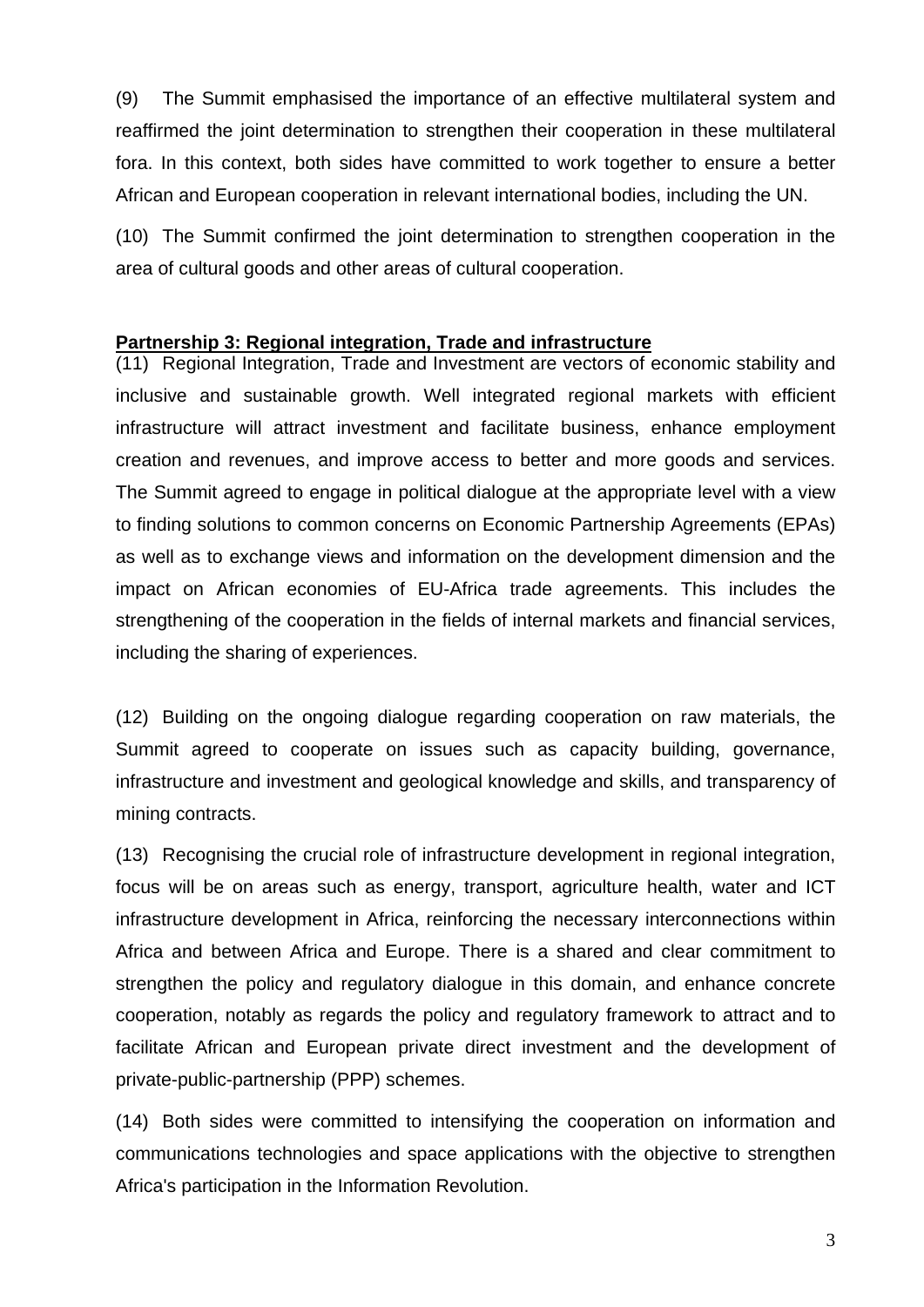(9) The Summit emphasised the importance of an effective multilateral system and reaffirmed the joint determination to strengthen their cooperation in these multilateral fora. In this context, both sides have committed to work together to ensure a better African and European cooperation in relevant international bodies, including the UN.

(10) The Summit confirmed the joint determination to strengthen cooperation in the area of cultural goods and other areas of cultural cooperation.

### **Partnership 3: Regional integration, Trade and infrastructure**

(11) Regional Integration, Trade and Investment are vectors of economic stability and inclusive and sustainable growth. Well integrated regional markets with efficient infrastructure will attract investment and facilitate business, enhance employment creation and revenues, and improve access to better and more goods and services. The Summit agreed to engage in political dialogue at the appropriate level with a view to finding solutions to common concerns on Economic Partnership Agreements (EPAs) as well as to exchange views and information on the development dimension and the impact on African economies of EU-Africa trade agreements. This includes the strengthening of the cooperation in the fields of internal markets and financial services, including the sharing of experiences.

(12) Building on the ongoing dialogue regarding cooperation on raw materials, the Summit agreed to cooperate on issues such as capacity building, governance, infrastructure and investment and geological knowledge and skills, and transparency of mining contracts.

(13) Recognising the crucial role of infrastructure development in regional integration, focus will be on areas such as energy, transport, agriculture health, water and ICT infrastructure development in Africa, reinforcing the necessary interconnections within Africa and between Africa and Europe. There is a shared and clear commitment to strengthen the policy and regulatory dialogue in this domain, and enhance concrete cooperation, notably as regards the policy and regulatory framework to attract and to facilitate African and European private direct investment and the development of private-public-partnership (PPP) schemes.

(14) Both sides were committed to intensifying the cooperation on information and communications technologies and space applications with the objective to strengthen Africa's participation in the Information Revolution.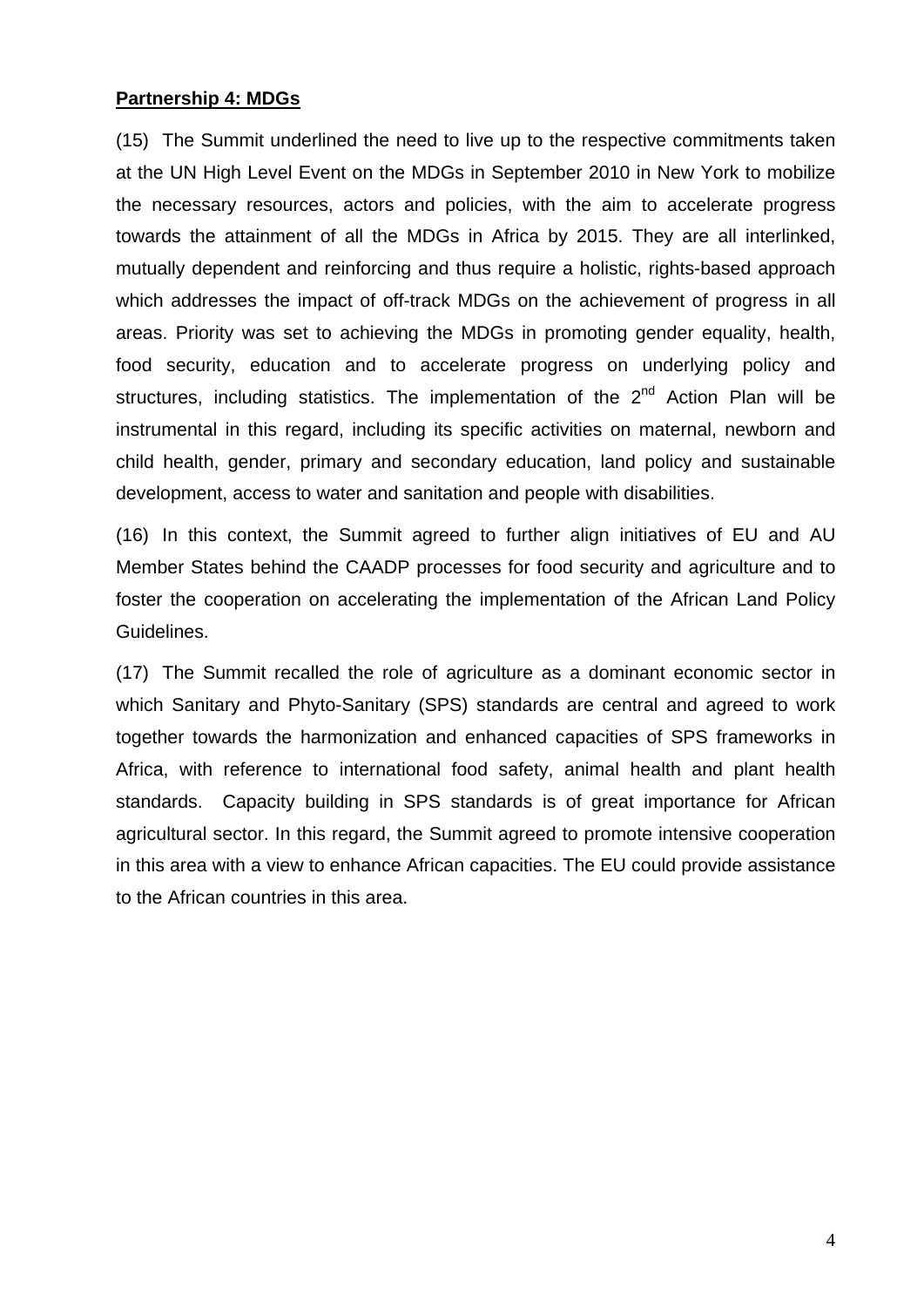### **Partnership 4: MDGs**

(15) The Summit underlined the need to live up to the respective commitments taken at the UN High Level Event on the MDGs in September 2010 in New York to mobilize the necessary resources, actors and policies, with the aim to accelerate progress towards the attainment of all the MDGs in Africa by 2015. They are all interlinked, mutually dependent and reinforcing and thus require a holistic, rights-based approach which addresses the impact of off-track MDGs on the achievement of progress in all areas. Priority was set to achieving the MDGs in promoting gender equality, health, food security, education and to accelerate progress on underlying policy and structures, including statistics. The implementation of the  $2^{nd}$  Action Plan will be instrumental in this regard, including its specific activities on maternal, newborn and child health, gender, primary and secondary education, land policy and sustainable development, access to water and sanitation and people with disabilities.

(16) In this context, the Summit agreed to further align initiatives of EU and AU Member States behind the CAADP processes for food security and agriculture and to foster the cooperation on accelerating the implementation of the African Land Policy Guidelines.

(17) The Summit recalled the role of agriculture as a dominant economic sector in which Sanitary and Phyto-Sanitary (SPS) standards are central and agreed to work together towards the harmonization and enhanced capacities of SPS frameworks in Africa, with reference to international food safety, animal health and plant health standards. Capacity building in SPS standards is of great importance for African agricultural sector. In this regard, the Summit agreed to promote intensive cooperation in this area with a view to enhance African capacities. The EU could provide assistance to the African countries in this area.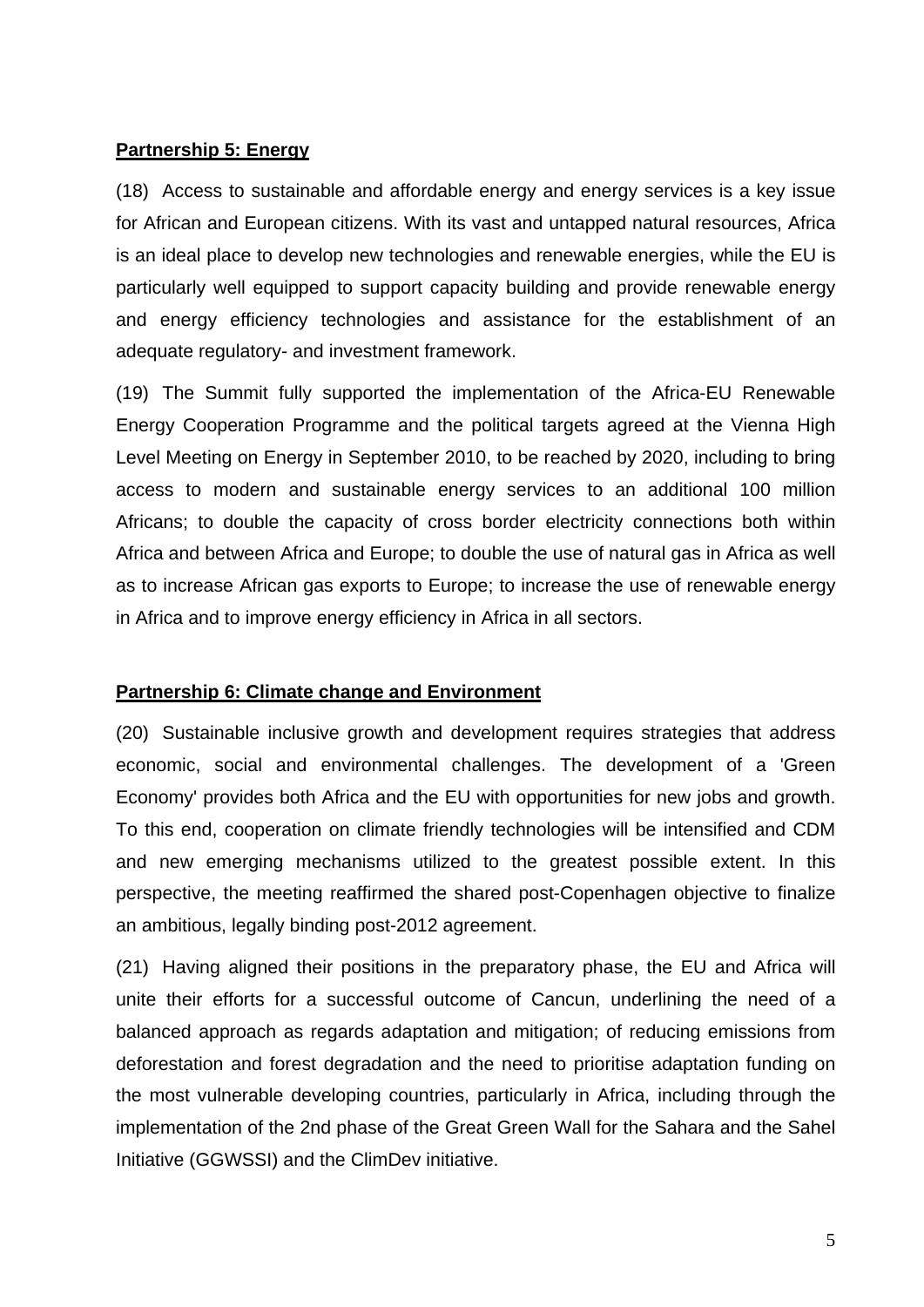# **Partnership 5: Energy**

(18) Access to sustainable and affordable energy and energy services is a key issue for African and European citizens. With its vast and untapped natural resources, Africa is an ideal place to develop new technologies and renewable energies, while the EU is particularly well equipped to support capacity building and provide renewable energy and energy efficiency technologies and assistance for the establishment of an adequate regulatory- and investment framework.

(19) The Summit fully supported the implementation of the Africa-EU Renewable Energy Cooperation Programme and the political targets agreed at the Vienna High Level Meeting on Energy in September 2010, to be reached by 2020, including to bring access to modern and sustainable energy services to an additional 100 million Africans; to double the capacity of cross border electricity connections both within Africa and between Africa and Europe; to double the use of natural gas in Africa as well as to increase African gas exports to Europe; to increase the use of renewable energy in Africa and to improve energy efficiency in Africa in all sectors.

### **Partnership 6: Climate change and Environment**

(20) Sustainable inclusive growth and development requires strategies that address economic, social and environmental challenges. The development of a 'Green Economy' provides both Africa and the EU with opportunities for new jobs and growth. To this end, cooperation on climate friendly technologies will be intensified and CDM and new emerging mechanisms utilized to the greatest possible extent. In this perspective, the meeting reaffirmed the shared post-Copenhagen objective to finalize an ambitious, legally binding post-2012 agreement.

(21) Having aligned their positions in the preparatory phase, the EU and Africa will unite their efforts for a successful outcome of Cancun, underlining the need of a balanced approach as regards adaptation and mitigation; of reducing emissions from deforestation and forest degradation and the need to prioritise adaptation funding on the most vulnerable developing countries, particularly in Africa, including through the implementation of the 2nd phase of the Great Green Wall for the Sahara and the Sahel Initiative (GGWSSI) and the ClimDev initiative.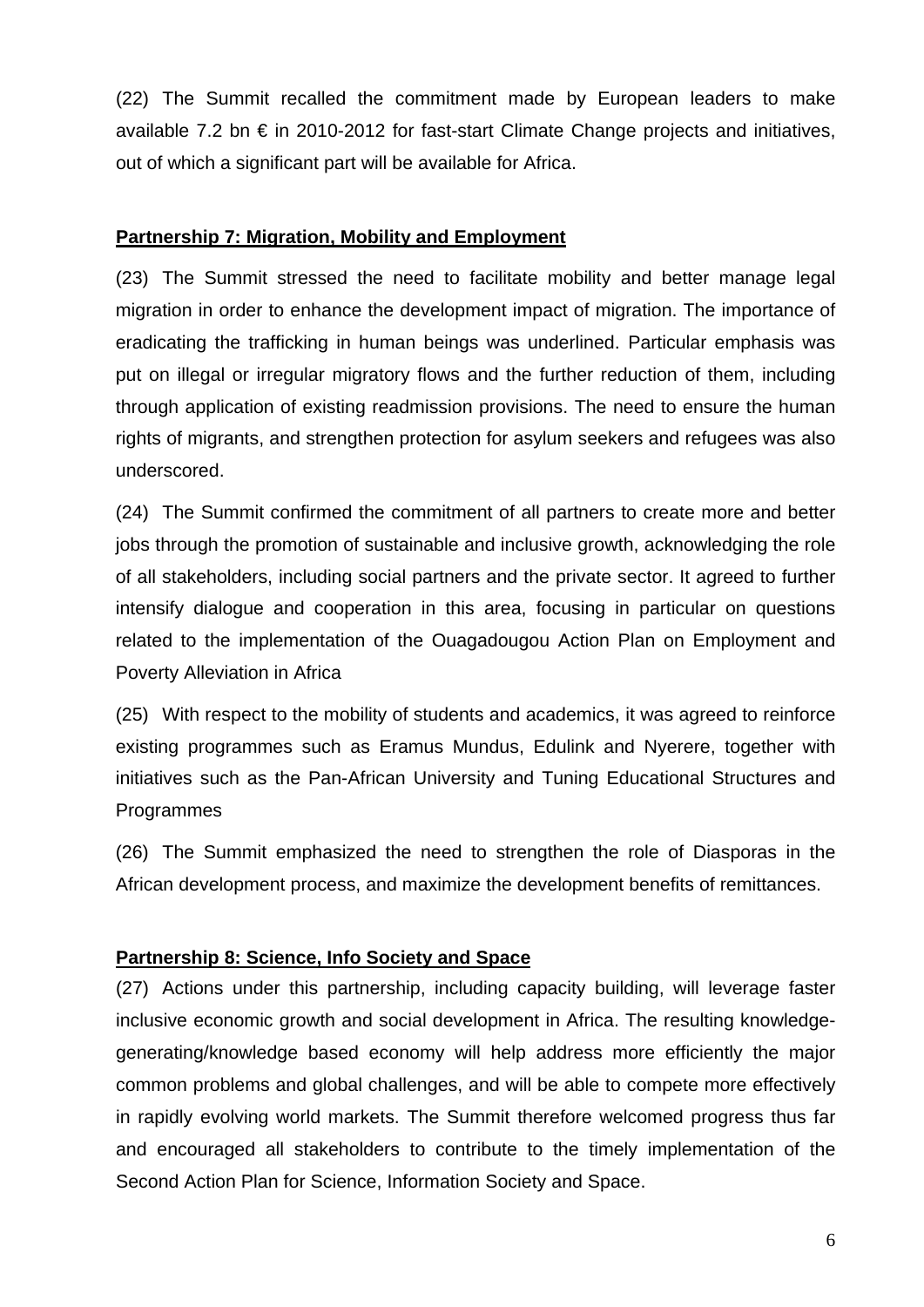(22) The Summit recalled the commitment made by European leaders to make available 7.2 bn € in 2010-2012 for fast-start Climate Change projects and initiatives, out of which a significant part will be available for Africa.

## **Partnership 7: Migration, Mobility and Employment**

(23) The Summit stressed the need to facilitate mobility and better manage legal migration in order to enhance the development impact of migration. The importance of eradicating the trafficking in human beings was underlined. Particular emphasis was put on illegal or irregular migratory flows and the further reduction of them, including through application of existing readmission provisions. The need to ensure the human rights of migrants, and strengthen protection for asylum seekers and refugees was also underscored.

(24) The Summit confirmed the commitment of all partners to create more and better jobs through the promotion of sustainable and inclusive growth, acknowledging the role of all stakeholders, including social partners and the private sector. It agreed to further intensify dialogue and cooperation in this area, focusing in particular on questions related to the implementation of the Ouagadougou Action Plan on Employment and Poverty Alleviation in Africa

(25) With respect to the mobility of students and academics, it was agreed to reinforce existing programmes such as Eramus Mundus, Edulink and Nyerere, together with initiatives such as the Pan-African University and Tuning Educational Structures and Programmes

(26) The Summit emphasized the need to strengthen the role of Diasporas in the African development process, and maximize the development benefits of remittances.

# **Partnership 8: Science, Info Society and Space**

(27) Actions under this partnership, including capacity building, will leverage faster inclusive economic growth and social development in Africa. The resulting knowledgegenerating/knowledge based economy will help address more efficiently the major common problems and global challenges, and will be able to compete more effectively in rapidly evolving world markets. The Summit therefore welcomed progress thus far and encouraged all stakeholders to contribute to the timely implementation of the Second Action Plan for Science, Information Society and Space.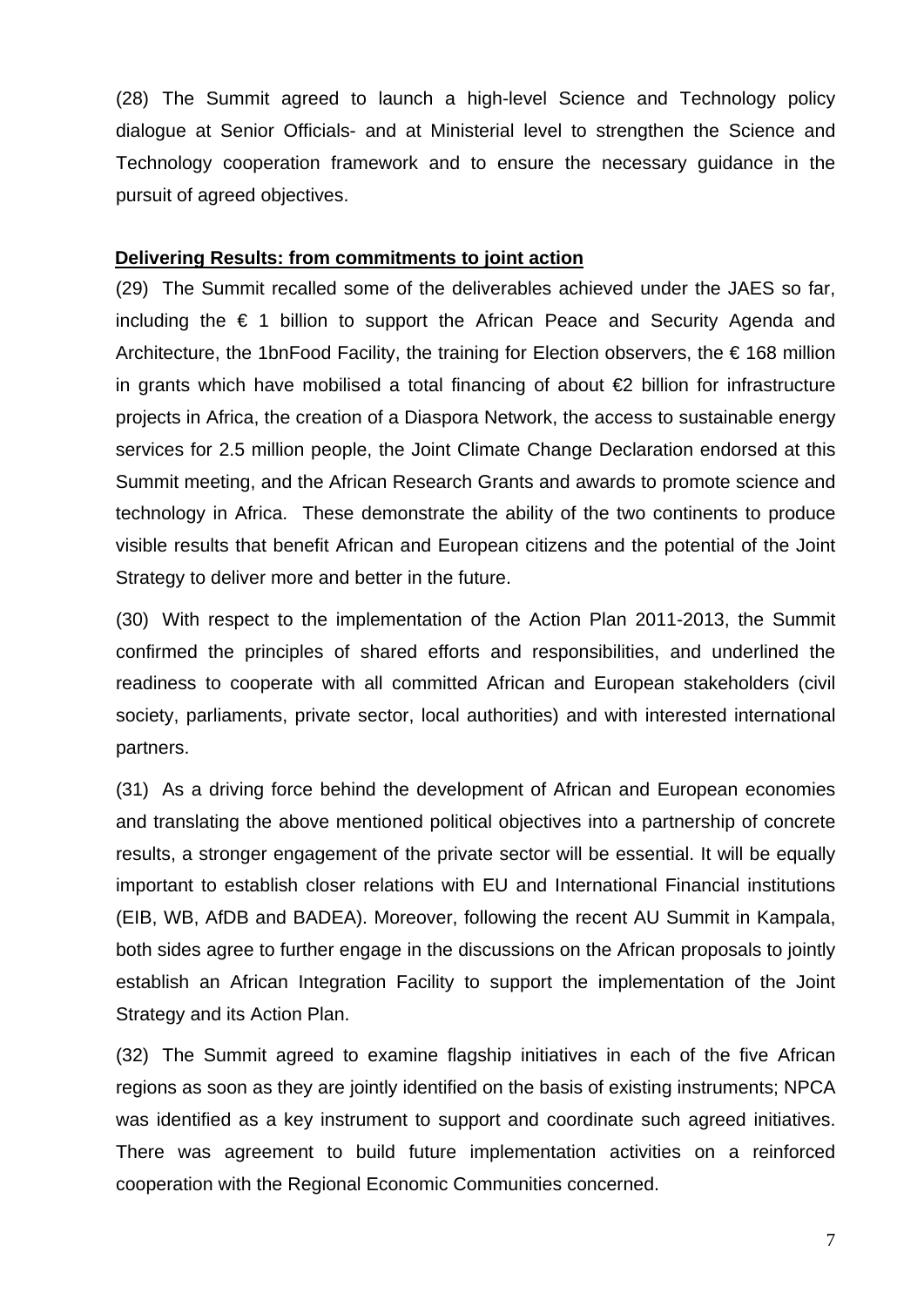(28) The Summit agreed to launch a high-level Science and Technology policy dialogue at Senior Officials- and at Ministerial level to strengthen the Science and Technology cooperation framework and to ensure the necessary guidance in the pursuit of agreed objectives.

### **Delivering Results: from commitments to joint action**

(29) The Summit recalled some of the deliverables achieved under the JAES so far, including the  $\epsilon$  1 billion to support the African Peace and Security Agenda and Architecture, the 1bnFood Facility, the training for Election observers, the  $\epsilon$  168 million in grants which have mobilised a total financing of about €2 billion for infrastructure projects in Africa, the creation of a Diaspora Network, the access to sustainable energy services for 2.5 million people, the Joint Climate Change Declaration endorsed at this Summit meeting, and the African Research Grants and awards to promote science and technology in Africa. These demonstrate the ability of the two continents to produce visible results that benefit African and European citizens and the potential of the Joint Strategy to deliver more and better in the future.

(30) With respect to the implementation of the Action Plan 2011-2013, the Summit confirmed the principles of shared efforts and responsibilities, and underlined the readiness to cooperate with all committed African and European stakeholders (civil society, parliaments, private sector, local authorities) and with interested international partners.

(31) As a driving force behind the development of African and European economies and translating the above mentioned political objectives into a partnership of concrete results, a stronger engagement of the private sector will be essential. It will be equally important to establish closer relations with EU and International Financial institutions (EIB, WB, AfDB and BADEA). Moreover, following the recent AU Summit in Kampala, both sides agree to further engage in the discussions on the African proposals to jointly establish an African Integration Facility to support the implementation of the Joint Strategy and its Action Plan.

(32) The Summit agreed to examine flagship initiatives in each of the five African regions as soon as they are jointly identified on the basis of existing instruments; NPCA was identified as a key instrument to support and coordinate such agreed initiatives. There was agreement to build future implementation activities on a reinforced cooperation with the Regional Economic Communities concerned.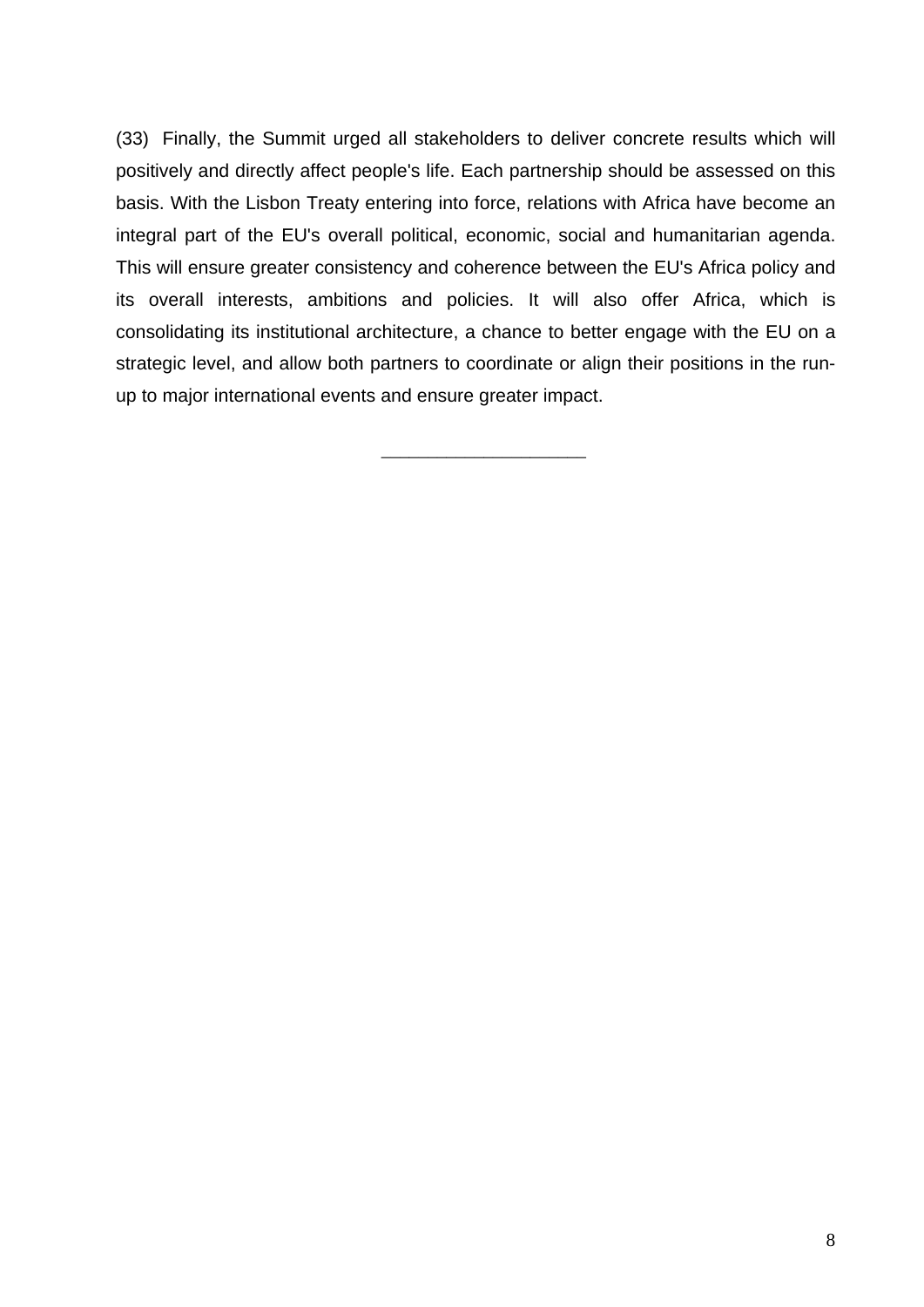(33) Finally, the Summit urged all stakeholders to deliver concrete results which will positively and directly affect people's life. Each partnership should be assessed on this basis. With the Lisbon Treaty entering into force, relations with Africa have become an integral part of the EU's overall political, economic, social and humanitarian agenda. This will ensure greater consistency and coherence between the EU's Africa policy and its overall interests, ambitions and policies. It will also offer Africa, which is consolidating its institutional architecture, a chance to better engage with the EU on a strategic level, and allow both partners to coordinate or align their positions in the runup to major international events and ensure greater impact.

\_\_\_\_\_\_\_\_\_\_\_\_\_\_\_\_\_\_\_\_\_\_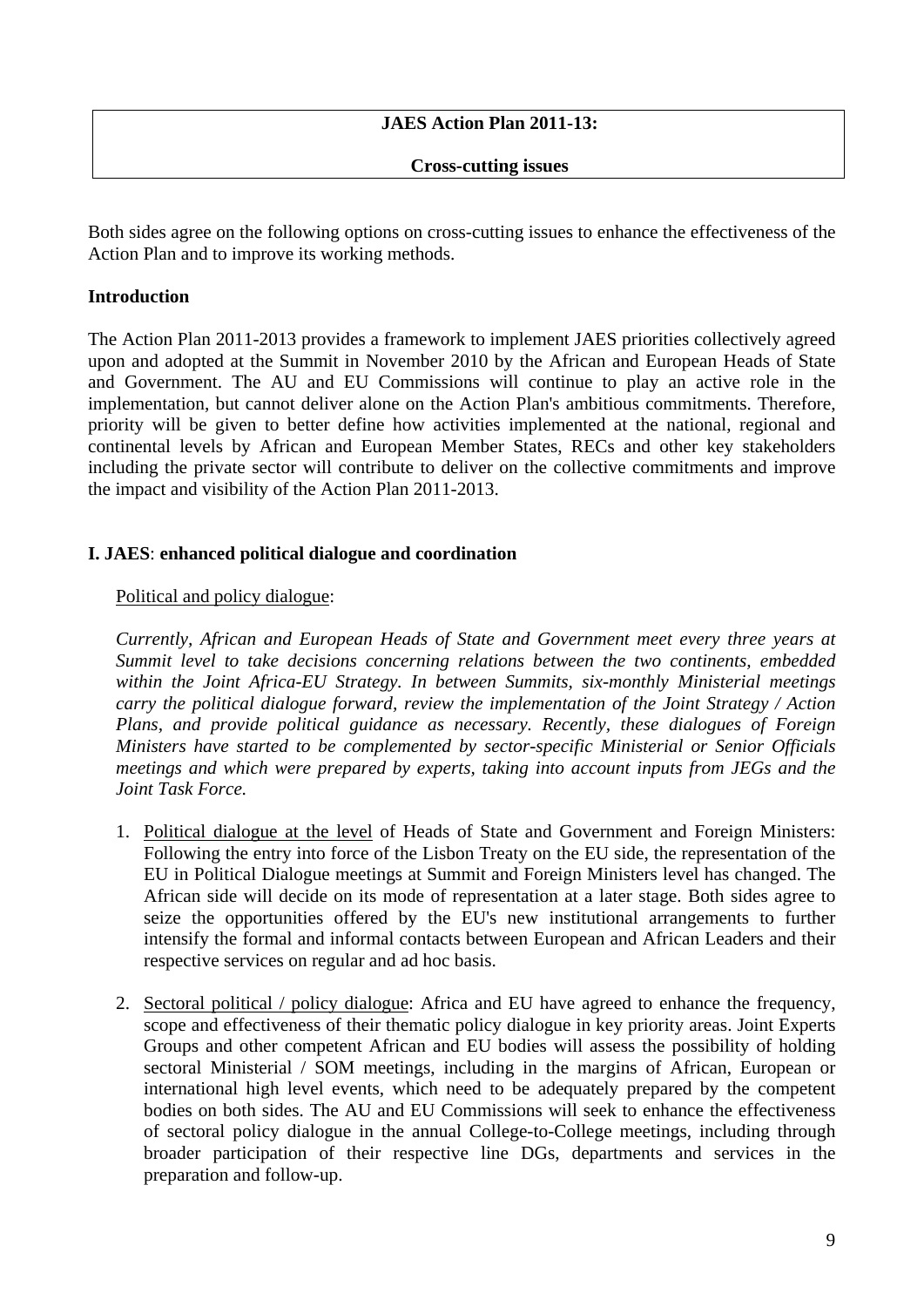## **JAES Action Plan 2011-13:**

**Cross-cutting issues** 

Both sides agree on the following options on cross-cutting issues to enhance the effectiveness of the Action Plan and to improve its working methods.

### **Introduction**

The Action Plan 2011-2013 provides a framework to implement JAES priorities collectively agreed upon and adopted at the Summit in November 2010 by the African and European Heads of State and Government. The AU and EU Commissions will continue to play an active role in the implementation, but cannot deliver alone on the Action Plan's ambitious commitments. Therefore, priority will be given to better define how activities implemented at the national, regional and continental levels by African and European Member States, RECs and other key stakeholders including the private sector will contribute to deliver on the collective commitments and improve the impact and visibility of the Action Plan 2011-2013.

#### **I. JAES**: **enhanced political dialogue and coordination**

#### Political and policy dialogue:

*Currently, African and European Heads of State and Government meet every three years at Summit level to take decisions concerning relations between the two continents, embedded within the Joint Africa-EU Strategy. In between Summits, six-monthly Ministerial meetings carry the political dialogue forward, review the implementation of the Joint Strategy / Action Plans, and provide political guidance as necessary. Recently, these dialogues of Foreign Ministers have started to be complemented by sector-specific Ministerial or Senior Officials meetings and which were prepared by experts, taking into account inputs from JEGs and the Joint Task Force.* 

- 1. Political dialogue at the level of Heads of State and Government and Foreign Ministers: Following the entry into force of the Lisbon Treaty on the EU side, the representation of the EU in Political Dialogue meetings at Summit and Foreign Ministers level has changed. The African side will decide on its mode of representation at a later stage. Both sides agree to seize the opportunities offered by the EU's new institutional arrangements to further intensify the formal and informal contacts between European and African Leaders and their respective services on regular and ad hoc basis.
- 2. Sectoral political / policy dialogue: Africa and EU have agreed to enhance the frequency, scope and effectiveness of their thematic policy dialogue in key priority areas. Joint Experts Groups and other competent African and EU bodies will assess the possibility of holding sectoral Ministerial / SOM meetings, including in the margins of African, European or international high level events, which need to be adequately prepared by the competent bodies on both sides. The AU and EU Commissions will seek to enhance the effectiveness of sectoral policy dialogue in the annual College-to-College meetings, including through broader participation of their respective line DGs, departments and services in the preparation and follow-up.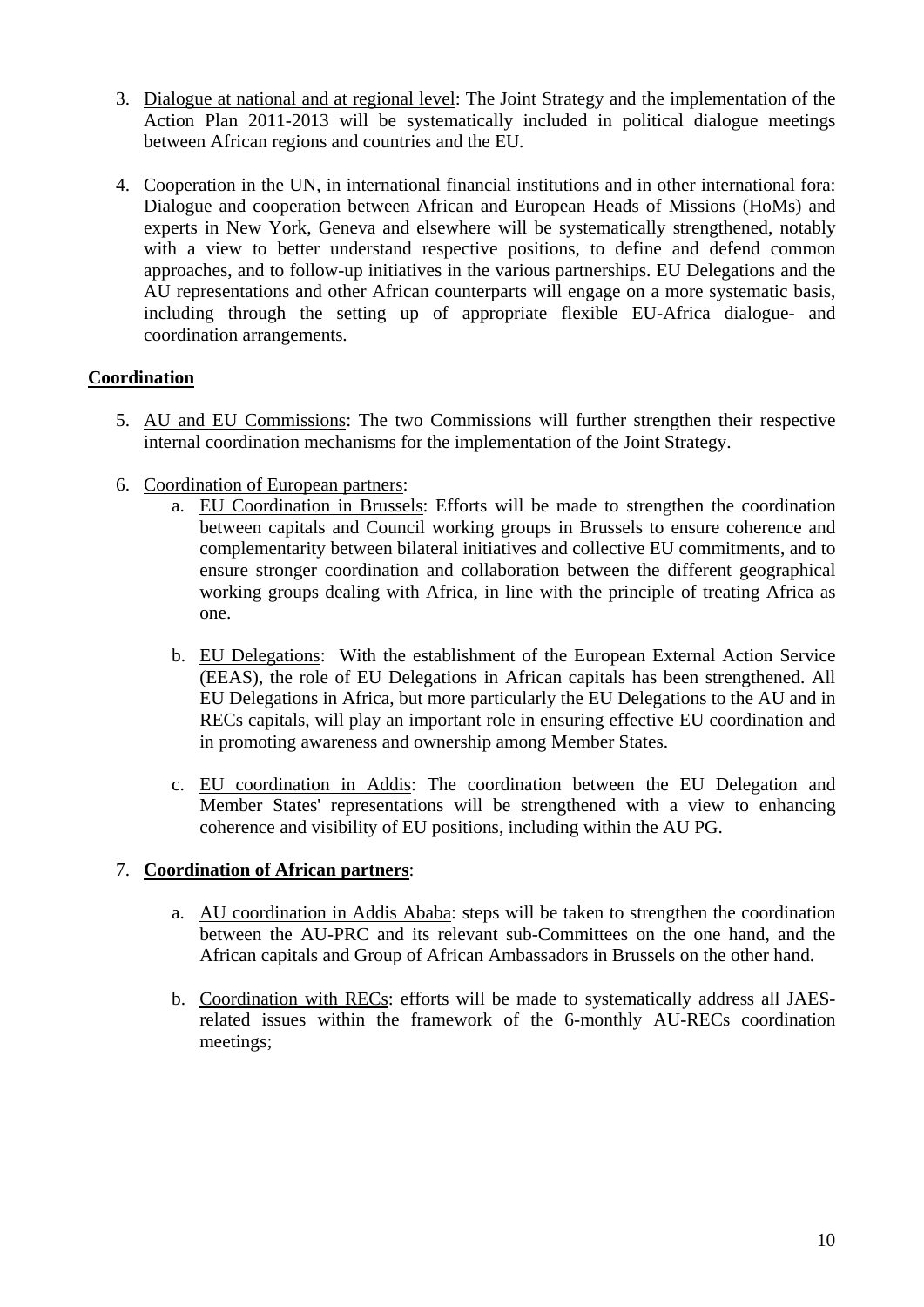- 3. Dialogue at national and at regional level: The Joint Strategy and the implementation of the Action Plan 2011-2013 will be systematically included in political dialogue meetings between African regions and countries and the EU*.*
- 4. Cooperation in the UN, in international financial institutions and in other international fora: Dialogue and cooperation between African and European Heads of Missions (HoMs) and experts in New York, Geneva and elsewhere will be systematically strengthened, notably with a view to better understand respective positions, to define and defend common approaches, and to follow-up initiatives in the various partnerships. EU Delegations and the AU representations and other African counterparts will engage on a more systematic basis, including through the setting up of appropriate flexible EU-Africa dialogue- and coordination arrangements*.*

## **Coordination**

- 5. AU and EU Commissions: The two Commissions will further strengthen their respective internal coordination mechanisms for the implementation of the Joint Strategy.
- 6. Coordination of European partners:
	- a. EU Coordination in Brussels: Efforts will be made to strengthen the coordination between capitals and Council working groups in Brussels to ensure coherence and complementarity between bilateral initiatives and collective EU commitments, and to ensure stronger coordination and collaboration between the different geographical working groups dealing with Africa, in line with the principle of treating Africa as one.
	- b. EU Delegations: With the establishment of the European External Action Service (EEAS), the role of EU Delegations in African capitals has been strengthened. All EU Delegations in Africa, but more particularly the EU Delegations to the AU and in RECs capitals, will play an important role in ensuring effective EU coordination and in promoting awareness and ownership among Member States.
	- c. EU coordination in Addis: The coordination between the EU Delegation and Member States' representations will be strengthened with a view to enhancing coherence and visibility of EU positions, including within the AU PG.

### 7. **Coordination of African partners**:

- a. AU coordination in Addis Ababa: steps will be taken to strengthen the coordination between the AU-PRC and its relevant sub-Committees on the one hand, and the African capitals and Group of African Ambassadors in Brussels on the other hand.
- b. Coordination with RECs: efforts will be made to systematically address all JAESrelated issues within the framework of the 6-monthly AU-RECs coordination meetings;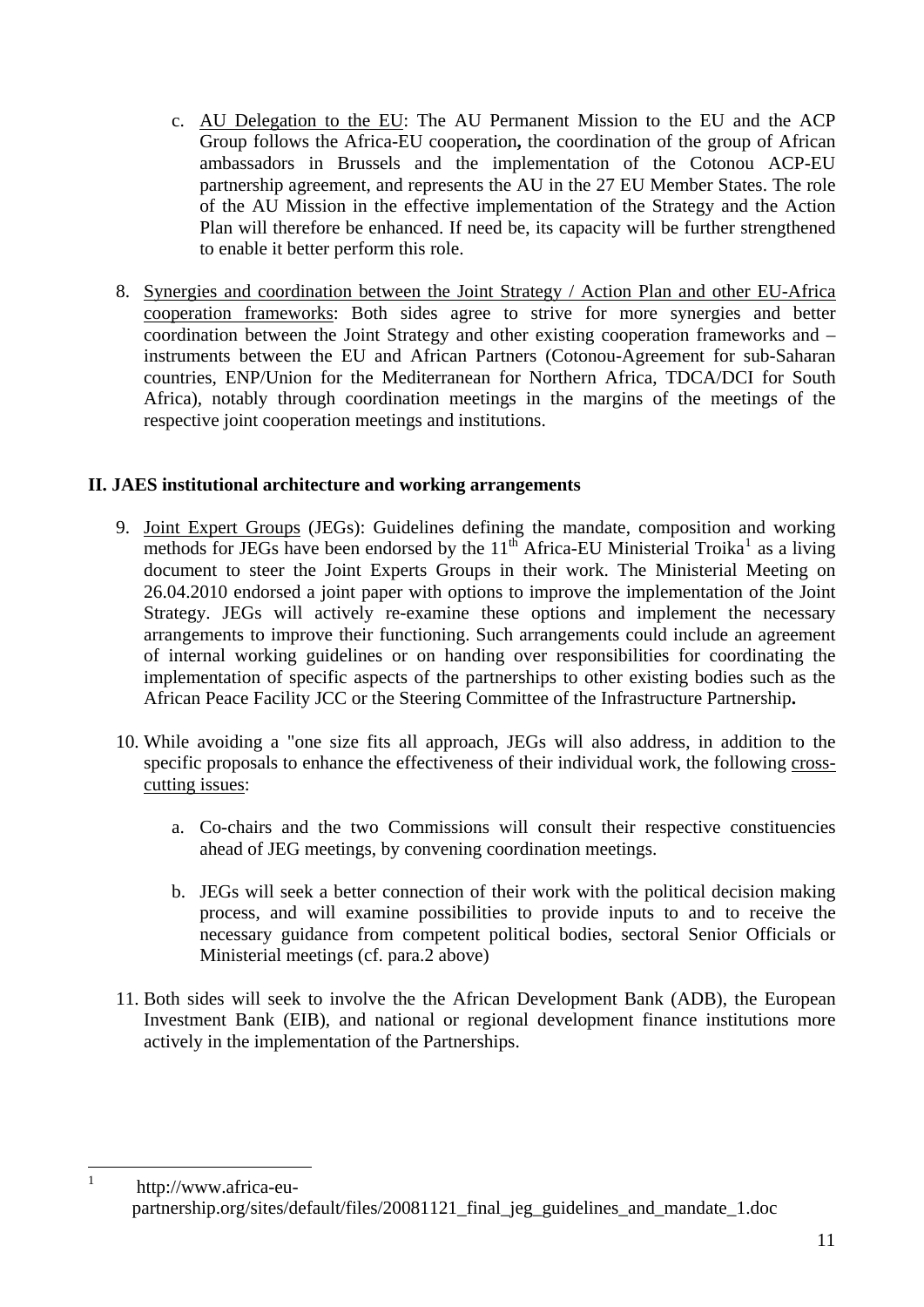- c. AU Delegation to the EU: The AU Permanent Mission to the EU and the ACP Group follows the Africa-EU cooperation**,** the coordination of the group of African ambassadors in Brussels and the implementation of the Cotonou ACP-EU partnership agreement, and represents the AU in the 27 EU Member States. The role of the AU Mission in the effective implementation of the Strategy and the Action Plan will therefore be enhanced. If need be, its capacity will be further strengthened to enable it better perform this role.
- 8. Synergies and coordination between the Joint Strategy / Action Plan and other EU-Africa cooperation frameworks: Both sides agree to strive for more synergies and better coordination between the Joint Strategy and other existing cooperation frameworks and – instruments between the EU and African Partners (Cotonou-Agreement for sub-Saharan countries, ENP/Union for the Mediterranean for Northern Africa, TDCA/DCI for South Africa), notably through coordination meetings in the margins of the meetings of the respective joint cooperation meetings and institutions.

## **II. JAES institutional architecture and working arrangements**

- 9. Joint Expert Groups (JEGs): Guidelines defining the mandate, composition and working methods for JEGs have been endorsed by the  $11<sup>th</sup>$  $11<sup>th</sup>$  Africa-EU Ministerial Troika<sup>1</sup> as a living document to steer the Joint Experts Groups in their work. The Ministerial Meeting on 26.04.2010 endorsed a joint paper with options to improve the implementation of the Joint Strategy. JEGs will actively re-examine these options and implement the necessary arrangements to improve their functioning. Such arrangements could include an agreement of internal working guidelines or on handing over responsibilities for coordinating the implementation of specific aspects of the partnerships to other existing bodies such as the African Peace Facility JCC or the Steering Committee of the Infrastructure Partnership**.**
- 10. While avoiding a "one size fits all approach, JEGs will also address, in addition to the specific proposals to enhance the effectiveness of their individual work, the following crosscutting issues:
	- a. Co-chairs and the two Commissions will consult their respective constituencies ahead of JEG meetings, by convening coordination meetings.
	- b. JEGs will seek a better connection of their work with the political decision making process, and will examine possibilities to provide inputs to and to receive the necessary guidance from competent political bodies, sectoral Senior Officials or Ministerial meetings (cf. para.2 above)
- 11. Both sides will seek to involve the the African Development Bank (ADB), the European Investment Bank (EIB), and national or regional development finance institutions more actively in the implementation of the Partnerships.

<span id="page-10-0"></span> $\frac{1}{1}$ 

http://www.africa-eupartnership.org/sites/default/files/20081121\_final\_jeg\_guidelines\_and\_mandate\_1.doc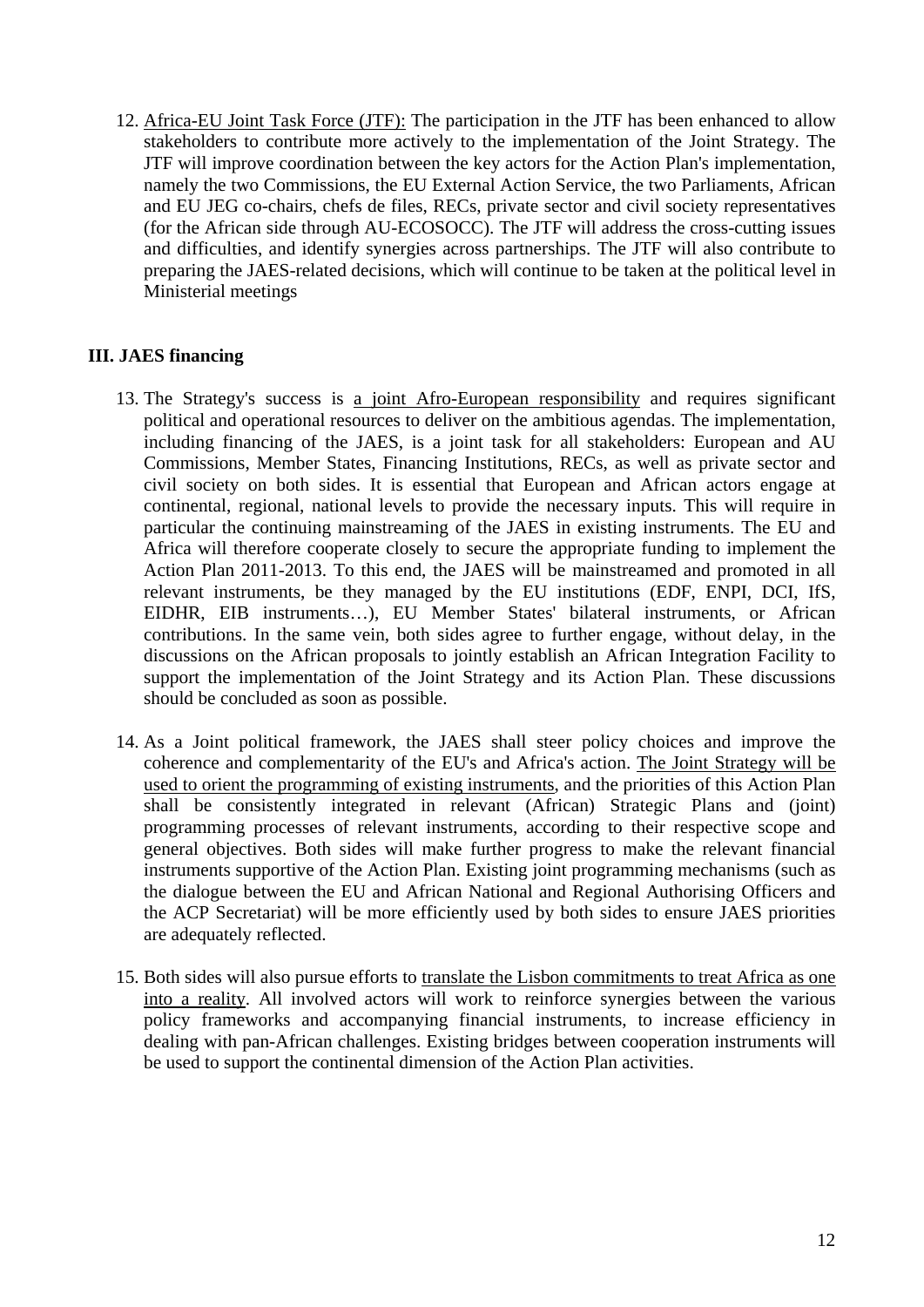12. Africa-EU Joint Task Force (JTF): The participation in the JTF has been enhanced to allow stakeholders to contribute more actively to the implementation of the Joint Strategy. The JTF will improve coordination between the key actors for the Action Plan's implementation, namely the two Commissions, the EU External Action Service, the two Parliaments, African and EU JEG co-chairs, chefs de files, RECs, private sector and civil society representatives (for the African side through AU-ECOSOCC). The JTF will address the cross-cutting issues and difficulties, and identify synergies across partnerships. The JTF will also contribute to preparing the JAES-related decisions, which will continue to be taken at the political level in Ministerial meetings

# **III. JAES financing**

- 13. The Strategy's success is a joint Afro-European responsibility and requires significant political and operational resources to deliver on the ambitious agendas. The implementation, including financing of the JAES, is a joint task for all stakeholders: European and AU Commissions, Member States, Financing Institutions, RECs, as well as private sector and civil society on both sides. It is essential that European and African actors engage at continental, regional, national levels to provide the necessary inputs. This will require in particular the continuing mainstreaming of the JAES in existing instruments. The EU and Africa will therefore cooperate closely to secure the appropriate funding to implement the Action Plan 2011-2013. To this end, the JAES will be mainstreamed and promoted in all relevant instruments, be they managed by the EU institutions (EDF, ENPI, DCI, IfS, EIDHR, EIB instruments…), EU Member States' bilateral instruments, or African contributions. In the same vein, both sides agree to further engage, without delay, in the discussions on the African proposals to jointly establish an African Integration Facility to support the implementation of the Joint Strategy and its Action Plan. These discussions should be concluded as soon as possible.
- 14. As a Joint political framework, the JAES shall steer policy choices and improve the coherence and complementarity of the EU's and Africa's action. The Joint Strategy will be used to orient the programming of existing instruments, and the priorities of this Action Plan shall be consistently integrated in relevant (African) Strategic Plans and (joint) programming processes of relevant instruments, according to their respective scope and general objectives. Both sides will make further progress to make the relevant financial instruments supportive of the Action Plan. Existing joint programming mechanisms (such as the dialogue between the EU and African National and Regional Authorising Officers and the ACP Secretariat) will be more efficiently used by both sides to ensure JAES priorities are adequately reflected.
- 15. Both sides will also pursue efforts to translate the Lisbon commitments to treat Africa as one into a reality. All involved actors will work to reinforce synergies between the various policy frameworks and accompanying financial instruments, to increase efficiency in dealing with pan-African challenges. Existing bridges between cooperation instruments will be used to support the continental dimension of the Action Plan activities.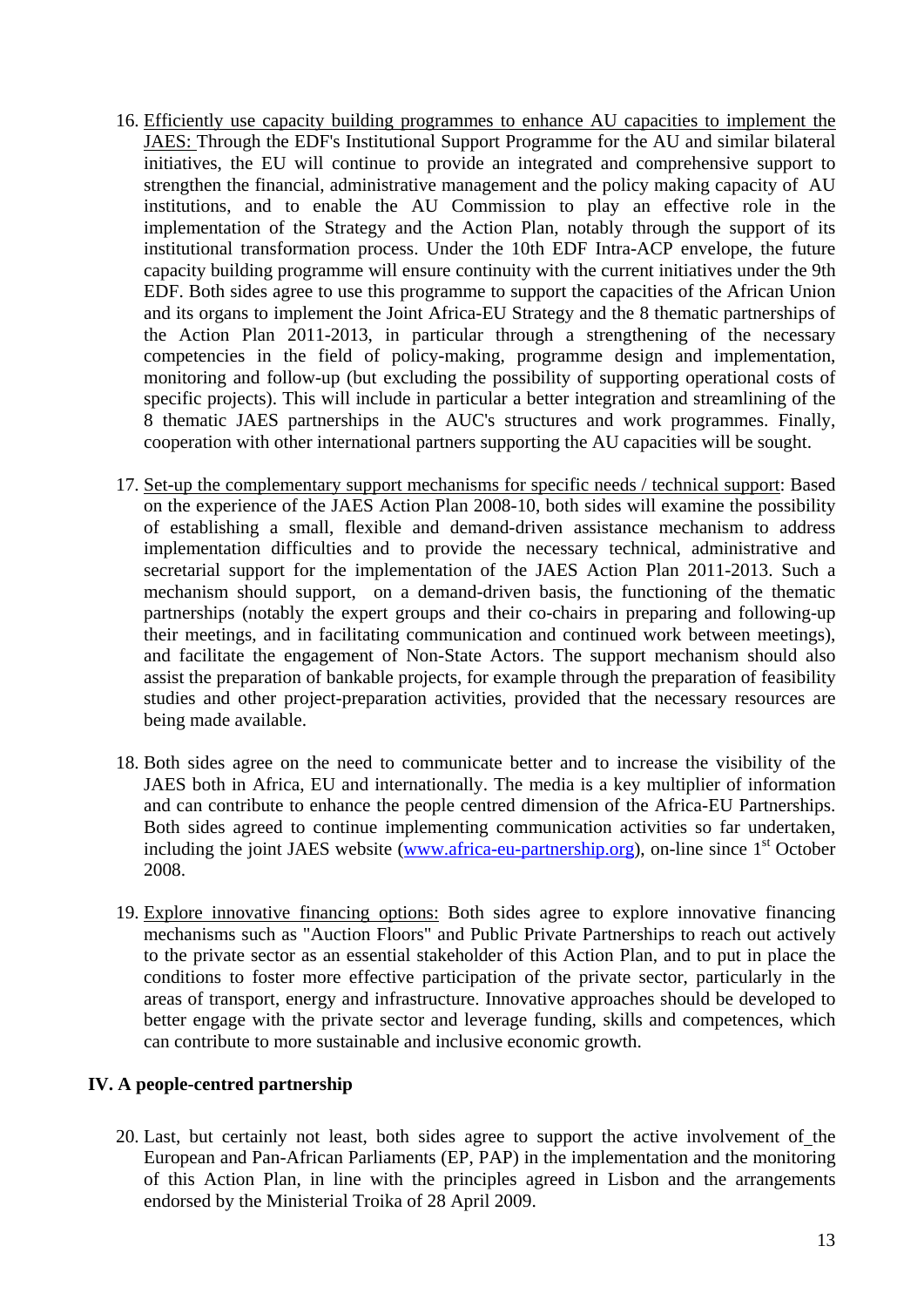- 16. Efficiently use capacity building programmes to enhance AU capacities to implement the JAES: Through the EDF's Institutional Support Programme for the AU and similar bilateral initiatives, the EU will continue to provide an integrated and comprehensive support to strengthen the financial, administrative management and the policy making capacity of AU institutions, and to enable the AU Commission to play an effective role in the implementation of the Strategy and the Action Plan, notably through the support of its institutional transformation process. Under the 10th EDF Intra-ACP envelope, the future capacity building programme will ensure continuity with the current initiatives under the 9th EDF. Both sides agree to use this programme to support the capacities of the African Union and its organs to implement the Joint Africa-EU Strategy and the 8 thematic partnerships of the Action Plan 2011-2013, in particular through a strengthening of the necessary competencies in the field of policy-making, programme design and implementation, monitoring and follow-up (but excluding the possibility of supporting operational costs of specific projects). This will include in particular a better integration and streamlining of the 8 thematic JAES partnerships in the AUC's structures and work programmes. Finally, cooperation with other international partners supporting the AU capacities will be sought.
- 17. Set-up the complementary support mechanisms for specific needs / technical support: Based on the experience of the JAES Action Plan 2008-10, both sides will examine the possibility of establishing a small, flexible and demand-driven assistance mechanism to address implementation difficulties and to provide the necessary technical, administrative and secretarial support for the implementation of the JAES Action Plan 2011-2013. Such a mechanism should support, on a demand-driven basis, the functioning of the thematic partnerships (notably the expert groups and their co-chairs in preparing and following-up their meetings, and in facilitating communication and continued work between meetings), and facilitate the engagement of Non-State Actors. The support mechanism should also assist the preparation of bankable projects, for example through the preparation of feasibility studies and other project-preparation activities, provided that the necessary resources are being made available.
- 18. Both sides agree on the need to communicate better and to increase the visibility of the JAES both in Africa, EU and internationally. The media is a key multiplier of information and can contribute to enhance the people centred dimension of the Africa-EU Partnerships. Both sides agreed to continue implementing communication activities so far undertaken, including the joint JAES website [\(www.africa-eu-partnership.org\)](http://www.africa-eu-partnership.org/), on-line since  $1<sup>st</sup>$  October 2008.
- 19. Explore innovative financing options: Both sides agree to explore innovative financing mechanisms such as "Auction Floors" and Public Private Partnerships to reach out actively to the private sector as an essential stakeholder of this Action Plan, and to put in place the conditions to foster more effective participation of the private sector, particularly in the areas of transport, energy and infrastructure. Innovative approaches should be developed to better engage with the private sector and leverage funding, skills and competences, which can contribute to more sustainable and inclusive economic growth.

### **IV. A people-centred partnership**

20. Last, but certainly not least, both sides agree to support the active involvement of the European and Pan-African Parliaments (EP, PAP) in the implementation and the monitoring of this Action Plan, in line with the principles agreed in Lisbon and the arrangements endorsed by the Ministerial Troika of 28 April 2009.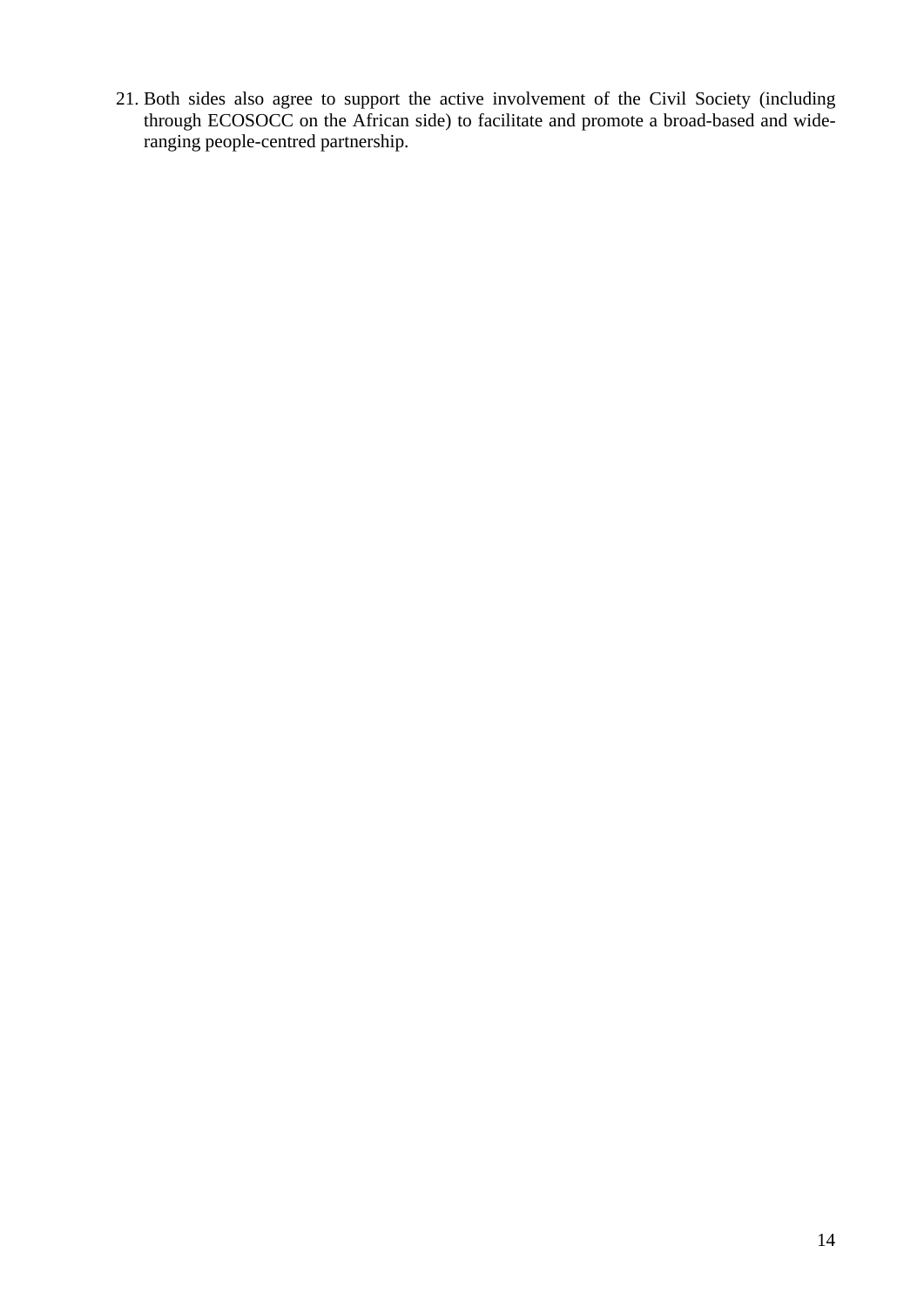21. Both sides also agree to support the active involvement of the Civil Society (including through ECOSOCC on the African side) to facilitate and promote a broad-based and wideranging people-centred partnership.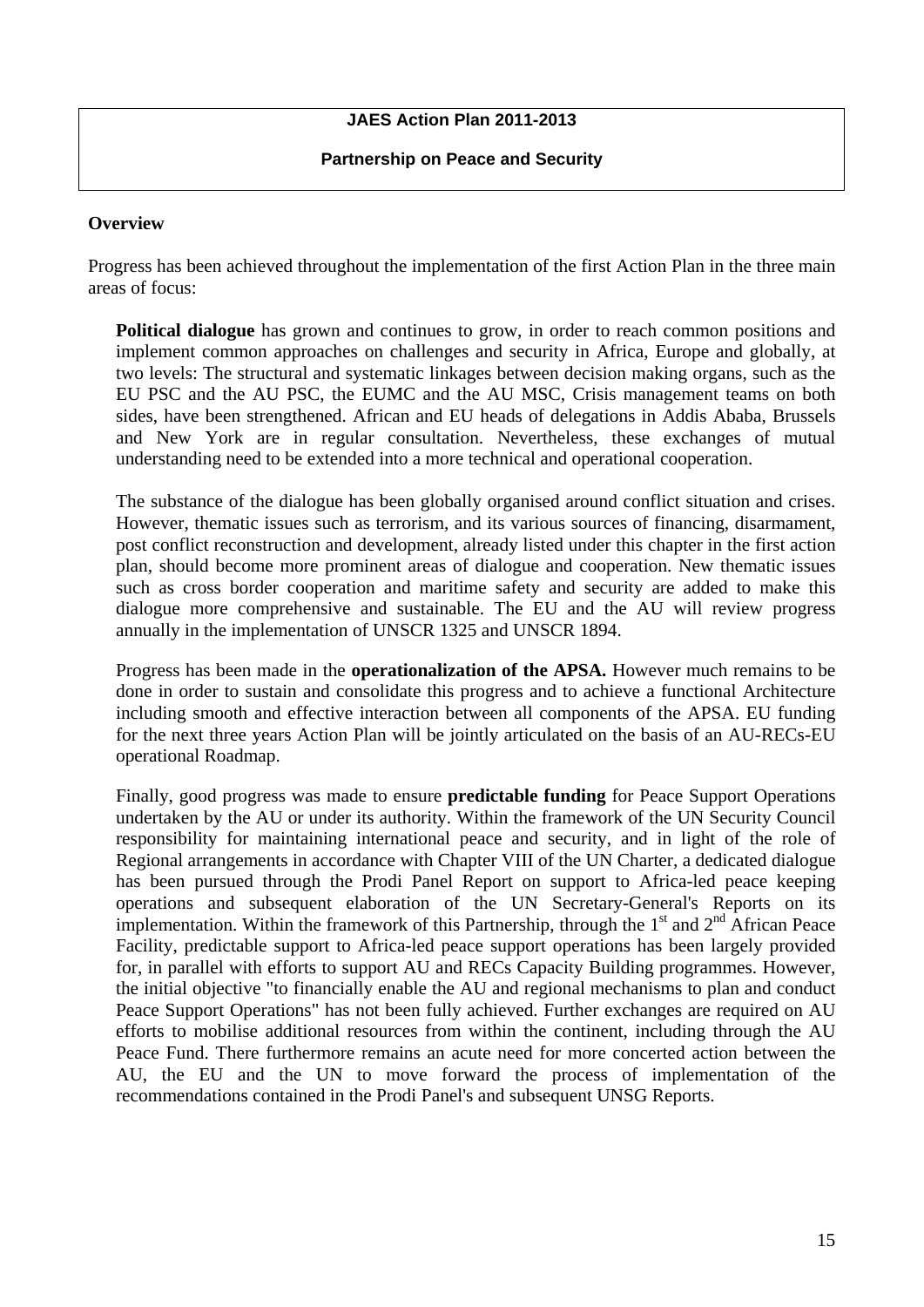# **JAES Action Plan 2011-2013**

#### **Partnership on Peace and Security**

#### **Overview**

Progress has been achieved throughout the implementation of the first Action Plan in the three main areas of focus:

**Political dialogue** has grown and continues to grow, in order to reach common positions and implement common approaches on challenges and security in Africa, Europe and globally, at two levels: The structural and systematic linkages between decision making organs, such as the EU PSC and the AU PSC, the EUMC and the AU MSC, Crisis management teams on both sides, have been strengthened. African and EU heads of delegations in Addis Ababa, Brussels and New York are in regular consultation. Nevertheless, these exchanges of mutual understanding need to be extended into a more technical and operational cooperation.

The substance of the dialogue has been globally organised around conflict situation and crises. However, thematic issues such as terrorism, and its various sources of financing, disarmament, post conflict reconstruction and development, already listed under this chapter in the first action plan, should become more prominent areas of dialogue and cooperation. New thematic issues such as cross border cooperation and maritime safety and security are added to make this dialogue more comprehensive and sustainable. The EU and the AU will review progress annually in the implementation of UNSCR 1325 and UNSCR 1894.

Progress has been made in the **operationalization of the APSA.** However much remains to be done in order to sustain and consolidate this progress and to achieve a functional Architecture including smooth and effective interaction between all components of the APSA. EU funding for the next three years Action Plan will be jointly articulated on the basis of an AU-RECs-EU operational Roadmap.

Finally, good progress was made to ensure **predictable funding** for Peace Support Operations undertaken by the AU or under its authority. Within the framework of the UN Security Council responsibility for maintaining international peace and security, and in light of the role of Regional arrangements in accordance with Chapter VIII of the UN Charter, a dedicated dialogue has been pursued through the Prodi Panel Report on support to Africa-led peace keeping operations and subsequent elaboration of the UN Secretary-General's Reports on its implementation. Within the framework of this Partnership, through the  $1<sup>st</sup>$  and  $2<sup>nd</sup>$  African Peace Facility, predictable support to Africa-led peace support operations has been largely provided for, in parallel with efforts to support AU and RECs Capacity Building programmes. However, the initial objective "to financially enable the AU and regional mechanisms to plan and conduct Peace Support Operations" has not been fully achieved. Further exchanges are required on AU efforts to mobilise additional resources from within the continent, including through the AU Peace Fund. There furthermore remains an acute need for more concerted action between the AU, the EU and the UN to move forward the process of implementation of the recommendations contained in the Prodi Panel's and subsequent UNSG Reports.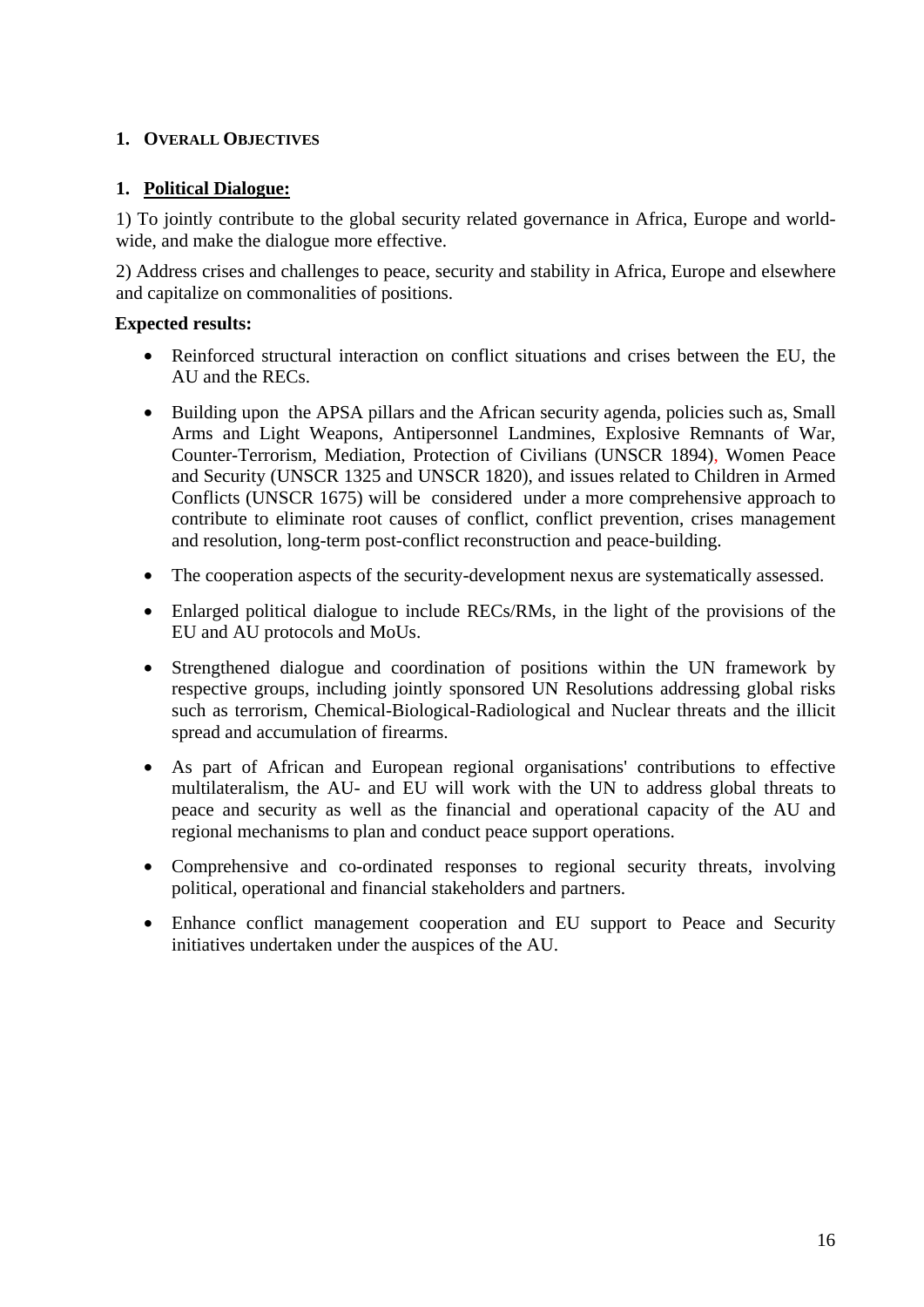## **1. OVERALL OBJECTIVES**

### **1. Political Dialogue:**

1) To jointly contribute to the global security related governance in Africa, Europe and worldwide, and make the dialogue more effective.

2) Address crises and challenges to peace, security and stability in Africa, Europe and elsewhere and capitalize on commonalities of positions.

## **Expected results:**

- Reinforced structural interaction on conflict situations and crises between the EU, the AU and the RECs.
- Building upon the APSA pillars and the African security agenda, policies such as, Small Arms and Light Weapons, Antipersonnel Landmines, Explosive Remnants of War, Counter-Terrorism, Mediation, Protection of Civilians (UNSCR 1894), Women Peace and Security (UNSCR 1325 and UNSCR 1820), and issues related to Children in Armed Conflicts (UNSCR 1675) will be considered under a more comprehensive approach to contribute to eliminate root causes of conflict, conflict prevention, crises management and resolution, long-term post-conflict reconstruction and peace-building.
- The cooperation aspects of the security-development nexus are systematically assessed.
- Enlarged political dialogue to include RECs/RMs, in the light of the provisions of the EU and AU protocols and MoUs.
- Strengthened dialogue and coordination of positions within the UN framework by respective groups, including jointly sponsored UN Resolutions addressing global risks such as terrorism, Chemical-Biological-Radiological and Nuclear threats and the illicit spread and accumulation of firearms.
- As part of African and European regional organisations' contributions to effective multilateralism, the AU- and EU will work with the UN to address global threats to peace and security as well as the financial and operational capacity of the AU and regional mechanisms to plan and conduct peace support operations.
- Comprehensive and co-ordinated responses to regional security threats, involving political, operational and financial stakeholders and partners.
- Enhance conflict management cooperation and EU support to Peace and Security initiatives undertaken under the auspices of the AU.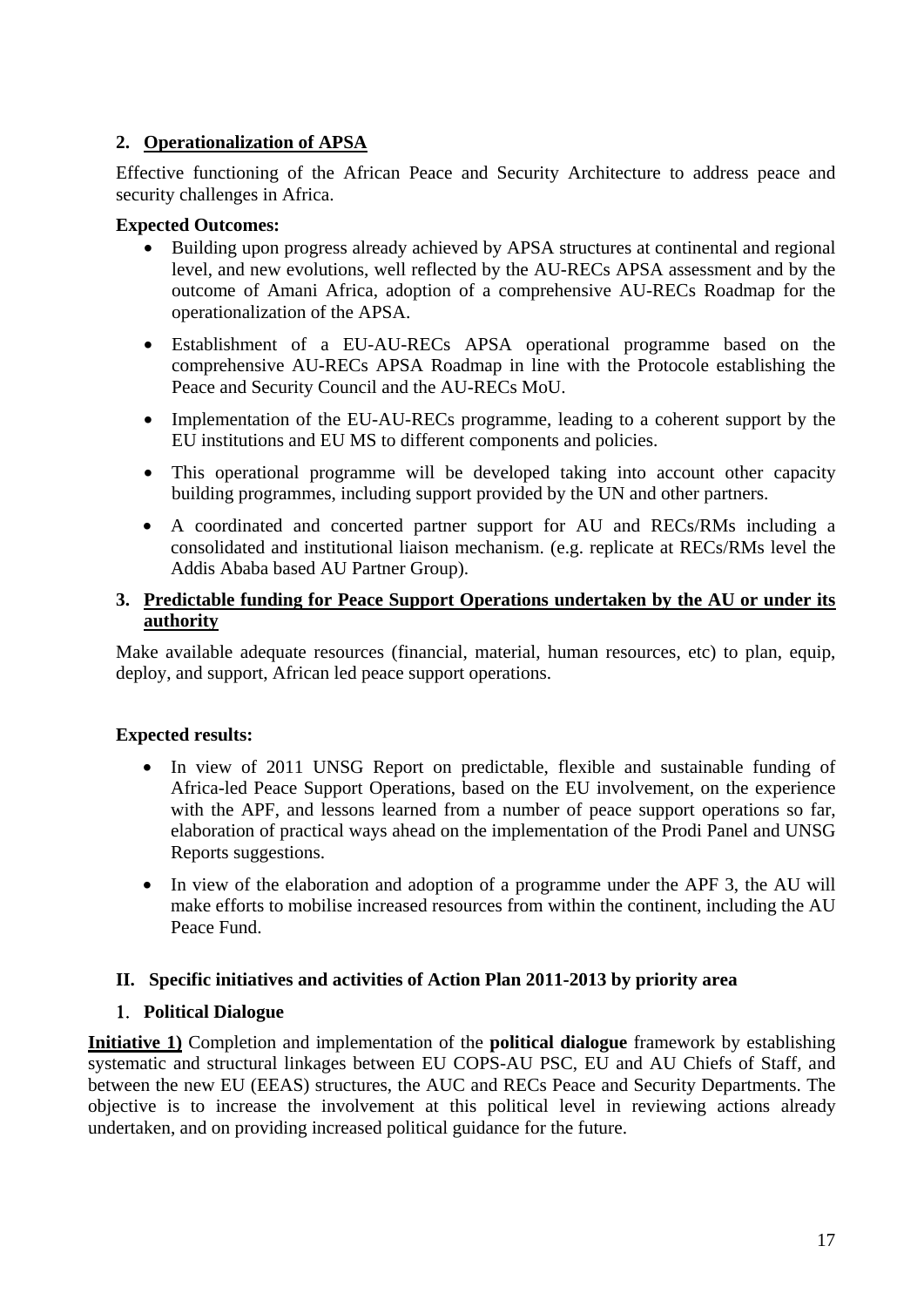## **2. Operationalization of APSA**

Effective functioning of the African Peace and Security Architecture to address peace and security challenges in Africa.

### **Expected Outcomes:**

- Building upon progress already achieved by APSA structures at continental and regional level, and new evolutions, well reflected by the AU-RECs APSA assessment and by the outcome of Amani Africa, adoption of a comprehensive AU-RECs Roadmap for the operationalization of the APSA.
- Establishment of a EU-AU-RECs APSA operational programme based on the comprehensive AU-RECs APSA Roadmap in line with the Protocole establishing the Peace and Security Council and the AU-RECs MoU.
- Implementation of the EU-AU-RECs programme, leading to a coherent support by the EU institutions and EU MS to different components and policies.
- This operational programme will be developed taking into account other capacity building programmes, including support provided by the UN and other partners.
- A coordinated and concerted partner support for AU and RECs/RMs including a consolidated and institutional liaison mechanism. (e.g. replicate at RECs/RMs level the Addis Ababa based AU Partner Group).

### **3. Predictable funding for Peace Support Operations undertaken by the AU or under its authority**

Make available adequate resources (financial, material, human resources, etc) to plan, equip, deploy, and support, African led peace support operations.

### **Expected results:**

- In view of 2011 UNSG Report on predictable, flexible and sustainable funding of Africa-led Peace Support Operations, based on the EU involvement, on the experience with the APF, and lessons learned from a number of peace support operations so far, elaboration of practical ways ahead on the implementation of the Prodi Panel and UNSG Reports suggestions.
- In view of the elaboration and adoption of a programme under the APF 3, the AU will make efforts to mobilise increased resources from within the continent, including the AU Peace Fund.

### **II. Specific initiatives and activities of Action Plan 2011-2013 by priority area**

### 1. **Political Dialogue**

**Initiative 1)** Completion and implementation of the **political dialogue** framework by establishing systematic and structural linkages between EU COPS-AU PSC, EU and AU Chiefs of Staff, and between the new EU (EEAS) structures, the AUC and RECs Peace and Security Departments. The objective is to increase the involvement at this political level in reviewing actions already undertaken, and on providing increased political guidance for the future.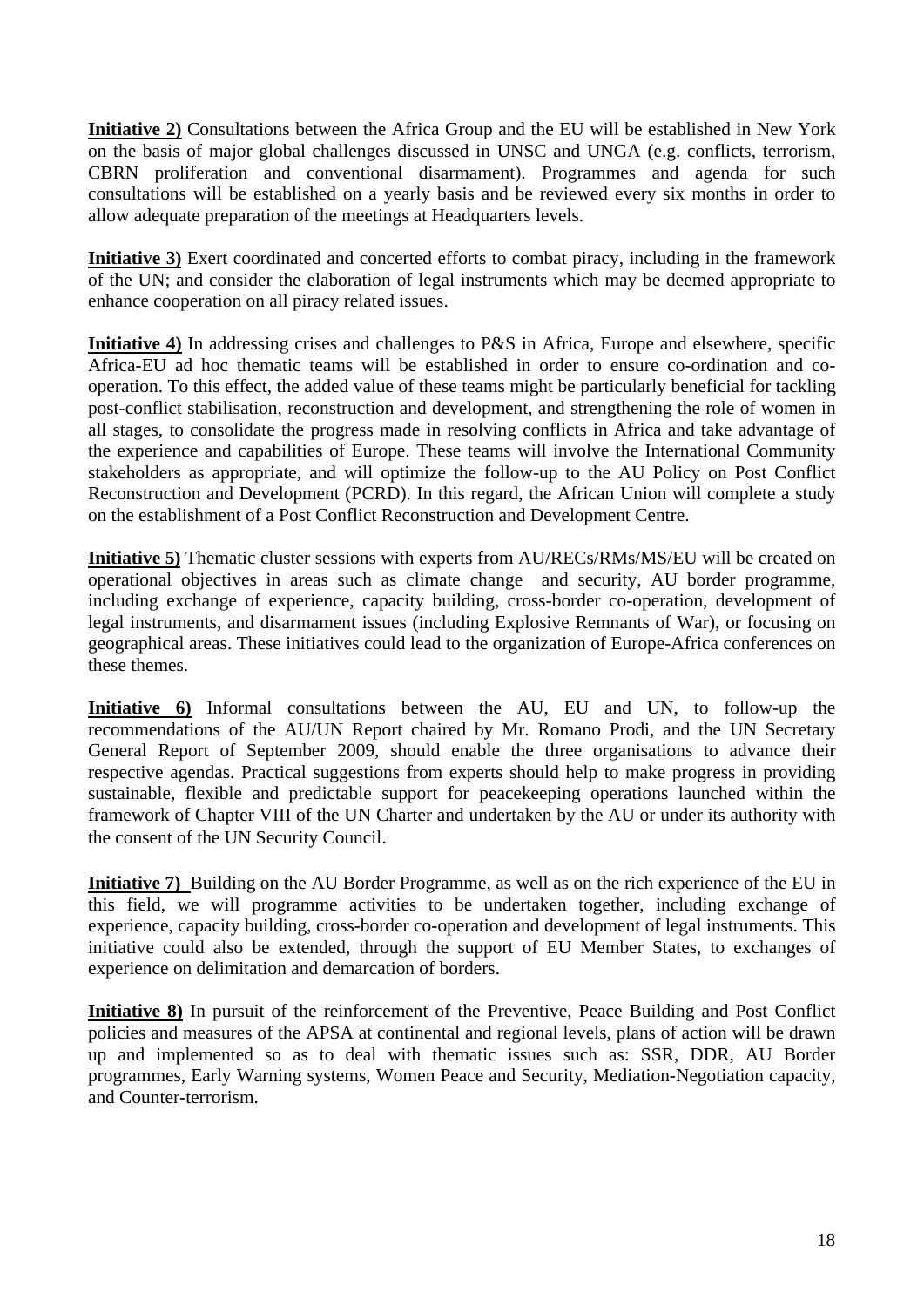**Initiative 2)** Consultations between the Africa Group and the EU will be established in New York on the basis of major global challenges discussed in UNSC and UNGA (e.g. conflicts, terrorism, CBRN proliferation and conventional disarmament). Programmes and agenda for such consultations will be established on a yearly basis and be reviewed every six months in order to allow adequate preparation of the meetings at Headquarters levels.

**Initiative 3)** Exert coordinated and concerted efforts to combat piracy, including in the framework of the UN; and consider the elaboration of legal instruments which may be deemed appropriate to enhance cooperation on all piracy related issues.

**Initiative 4)** In addressing crises and challenges to P&S in Africa, Europe and elsewhere, specific Africa-EU ad hoc thematic teams will be established in order to ensure co-ordination and cooperation. To this effect, the added value of these teams might be particularly beneficial for tackling post-conflict stabilisation, reconstruction and development, and strengthening the role of women in all stages, to consolidate the progress made in resolving conflicts in Africa and take advantage of the experience and capabilities of Europe. These teams will involve the International Community stakeholders as appropriate, and will optimize the follow-up to the AU Policy on Post Conflict Reconstruction and Development (PCRD). In this regard, the African Union will complete a study on the establishment of a Post Conflict Reconstruction and Development Centre.

**Initiative 5)** Thematic cluster sessions with experts from AU/RECs/RMs/MS/EU will be created on operational objectives in areas such as climate change and security, AU border programme, including exchange of experience, capacity building, cross-border co-operation, development of legal instruments, and disarmament issues (including Explosive Remnants of War), or focusing on geographical areas. These initiatives could lead to the organization of Europe-Africa conferences on these themes.

**Initiative 6)** Informal consultations between the AU, EU and UN, to follow-up the recommendations of the AU/UN Report chaired by Mr. Romano Prodi, and the UN Secretary General Report of September 2009, should enable the three organisations to advance their respective agendas. Practical suggestions from experts should help to make progress in providing sustainable, flexible and predictable support for peacekeeping operations launched within the framework of Chapter VIII of the UN Charter and undertaken by the AU or under its authority with the consent of the UN Security Council.

**Initiative 7)** Building on the AU Border Programme, as well as on the rich experience of the EU in this field, we will programme activities to be undertaken together, including exchange of experience, capacity building, cross-border co-operation and development of legal instruments. This initiative could also be extended, through the support of EU Member States, to exchanges of experience on delimitation and demarcation of borders.

**Initiative 8)** In pursuit of the reinforcement of the Preventive, Peace Building and Post Conflict policies and measures of the APSA at continental and regional levels, plans of action will be drawn up and implemented so as to deal with thematic issues such as: SSR, DDR, AU Border programmes, Early Warning systems, Women Peace and Security, Mediation-Negotiation capacity, and Counter-terrorism.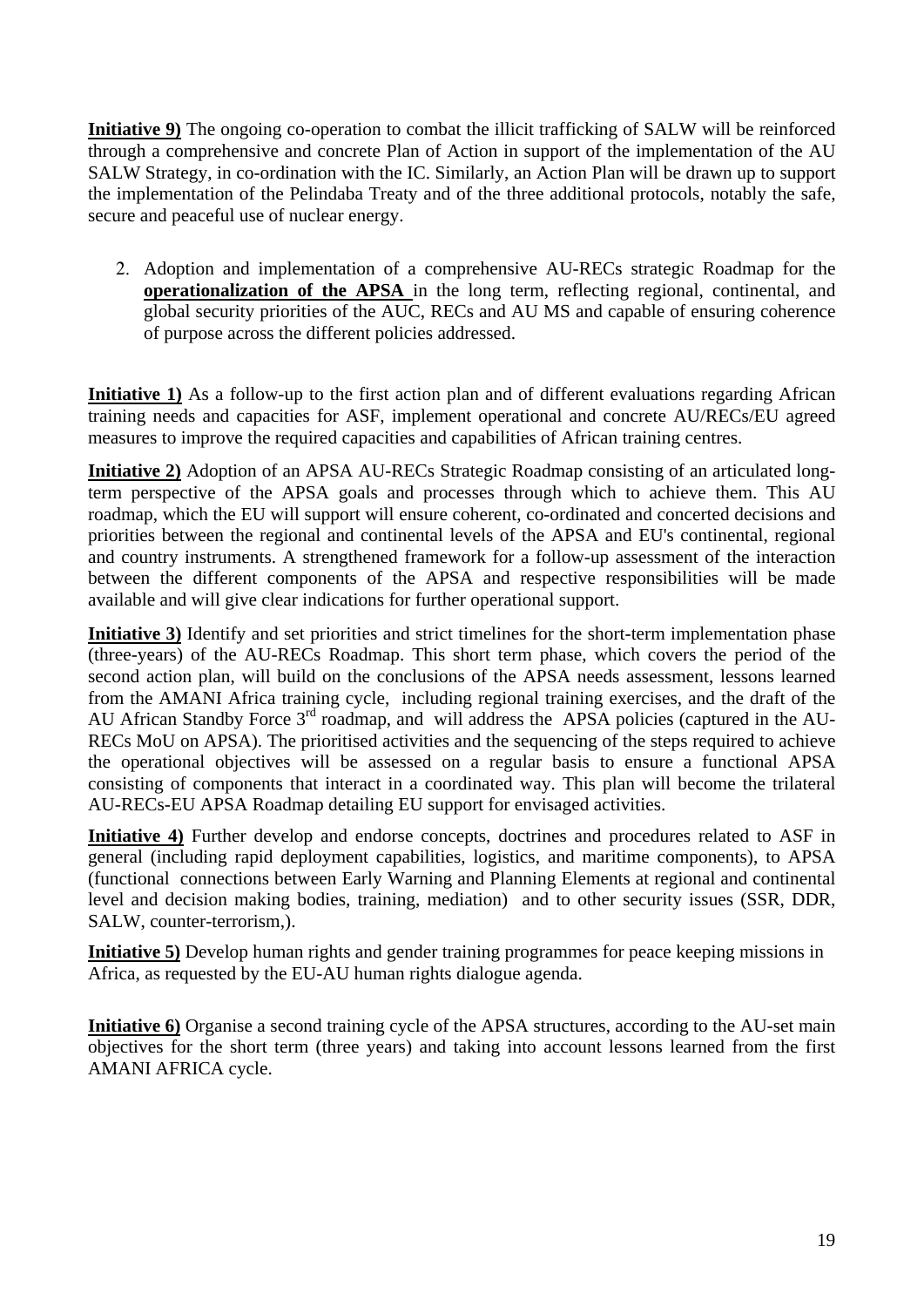**Initiative 9)** The ongoing co-operation to combat the illicit trafficking of SALW will be reinforced through a comprehensive and concrete Plan of Action in support of the implementation of the AU SALW Strategy, in co-ordination with the IC. Similarly, an Action Plan will be drawn up to support the implementation of the Pelindaba Treaty and of the three additional protocols, notably the safe, secure and peaceful use of nuclear energy.

2. Adoption and implementation of a comprehensive AU-RECs strategic Roadmap for the **operationalization of the APSA** in the long term, reflecting regional, continental, and global security priorities of the AUC, RECs and AU MS and capable of ensuring coherence of purpose across the different policies addressed.

**Initiative 1)** As a follow-up to the first action plan and of different evaluations regarding African training needs and capacities for ASF, implement operational and concrete AU/RECs/EU agreed measures to improve the required capacities and capabilities of African training centres.

**Initiative 2)** Adoption of an APSA AU-RECs Strategic Roadmap consisting of an articulated longterm perspective of the APSA goals and processes through which to achieve them. This AU roadmap, which the EU will support will ensure coherent, co-ordinated and concerted decisions and priorities between the regional and continental levels of the APSA and EU's continental, regional and country instruments. A strengthened framework for a follow-up assessment of the interaction between the different components of the APSA and respective responsibilities will be made available and will give clear indications for further operational support.

**Initiative 3)** Identify and set priorities and strict timelines for the short-term implementation phase (three-years) of the AU-RECs Roadmap. This short term phase, which covers the period of the second action plan, will build on the conclusions of the APSA needs assessment, lessons learned from the AMANI Africa training cycle, including regional training exercises, and the draft of the AU African Standby Force  $3<sup>rd</sup>$  roadmap, and will address the APSA policies (captured in the AU-RECs MoU on APSA). The prioritised activities and the sequencing of the steps required to achieve the operational objectives will be assessed on a regular basis to ensure a functional APSA consisting of components that interact in a coordinated way. This plan will become the trilateral AU-RECs-EU APSA Roadmap detailing EU support for envisaged activities.

**Initiative 4)** Further develop and endorse concepts, doctrines and procedures related to ASF in general (including rapid deployment capabilities, logistics, and maritime components), to APSA (functional connections between Early Warning and Planning Elements at regional and continental level and decision making bodies, training, mediation) and to other security issues (SSR, DDR, SALW, counter-terrorism,).

**Initiative 5)** Develop human rights and gender training programmes for peace keeping missions in Africa, as requested by the EU-AU human rights dialogue agenda.

**Initiative 6)** Organise a second training cycle of the APSA structures, according to the AU-set main objectives for the short term (three years) and taking into account lessons learned from the first AMANI AFRICA cycle.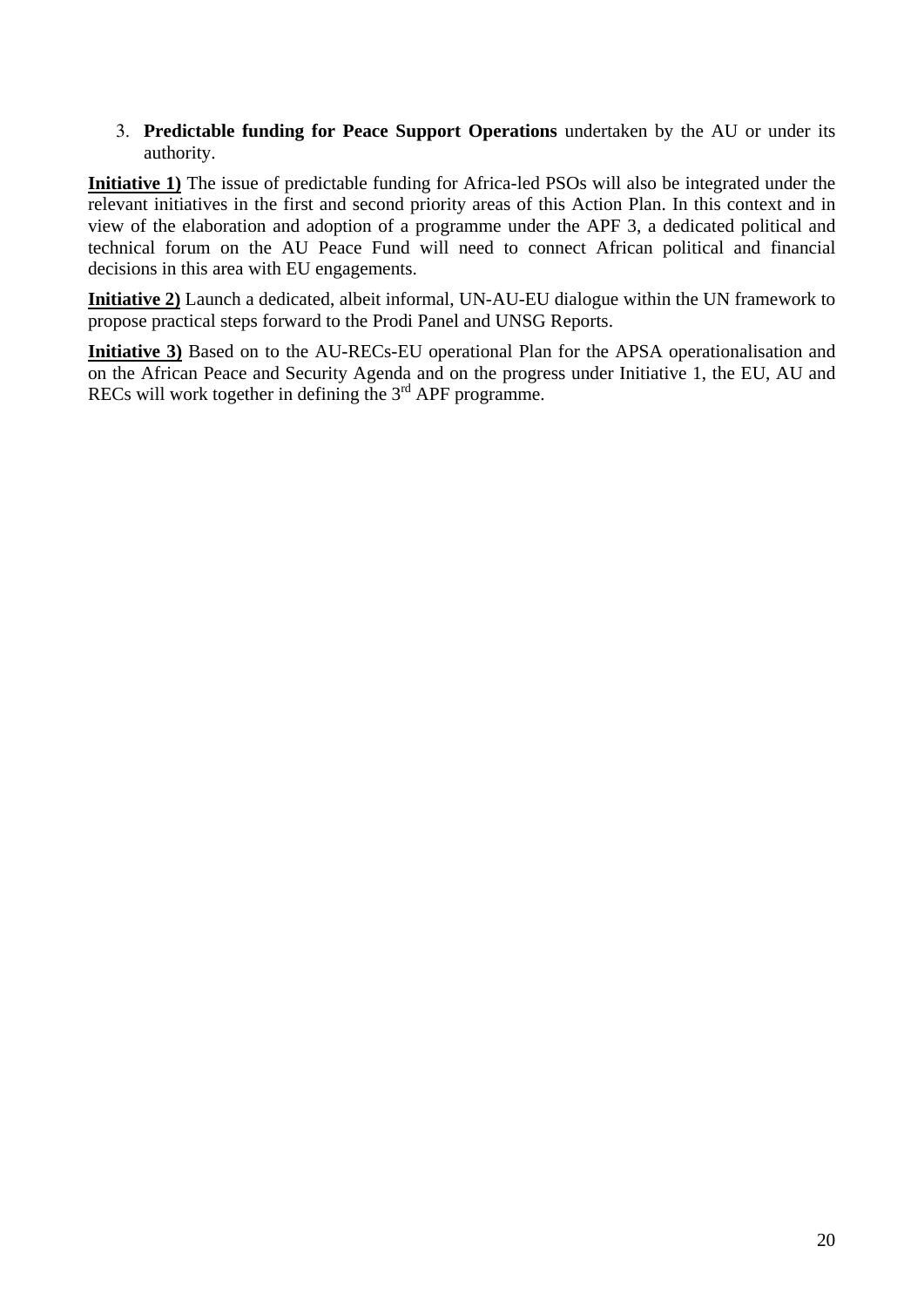#### 3. **Predictable funding for Peace Support Operations** undertaken by the AU or under its authority.

**Initiative 1)** The issue of predictable funding for Africa-led PSOs will also be integrated under the relevant initiatives in the first and second priority areas of this Action Plan. In this context and in view of the elaboration and adoption of a programme under the APF 3, a dedicated political and technical forum on the AU Peace Fund will need to connect African political and financial decisions in this area with EU engagements.

**Initiative 2)** Launch a dedicated, albeit informal, UN-AU-EU dialogue within the UN framework to propose practical steps forward to the Prodi Panel and UNSG Reports.

**Initiative 3)** Based on to the AU-RECs-EU operational Plan for the APSA operationalisation and on the African Peace and Security Agenda and on the progress under Initiative 1, the EU, AU and RECs will work together in defining the  $3<sup>rd</sup>$  APF programme.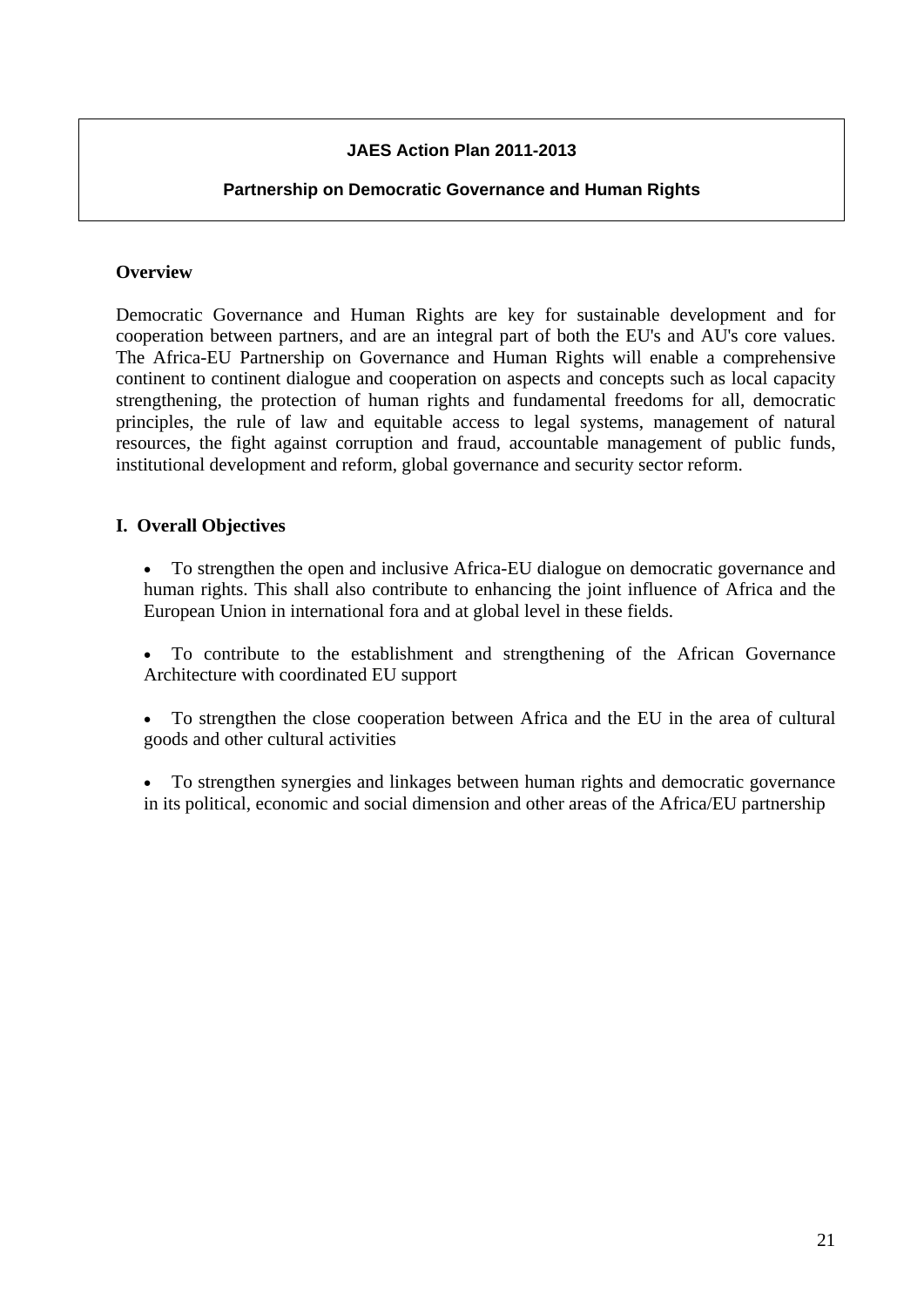## **JAES Action Plan 2011-2013**

### **Partnership on Democratic Governance and Human Rights**

### **Overview**

Democratic Governance and Human Rights are key for sustainable development and for cooperation between partners, and are an integral part of both the EU's and AU's core values. The Africa-EU Partnership on Governance and Human Rights will enable a comprehensive continent to continent dialogue and cooperation on aspects and concepts such as local capacity strengthening, the protection of human rights and fundamental freedoms for all, democratic principles, the rule of law and equitable access to legal systems, management of natural resources, the fight against corruption and fraud, accountable management of public funds, institutional development and reform, global governance and security sector reform.

### **I. Overall Objectives**

• To strengthen the open and inclusive Africa-EU dialogue on democratic governance and human rights. This shall also contribute to enhancing the joint influence of Africa and the European Union in international fora and at global level in these fields.

• To contribute to the establishment and strengthening of the African Governance Architecture with coordinated EU support

• To strengthen the close cooperation between Africa and the EU in the area of cultural goods and other cultural activities

• To strengthen synergies and linkages between human rights and democratic governance in its political, economic and social dimension and other areas of the Africa/EU partnership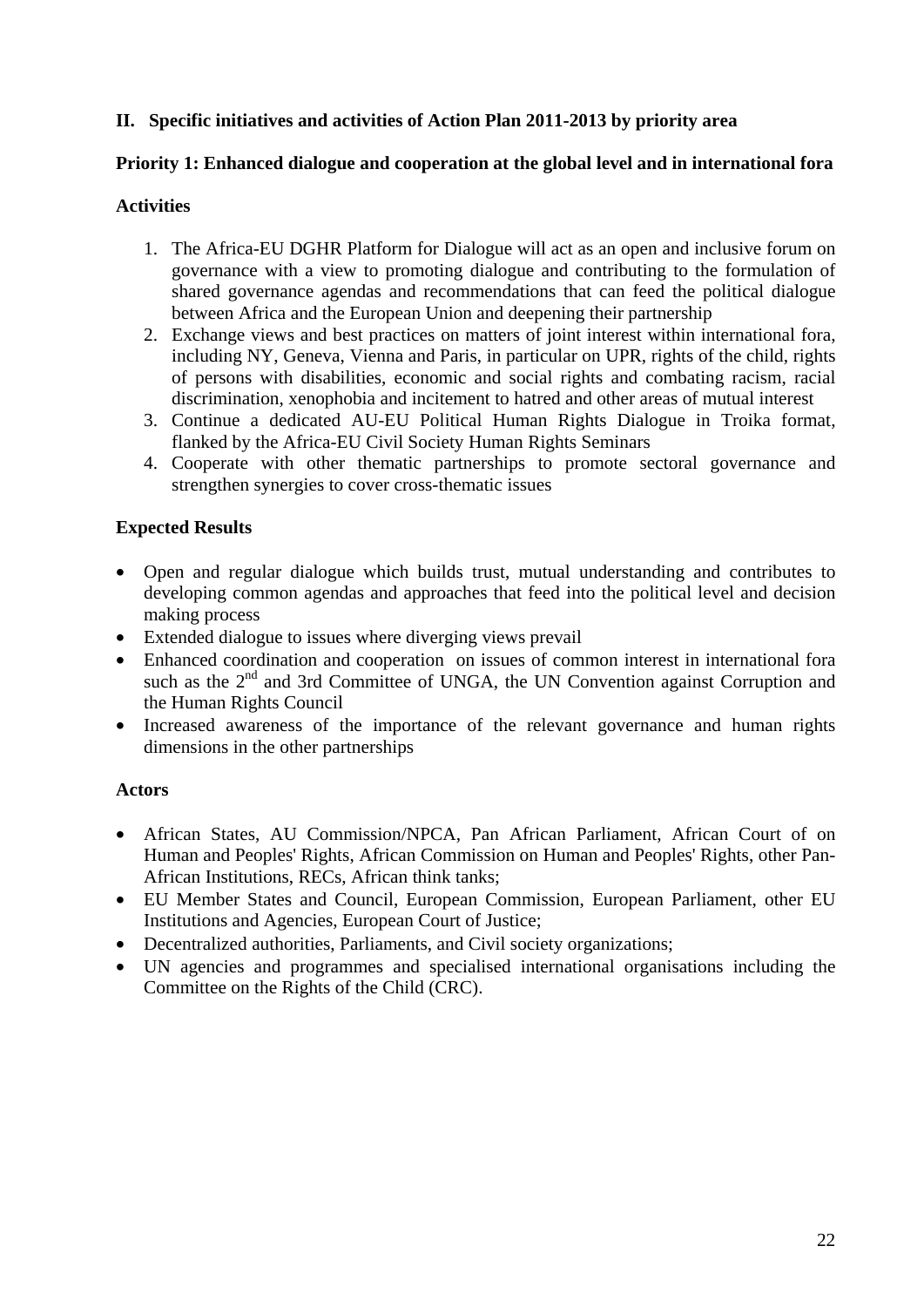### **II. Specific initiatives and activities of Action Plan 2011-2013 by priority area**

### **Priority 1: Enhanced dialogue and cooperation at the global level and in international fora**

### **Activities**

- 1. The Africa-EU DGHR Platform for Dialogue will act as an open and inclusive forum on governance with a view to promoting dialogue and contributing to the formulation of shared governance agendas and recommendations that can feed the political dialogue between Africa and the European Union and deepening their partnership
- 2. Exchange views and best practices on matters of joint interest within international fora, including NY, Geneva, Vienna and Paris, in particular on UPR, rights of the child, rights of persons with disabilities, economic and social rights and combating racism, racial discrimination, xenophobia and incitement to hatred and other areas of mutual interest
- 3. Continue a dedicated AU-EU Political Human Rights Dialogue in Troika format, flanked by the Africa-EU Civil Society Human Rights Seminars
- 4. Cooperate with other thematic partnerships to promote sectoral governance and strengthen synergies to cover cross-thematic issues

## **Expected Results**

- Open and regular dialogue which builds trust, mutual understanding and contributes to developing common agendas and approaches that feed into the political level and decision making process
- Extended dialogue to issues where diverging views prevail
- Enhanced coordination and cooperation on issues of common interest in international fora such as the 2<sup>nd</sup> and 3rd Committee of UNGA, the UN Convention against Corruption and the Human Rights Council
- Increased awareness of the importance of the relevant governance and human rights dimensions in the other partnerships

### **Actors**

- African States, AU Commission/NPCA, Pan African Parliament, African Court of on Human and Peoples' Rights, African Commission on Human and Peoples' Rights, other Pan-African Institutions, RECs, African think tanks;
- EU Member States and Council, European Commission, European Parliament, other EU Institutions and Agencies, European Court of Justice;
- Decentralized authorities, Parliaments, and Civil society organizations;
- UN agencies and programmes and specialised international organisations including the Committee on the Rights of the Child (CRC).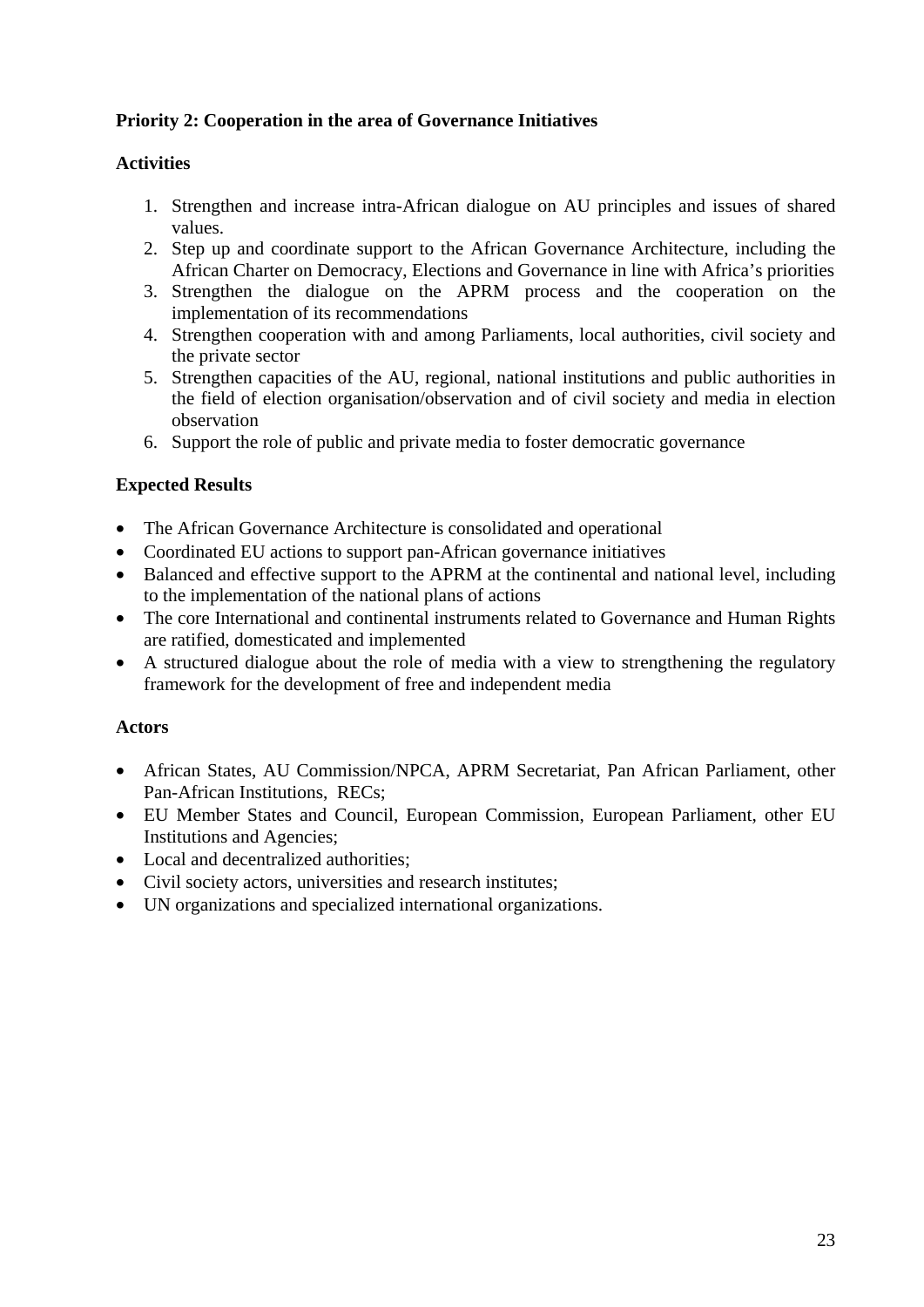# **Priority 2: Cooperation in the area of Governance Initiatives**

### **Activities**

- 1. Strengthen and increase intra-African dialogue on AU principles and issues of shared values.
- 2. Step up and coordinate support to the African Governance Architecture, including the African Charter on Democracy, Elections and Governance in line with Africa's priorities
- 3. Strengthen the dialogue on the APRM process and the cooperation on the implementation of its recommendations
- 4. Strengthen cooperation with and among Parliaments, local authorities, civil society and the private sector
- 5. Strengthen capacities of the AU, regional, national institutions and public authorities in the field of election organisation/observation and of civil society and media in election observation
- 6. Support the role of public and private media to foster democratic governance

# **Expected Results**

- The African Governance Architecture is consolidated and operational
- Coordinated EU actions to support pan-African governance initiatives
- Balanced and effective support to the APRM at the continental and national level, including to the implementation of the national plans of actions
- The core International and continental instruments related to Governance and Human Rights are ratified, domesticated and implemented
- A structured dialogue about the role of media with a view to strengthening the regulatory framework for the development of free and independent media

### **Actors**

- African States, AU Commission/NPCA, APRM Secretariat, Pan African Parliament, other Pan-African Institutions, RECs;
- EU Member States and Council, European Commission, European Parliament, other EU Institutions and Agencies;
- Local and decentralized authorities;
- Civil society actors, universities and research institutes;
- UN organizations and specialized international organizations.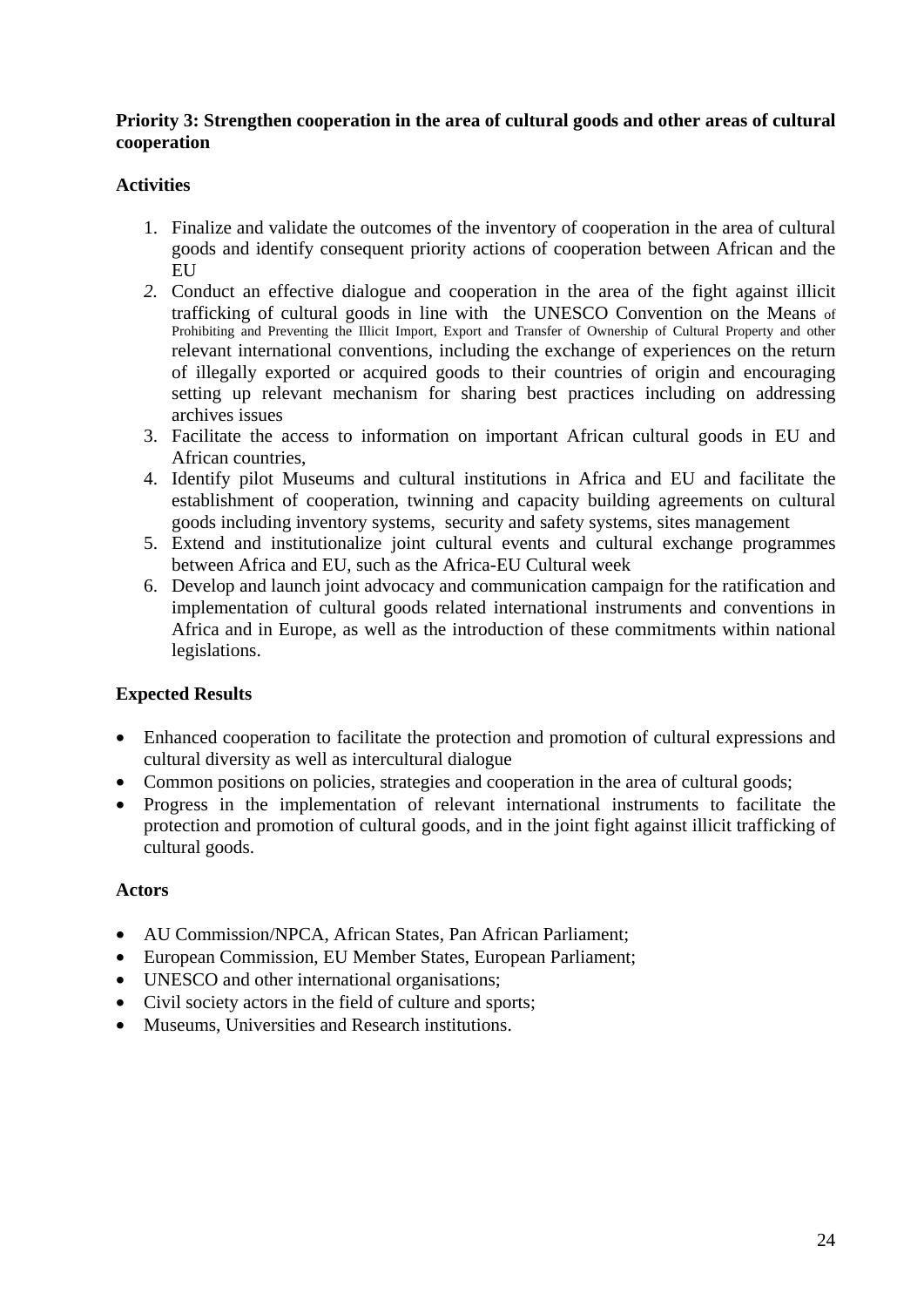#### **Priority 3: Strengthen cooperation in the area of cultural goods and other areas of cultural cooperation**

### **Activities**

- 1. Finalize and validate the outcomes of the inventory of cooperation in the area of cultural goods and identify consequent priority actions of cooperation between African and the **EU**
- *2.* Conduct an effective dialogue and cooperation in the area of the fight against illicit trafficking of cultural goods in line with the UNESCO Convention on the Means of Prohibiting and Preventing the Illicit Import, Export and Transfer of Ownership of Cultural Property and other relevant international conventions, including the exchange of experiences on the return of illegally exported or acquired goods to their countries of origin and encouraging setting up relevant mechanism for sharing best practices including on addressing archives issues
- 3. Facilitate the access to information on important African cultural goods in EU and African countries,
- 4. Identify pilot Museums and cultural institutions in Africa and EU and facilitate the establishment of cooperation, twinning and capacity building agreements on cultural goods including inventory systems, security and safety systems, sites management
- 5. Extend and institutionalize joint cultural events and cultural exchange programmes between Africa and EU, such as the Africa-EU Cultural week
- 6. Develop and launch joint advocacy and communication campaign for the ratification and implementation of cultural goods related international instruments and conventions in Africa and in Europe, as well as the introduction of these commitments within national legislations.

### **Expected Results**

- Enhanced cooperation to facilitate the protection and promotion of cultural expressions and cultural diversity as well as intercultural dialogue
- Common positions on policies, strategies and cooperation in the area of cultural goods;
- Progress in the implementation of relevant international instruments to facilitate the protection and promotion of cultural goods, and in the joint fight against illicit trafficking of cultural goods.

### **Actors**

- AU Commission/NPCA, African States, Pan African Parliament;
- European Commission, EU Member States, European Parliament;
- UNESCO and other international organisations;
- Civil society actors in the field of culture and sports;
- Museums, Universities and Research institutions.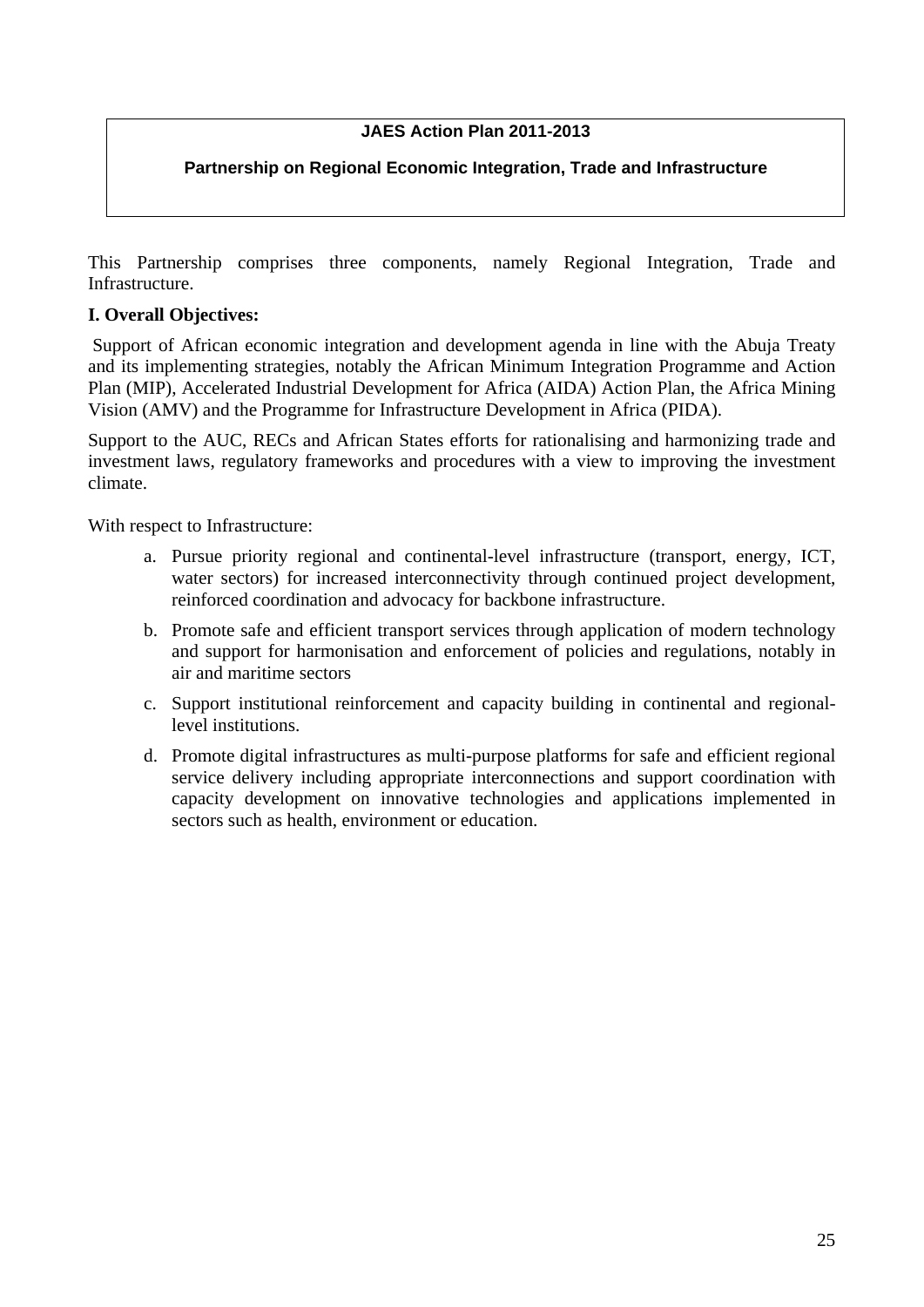# **JAES Action Plan 2011-2013**

## **Partnership on Regional Economic Integration, Trade and Infrastructure**

This Partnership comprises three components, namely Regional Integration, Trade and **Infrastructure** 

### **I. Overall Objectives:**

Support of African economic integration and development agenda in line with the Abuja Treaty and its implementing strategies, notably the African Minimum Integration Programme and Action Plan (MIP), Accelerated Industrial Development for Africa (AIDA) Action Plan, the Africa Mining Vision (AMV) and the Programme for Infrastructure Development in Africa (PIDA).

Support to the AUC, RECs and African States efforts for rationalising and harmonizing trade and investment laws, regulatory frameworks and procedures with a view to improving the investment climate.

With respect to Infrastructure:

- a. Pursue priority regional and continental-level infrastructure (transport, energy, ICT, water sectors) for increased interconnectivity through continued project development, reinforced coordination and advocacy for backbone infrastructure.
- b. Promote safe and efficient transport services through application of modern technology and support for harmonisation and enforcement of policies and regulations, notably in air and maritime sectors
- c. Support institutional reinforcement and capacity building in continental and regionallevel institutions.
- d. Promote digital infrastructures as multi-purpose platforms for safe and efficient regional service delivery including appropriate interconnections and support coordination with capacity development on innovative technologies and applications implemented in sectors such as health, environment or education.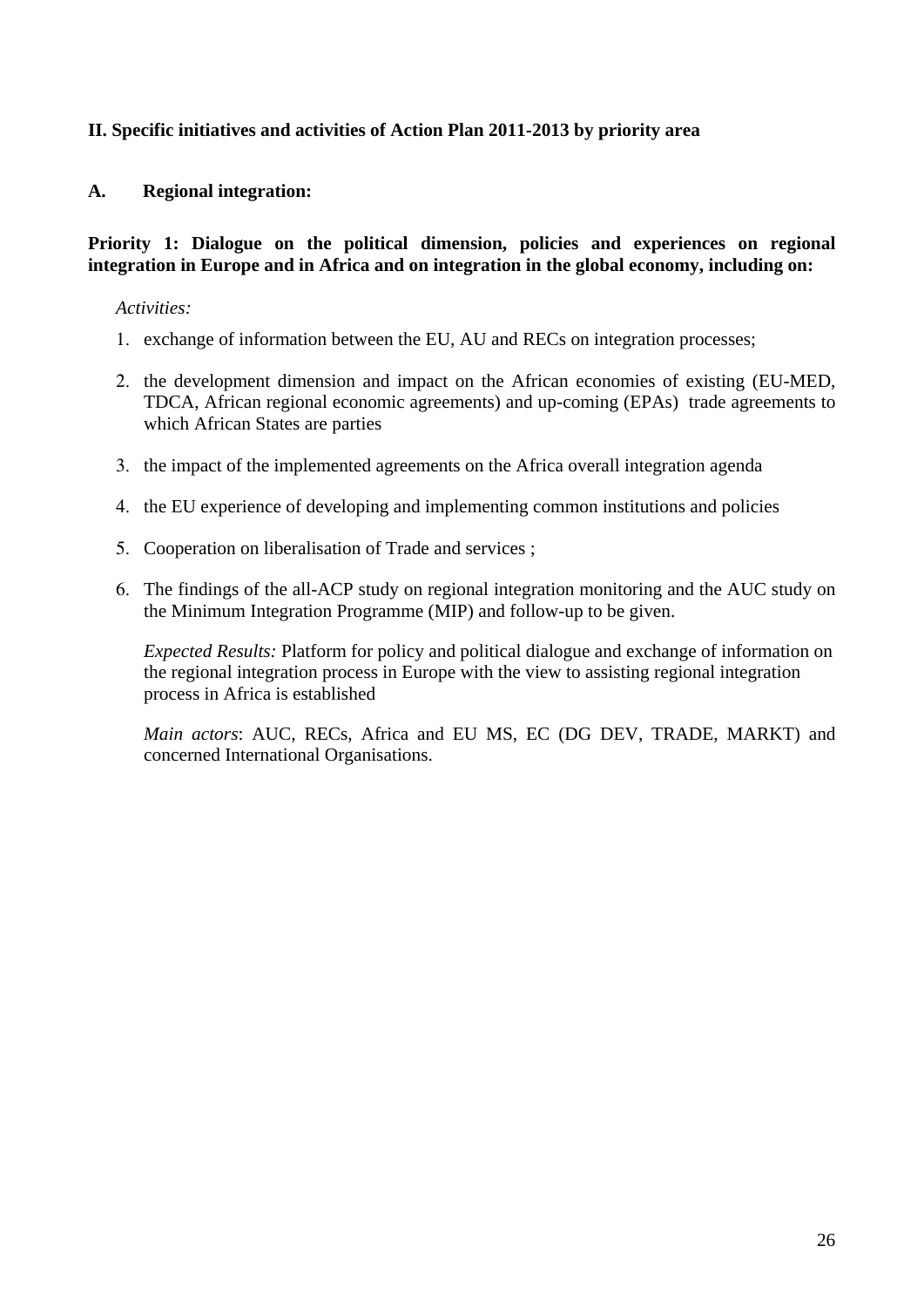### **II. Specific initiatives and activities of Action Plan 2011-2013 by priority area**

#### **A. Regional integration:**

#### **Priority 1: Dialogue on the political dimension, policies and experiences on regional integration in Europe and in Africa and on integration in the global economy, including on:**

#### *Activities:*

- 1. exchange of information between the EU, AU and RECs on integration processes;
- 2. the development dimension and impact on the African economies of existing (EU-MED, TDCA, African regional economic agreements) and up-coming (EPAs) trade agreements to which African States are parties
- 3. the impact of the implemented agreements on the Africa overall integration agenda
- 4. the EU experience of developing and implementing common institutions and policies
- 5. Cooperation on liberalisation of Trade and services ;
- 6. The findings of the all-ACP study on regional integration monitoring and the AUC study on the Minimum Integration Programme (MIP) and follow-up to be given.

*Expected Results:* Platform for policy and political dialogue and exchange of information on the regional integration process in Europe with the view to assisting regional integration process in Africa is established

*Main actors*: AUC, RECs, Africa and EU MS, EC (DG DEV, TRADE, MARKT) and concerned International Organisations.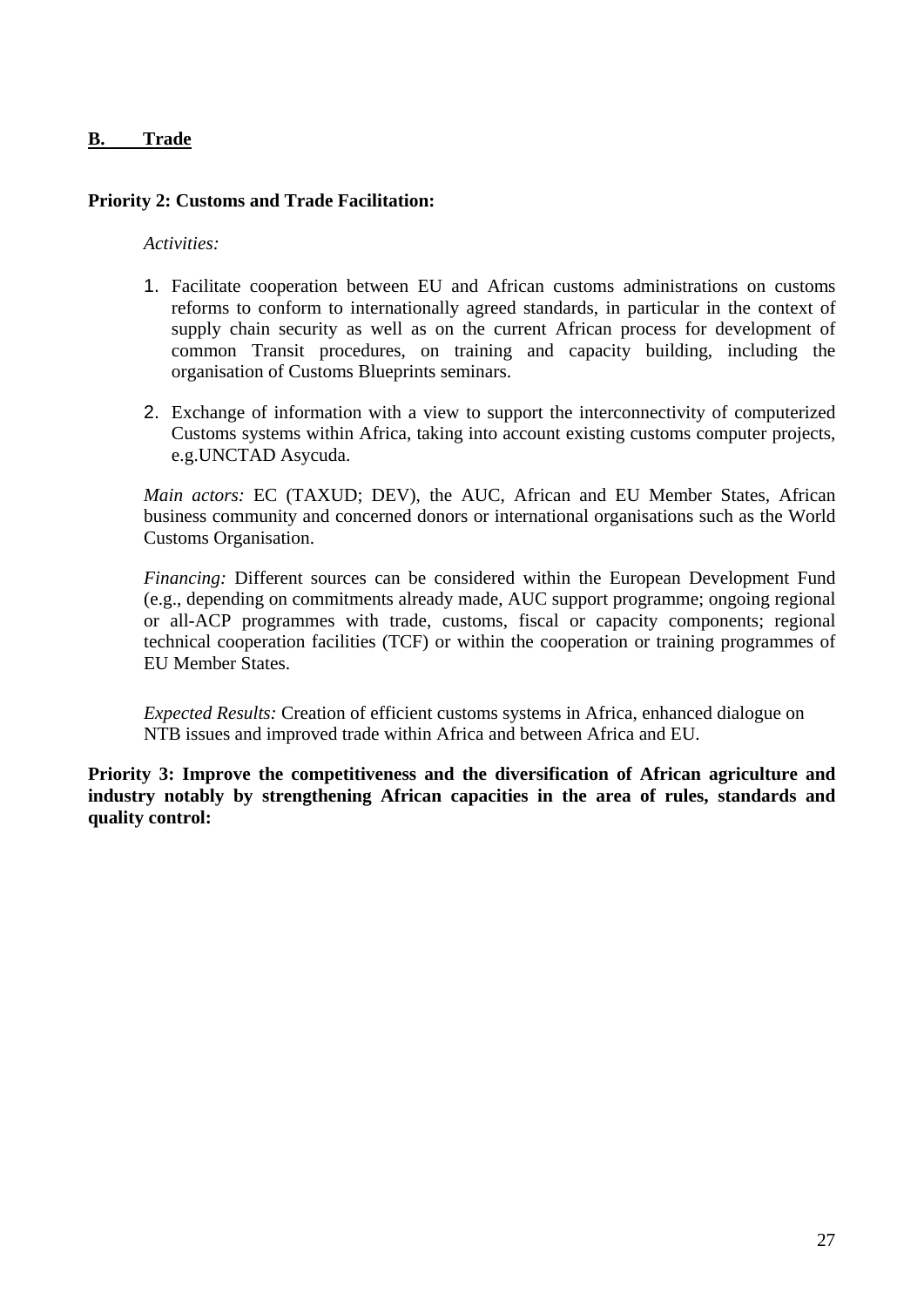### **B. Trade**

#### **Priority 2: Customs and Trade Facilitation:**

*Activities:* 

- 1. Facilitate cooperation between EU and African customs administrations on customs reforms to conform to internationally agreed standards, in particular in the context of supply chain security as well as on the current African process for development of common Transit procedures, on training and capacity building, including the organisation of Customs Blueprints seminars.
- 2. Exchange of information with a view to support the interconnectivity of computerized Customs systems within Africa, taking into account existing customs computer projects, e.g.UNCTAD Asycuda.

*Main actors:* EC (TAXUD; DEV), the AUC, African and EU Member States, African business community and concerned donors or international organisations such as the World Customs Organisation.

*Financing:* Different sources can be considered within the European Development Fund (e.g., depending on commitments already made, AUC support programme; ongoing regional or all-ACP programmes with trade, customs, fiscal or capacity components; regional technical cooperation facilities (TCF) or within the cooperation or training programmes of EU Member States.

*Expected Results:* Creation of efficient customs systems in Africa, enhanced dialogue on NTB issues and improved trade within Africa and between Africa and EU.

**Priority 3: Improve the competitiveness and the diversification of African agriculture and industry notably by strengthening African capacities in the area of rules, standards and quality control:**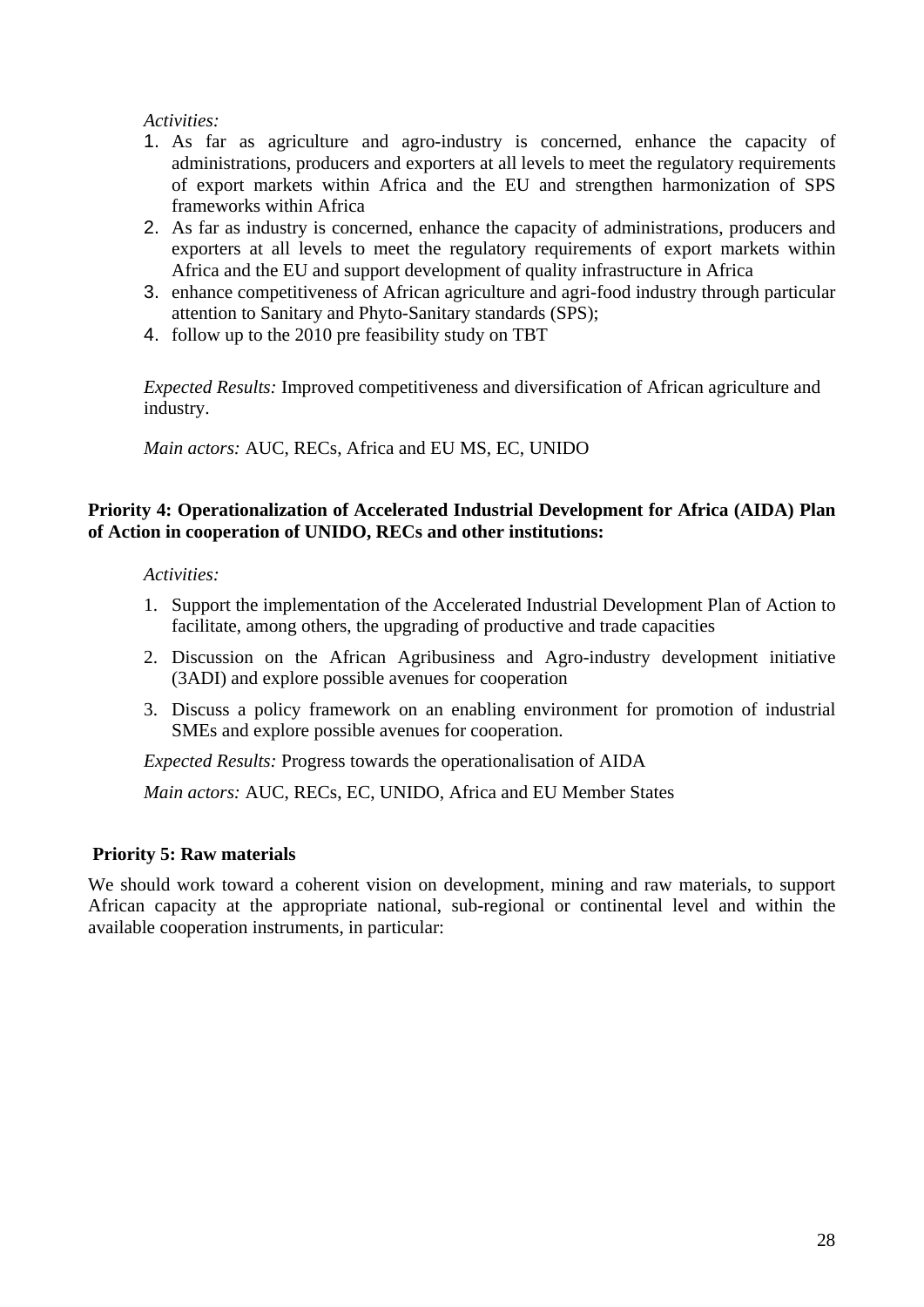#### *Activities:*

- 1. As far as agriculture and agro-industry is concerned, enhance the capacity of administrations, producers and exporters at all levels to meet the regulatory requirements of export markets within Africa and the EU and strengthen harmonization of SPS frameworks within Africa
- 2. As far as industry is concerned, enhance the capacity of administrations, producers and exporters at all levels to meet the regulatory requirements of export markets within Africa and the EU and support development of quality infrastructure in Africa
- 3. enhance competitiveness of African agriculture and agri-food industry through particular attention to Sanitary and Phyto-Sanitary standards (SPS);
- 4. follow up to the 2010 pre feasibility study on TBT

*Expected Results:* Improved competitiveness and diversification of African agriculture and industry.

*Main actors:* AUC, RECs, Africa and EU MS, EC, UNIDO

#### **Priority 4: Operationalization of Accelerated Industrial Development for Africa (AIDA) Plan of Action in cooperation of UNIDO, RECs and other institutions:**

#### *Activities:*

- 1. Support the implementation of the Accelerated Industrial Development Plan of Action to facilitate, among others, the upgrading of productive and trade capacities
- 2. Discussion on the African Agribusiness and Agro-industry development initiative (3ADI) and explore possible avenues for cooperation
- 3. Discuss a policy framework on an enabling environment for promotion of industrial SMEs and explore possible avenues for cooperation.

*Expected Results:* Progress towards the operationalisation of AIDA

*Main actors:* AUC, RECs, EC, UNIDO, Africa and EU Member States

### **Priority 5: Raw materials**

We should work toward a coherent vision on development, mining and raw materials, to support African capacity at the appropriate national, sub-regional or continental level and within the available cooperation instruments, in particular: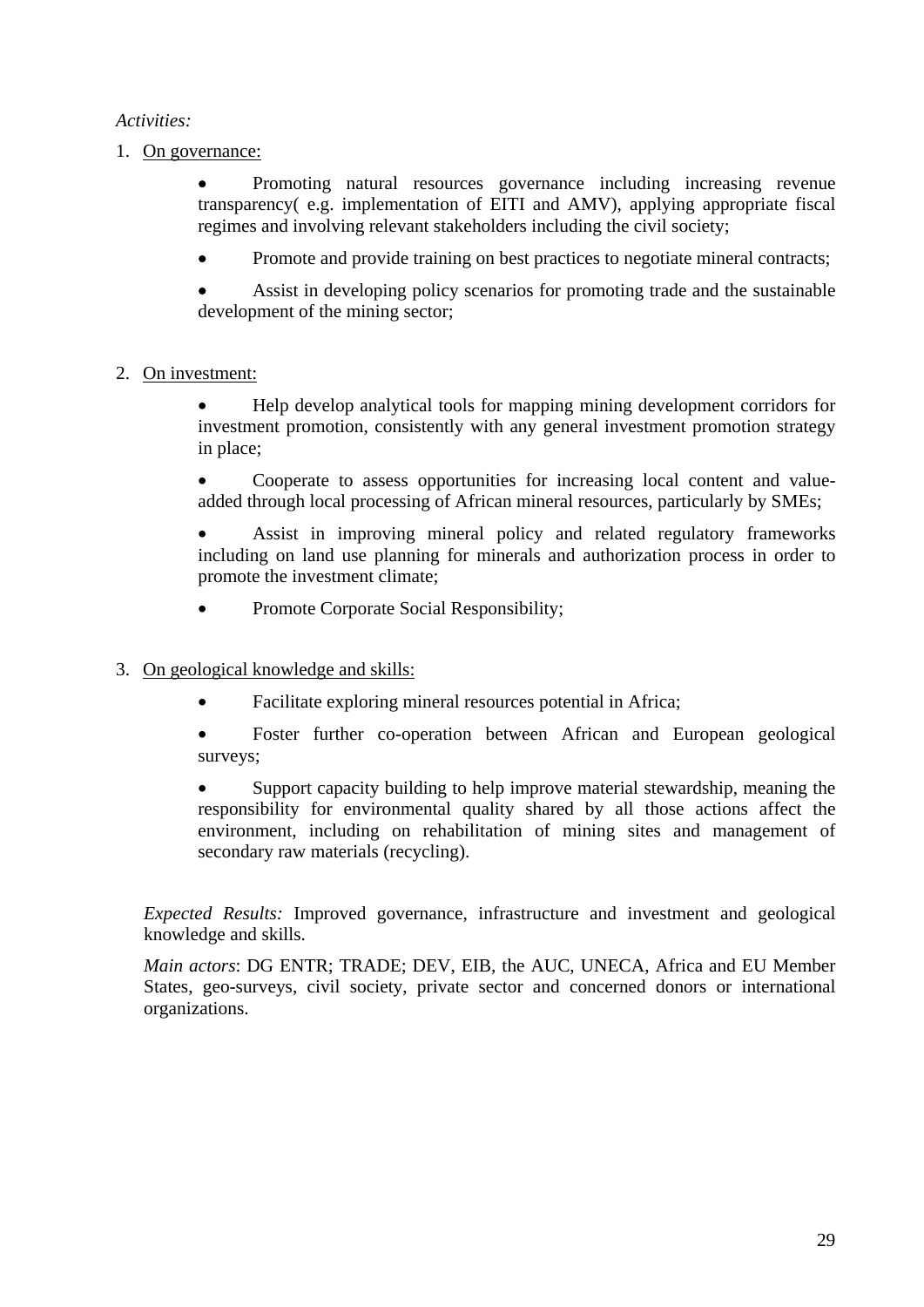## *Activities:*

1. On governance:

• Promoting natural resources governance including increasing revenue transparency( e.g. implementation of EITI and AMV), applying appropriate fiscal regimes and involving relevant stakeholders including the civil society;

• Promote and provide training on best practices to negotiate mineral contracts;

Assist in developing policy scenarios for promoting trade and the sustainable development of the mining sector;

## 2. On investment:

• Help develop analytical tools for mapping mining development corridors for investment promotion, consistently with any general investment promotion strategy in place;

• Cooperate to assess opportunities for increasing local content and valueadded through local processing of African mineral resources, particularly by SMEs;

• Assist in improving mineral policy and related regulatory frameworks including on land use planning for minerals and authorization process in order to promote the investment climate;

• Promote Corporate Social Responsibility;

### 3. On geological knowledge and skills:

- Facilitate exploring mineral resources potential in Africa;
- Foster further co-operation between African and European geological surveys;

• Support capacity building to help improve material stewardship, meaning the responsibility for environmental quality shared by all those actions affect the environment, including on rehabilitation of mining sites and management of secondary raw materials (recycling).

*Expected Results:* Improved governance, infrastructure and investment and geological knowledge and skills.

*Main actors*: DG ENTR; TRADE; DEV, EIB, the AUC, UNECA, Africa and EU Member States, geo-surveys, civil society, private sector and concerned donors or international organizations.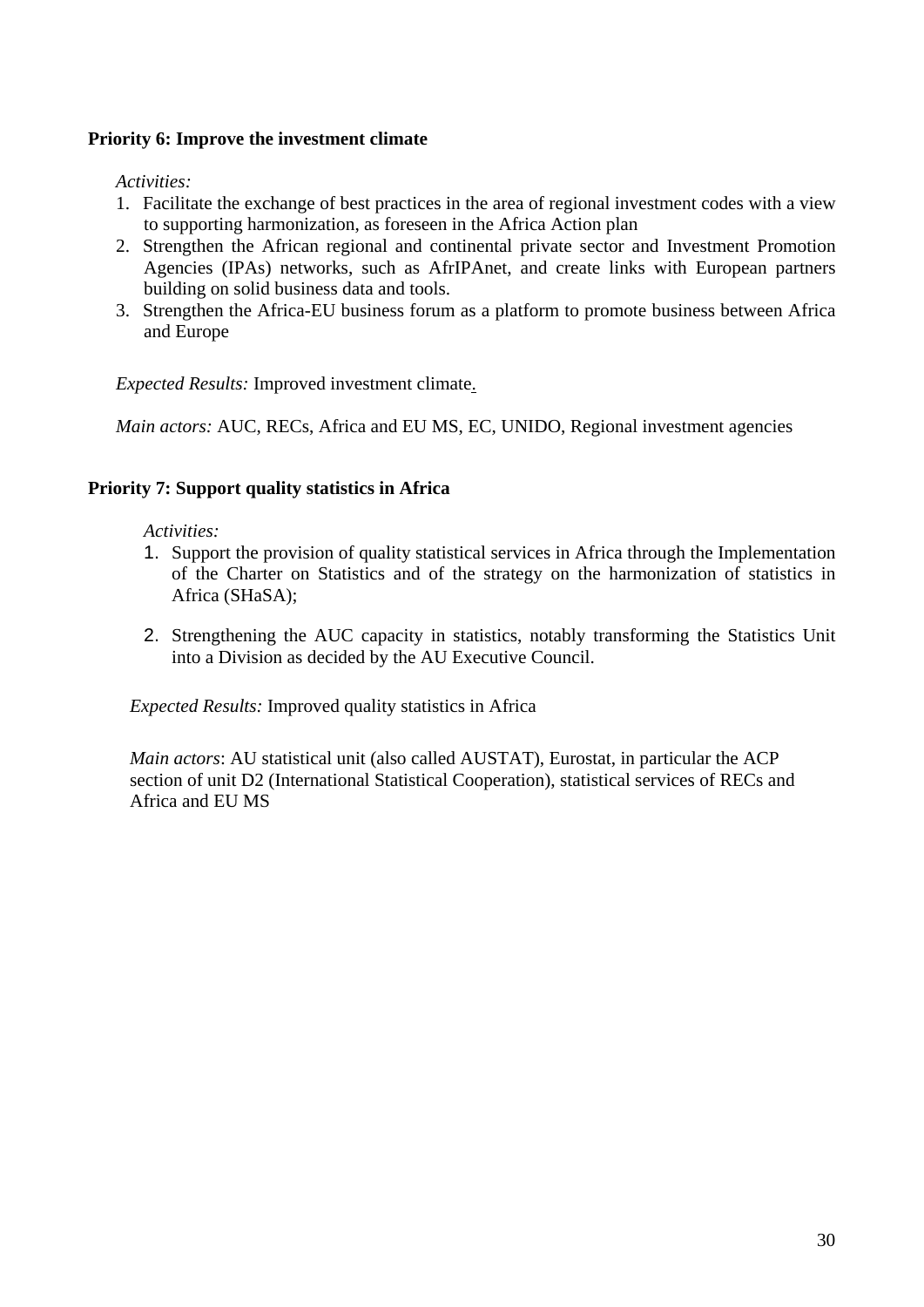## **Priority 6: Improve the investment climate**

*Activities:* 

- 1. Facilitate the exchange of best practices in the area of regional investment codes with a view to supporting harmonization, as foreseen in the Africa Action plan
- 2. Strengthen the African regional and continental private sector and Investment Promotion Agencies (IPAs) networks, such as AfrIPAnet, and create links with European partners building on solid business data and tools.
- 3. Strengthen the Africa-EU business forum as a platform to promote business between Africa and Europe

*Expected Results:* Improved investment climate.

*Main actors:* AUC, RECs, Africa and EU MS, EC, UNIDO, Regional investment agencies

### **Priority 7: Support quality statistics in Africa**

*Activities:* 

- 1. Support the provision of quality statistical services in Africa through the Implementation of the Charter on Statistics and of the strategy on the harmonization of statistics in Africa (SHaSA);
- 2. Strengthening the AUC capacity in statistics, notably transforming the Statistics Unit into a Division as decided by the AU Executive Council.

*Expected Results:* Improved quality statistics in Africa

*Main actors*: AU statistical unit (also called AUSTAT), Eurostat, in particular the ACP section of unit D2 (International Statistical Cooperation), statistical services of RECs and Africa and EU MS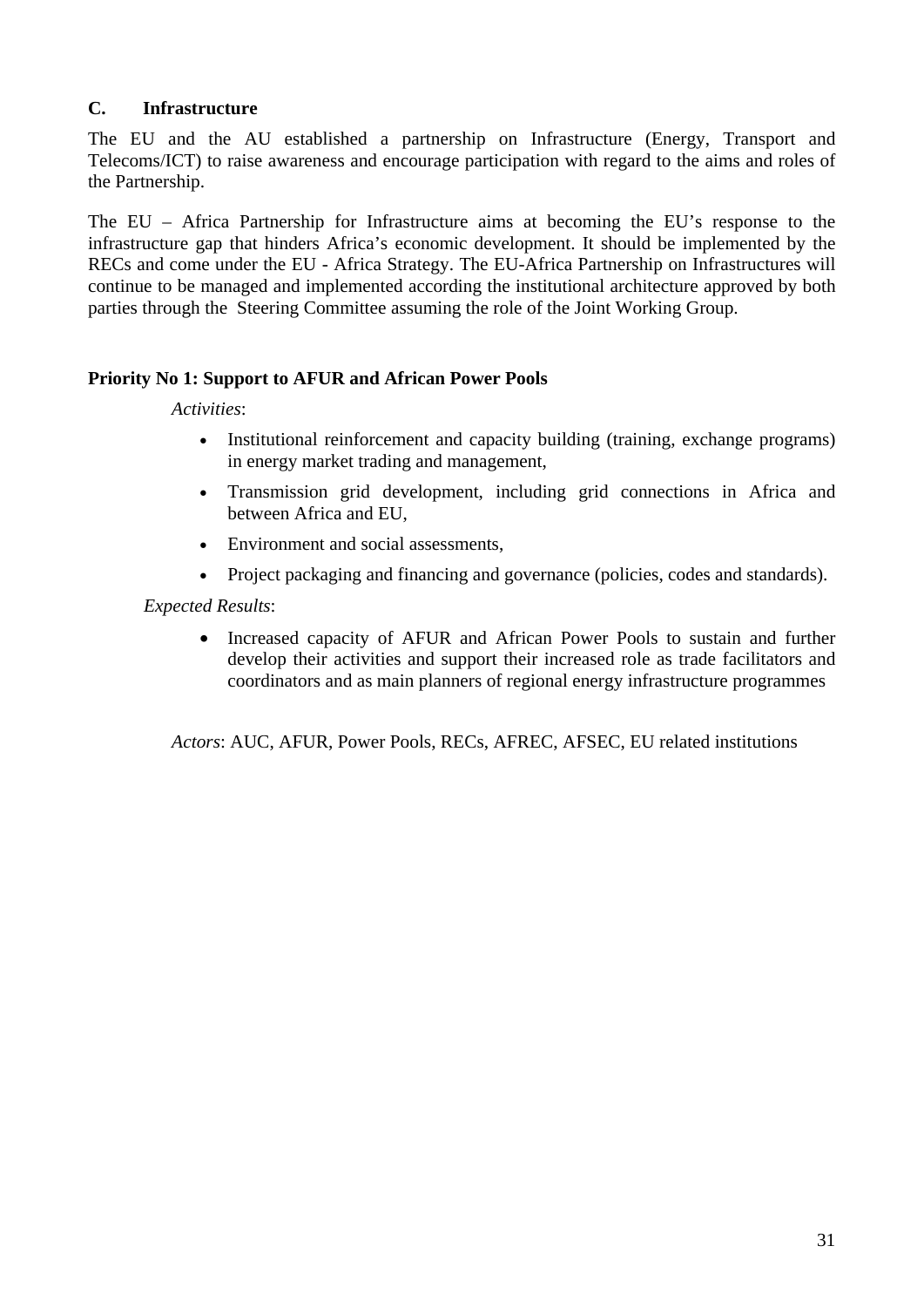## **C. Infrastructure**

The EU and the AU established a partnership on Infrastructure (Energy, Transport and Telecoms/ICT) to raise awareness and encourage participation with regard to the aims and roles of the Partnership.

The EU – Africa Partnership for Infrastructure aims at becoming the EU's response to the infrastructure gap that hinders Africa's economic development. It should be implemented by the RECs and come under the EU - Africa Strategy. The EU-Africa Partnership on Infrastructures will continue to be managed and implemented according the institutional architecture approved by both parties through the Steering Committee assuming the role of the Joint Working Group.

### **Priority No 1: Support to AFUR and African Power Pools**

*Activities*:

- Institutional reinforcement and capacity building (training, exchange programs) in energy market trading and management,
- Transmission grid development, including grid connections in Africa and between Africa and EU,
- Environment and social assessments,
- Project packaging and financing and governance (policies, codes and standards).

#### *Expected Results*:

• Increased capacity of AFUR and African Power Pools to sustain and further develop their activities and support their increased role as trade facilitators and coordinators and as main planners of regional energy infrastructure programmes

*Actors*: AUC, AFUR, Power Pools, RECs, AFREC, AFSEC, EU related institutions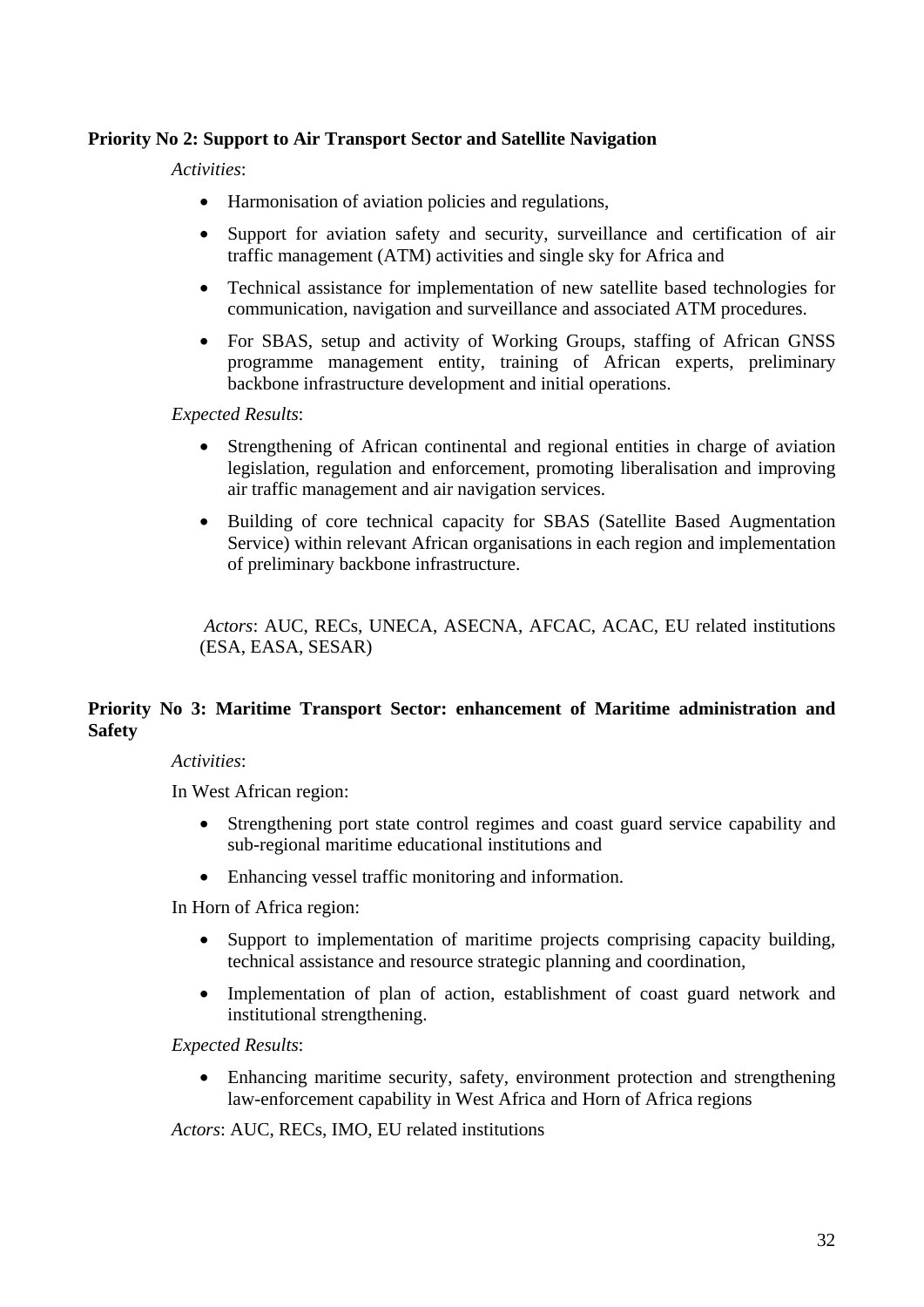### **Priority No 2: Support to Air Transport Sector and Satellite Navigation**

*Activities*:

- Harmonisation of aviation policies and regulations,
- Support for aviation safety and security, surveillance and certification of air traffic management (ATM) activities and single sky for Africa and
- Technical assistance for implementation of new satellite based technologies for communication, navigation and surveillance and associated ATM procedures.
- For SBAS, setup and activity of Working Groups, staffing of African GNSS programme management entity, training of African experts, preliminary backbone infrastructure development and initial operations.

*Expected Results*:

- Strengthening of African continental and regional entities in charge of aviation legislation, regulation and enforcement, promoting liberalisation and improving air traffic management and air navigation services.
- Building of core technical capacity for SBAS (Satellite Based Augmentation Service) within relevant African organisations in each region and implementation of preliminary backbone infrastructure.

 *Actors*: AUC, RECs, UNECA, ASECNA, AFCAC, ACAC, EU related institutions (ESA, EASA, SESAR)

### **Priority No 3: Maritime Transport Sector: enhancement of Maritime administration and Safety**

### *Activities*:

In West African region:

- Strengthening port state control regimes and coast guard service capability and sub-regional maritime educational institutions and
- Enhancing vessel traffic monitoring and information.

In Horn of Africa region:

- Support to implementation of maritime projects comprising capacity building, technical assistance and resource strategic planning and coordination,
- Implementation of plan of action, establishment of coast guard network and institutional strengthening.

*Expected Results*:

• Enhancing maritime security, safety, environment protection and strengthening law-enforcement capability in West Africa and Horn of Africa regions

*Actors*: AUC, RECs, IMO, EU related institutions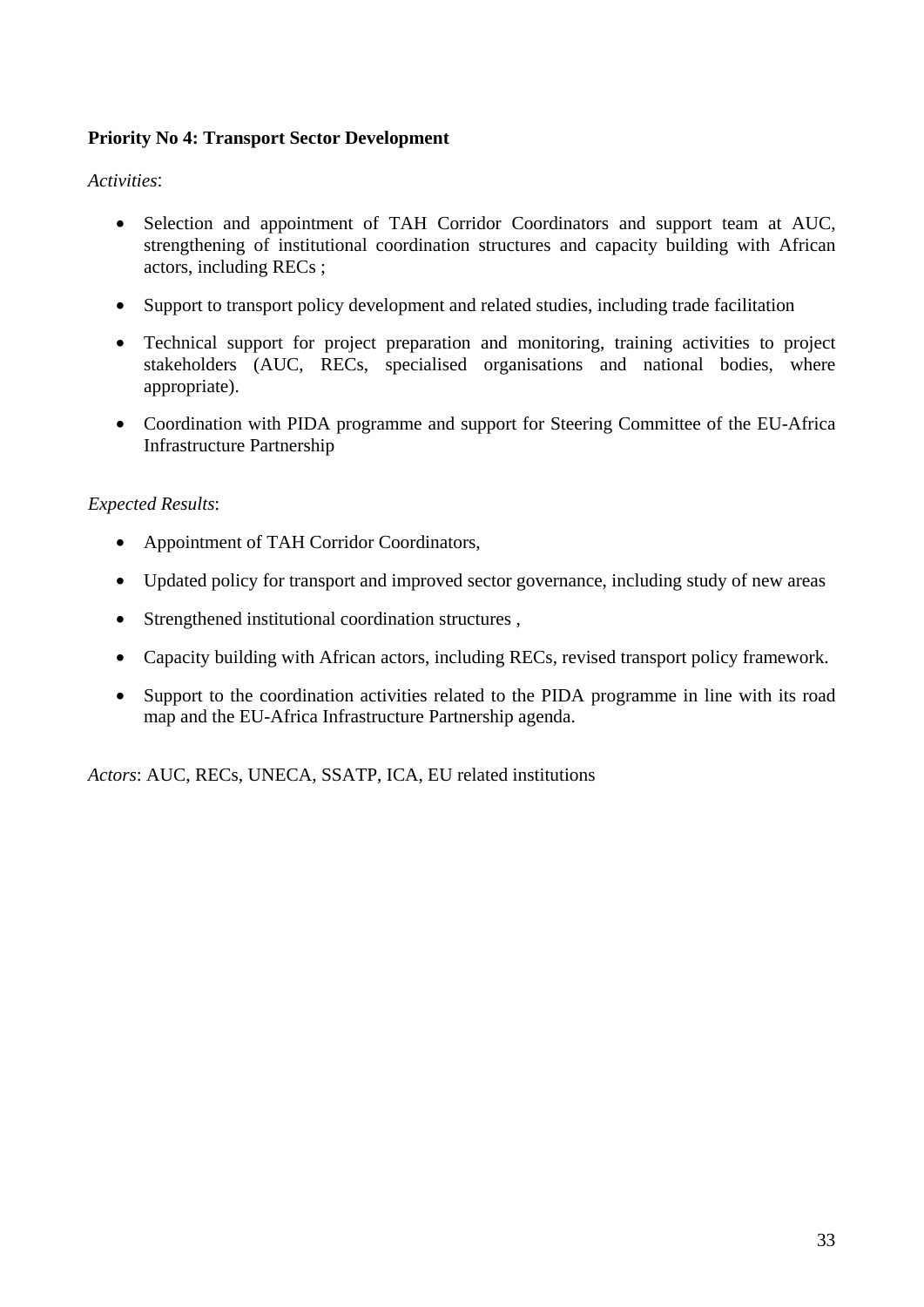## **Priority No 4: Transport Sector Development**

### *Activities*:

- Selection and appointment of TAH Corridor Coordinators and support team at AUC, strengthening of institutional coordination structures and capacity building with African actors, including RECs ;
- Support to transport policy development and related studies, including trade facilitation
- Technical support for project preparation and monitoring, training activities to project stakeholders (AUC, RECs, specialised organisations and national bodies, where appropriate).
- Coordination with PIDA programme and support for Steering Committee of the EU-Africa Infrastructure Partnership

#### *Expected Results*:

- Appointment of TAH Corridor Coordinators,
- Updated policy for transport and improved sector governance, including study of new areas
- Strengthened institutional coordination structures,
- Capacity building with African actors, including RECs, revised transport policy framework.
- Support to the coordination activities related to the PIDA programme in line with its road map and the EU-Africa Infrastructure Partnership agenda.

*Actors*: AUC, RECs, UNECA, SSATP, ICA, EU related institutions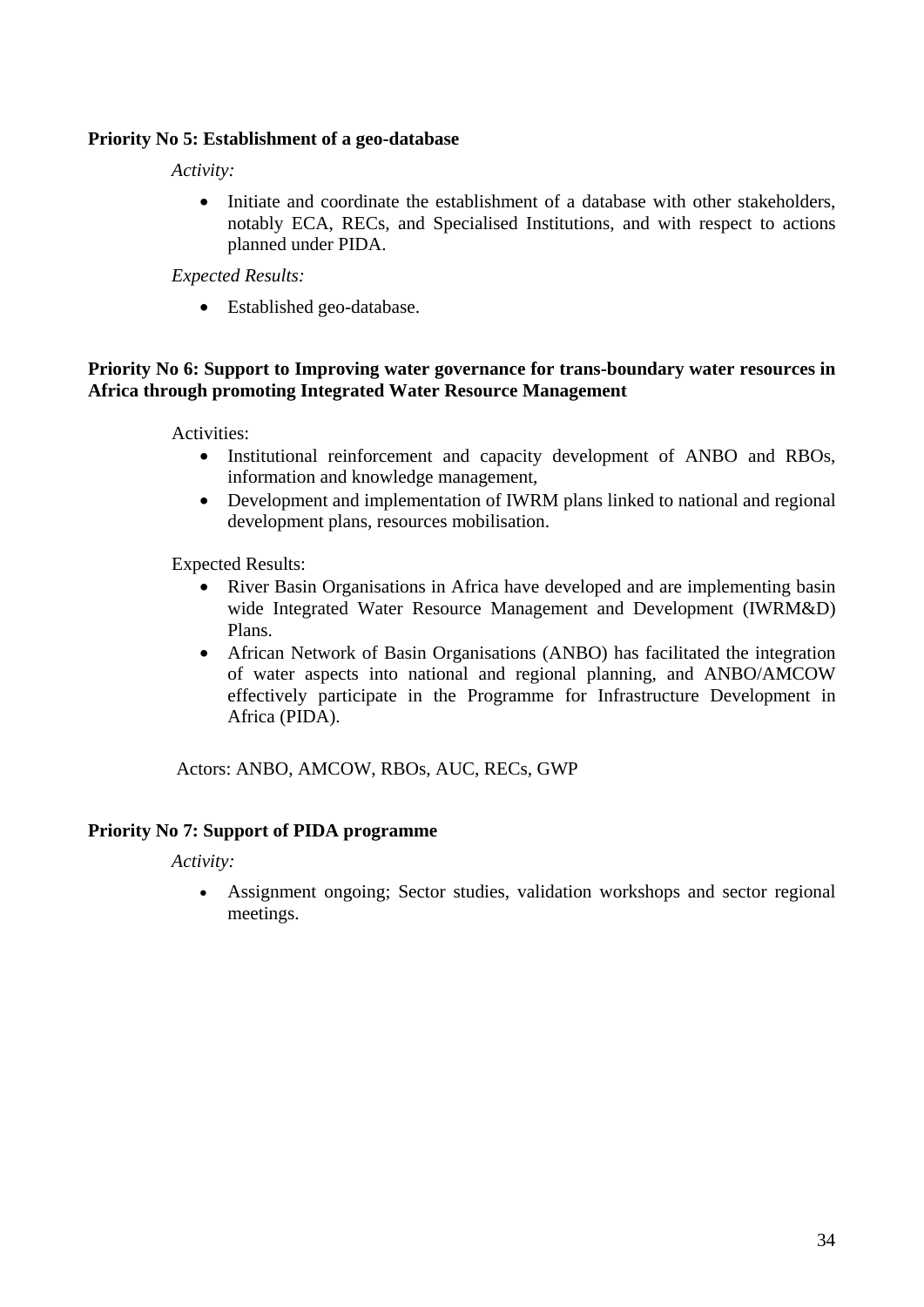### **Priority No 5: Establishment of a geo-database**

*Activity:* 

• Initiate and coordinate the establishment of a database with other stakeholders, notably ECA, RECs, and Specialised Institutions, and with respect to actions planned under PIDA.

#### *Expected Results:*

• Established geo-database.

#### **Priority No 6: Support to Improving water governance for trans-boundary water resources in Africa through promoting Integrated Water Resource Management**

Activities:

- Institutional reinforcement and capacity development of ANBO and RBOs, information and knowledge management,
- Development and implementation of IWRM plans linked to national and regional development plans, resources mobilisation.

Expected Results:

- River Basin Organisations in Africa have developed and are implementing basin wide Integrated Water Resource Management and Development (IWRM&D) Plans.
- African Network of Basin Organisations (ANBO) has facilitated the integration of water aspects into national and regional planning, and ANBO/AMCOW effectively participate in the Programme for Infrastructure Development in Africa (PIDA).

Actors: ANBO, AMCOW, RBOs, AUC, RECs, GWP

### **Priority No 7: Support of PIDA programme**

*Activity:* 

• Assignment ongoing; Sector studies, validation workshops and sector regional meetings.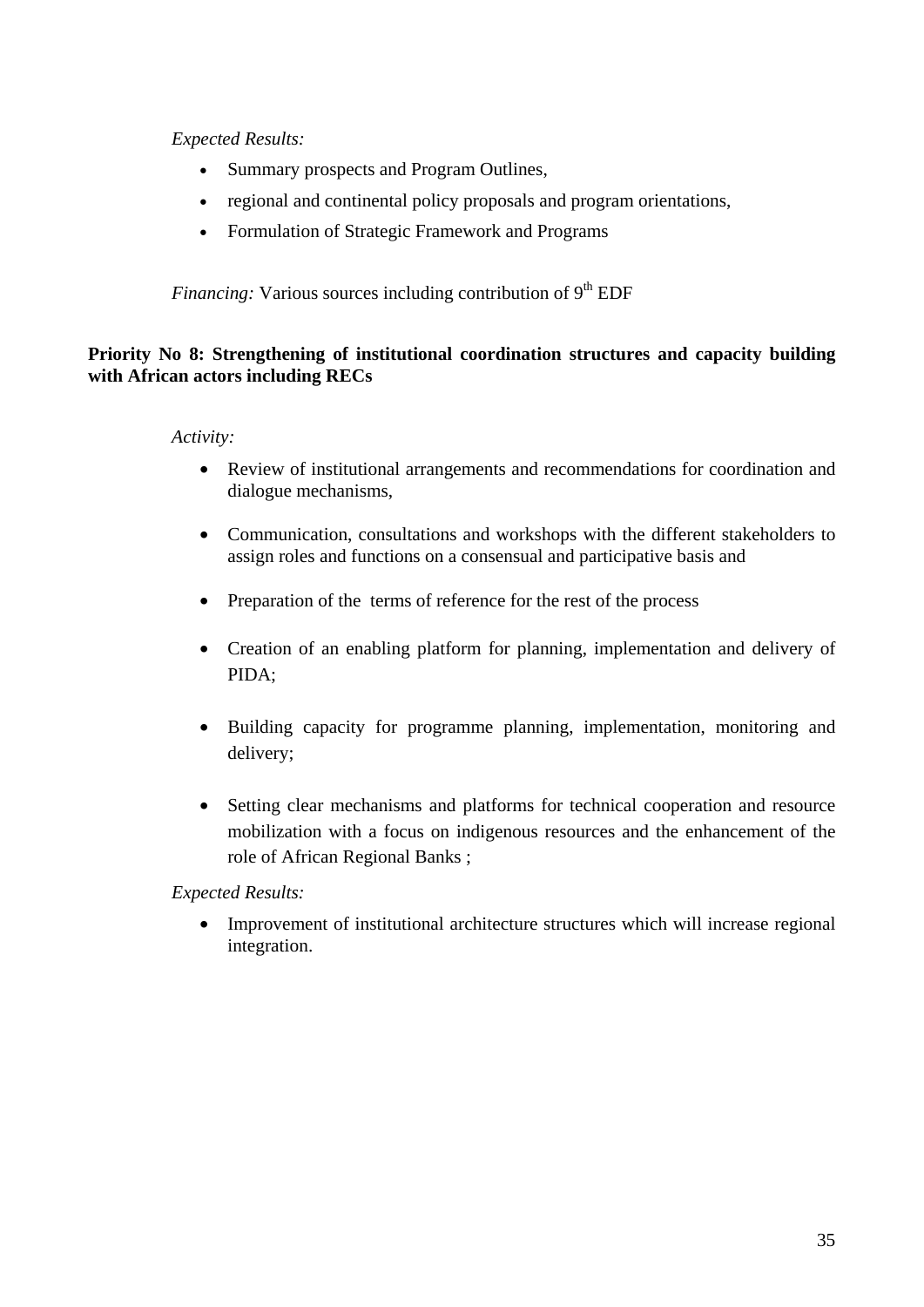## *Expected Results:*

- Summary prospects and Program Outlines,
- regional and continental policy proposals and program orientations,
- Formulation of Strategic Framework and Programs

*Financing:* Various sources including contribution of 9<sup>th</sup> EDF

### **Priority No 8: Strengthening of institutional coordination structures and capacity building with African actors including RECs**

#### *Activity:*

- Review of institutional arrangements and recommendations for coordination and dialogue mechanisms,
- Communication, consultations and workshops with the different stakeholders to assign roles and functions on a consensual and participative basis and
- Preparation of the terms of reference for the rest of the process
- Creation of an enabling platform for planning, implementation and delivery of PIDA;
- Building capacity for programme planning, implementation, monitoring and delivery;
- Setting clear mechanisms and platforms for technical cooperation and resource mobilization with a focus on indigenous resources and the enhancement of the role of African Regional Banks ;

### *Expected Results:*

• Improvement of institutional architecture structures which will increase regional integration.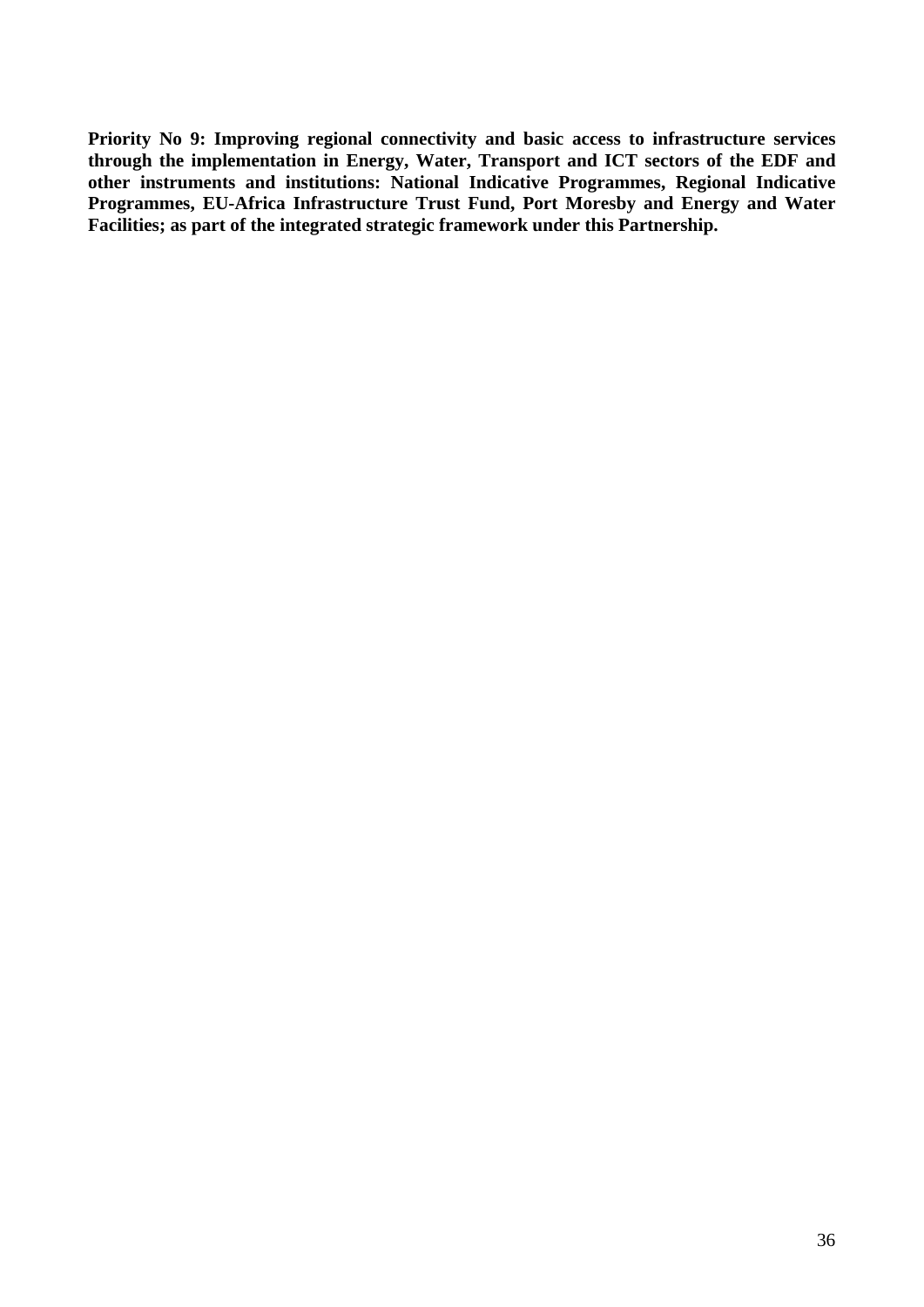**Priority No 9: Improving regional connectivity and basic access to infrastructure services through the implementation in Energy, Water, Transport and ICT sectors of the EDF and other instruments and institutions: National Indicative Programmes, Regional Indicative Programmes, EU-Africa Infrastructure Trust Fund, Port Moresby and Energy and Water Facilities; as part of the integrated strategic framework under this Partnership.**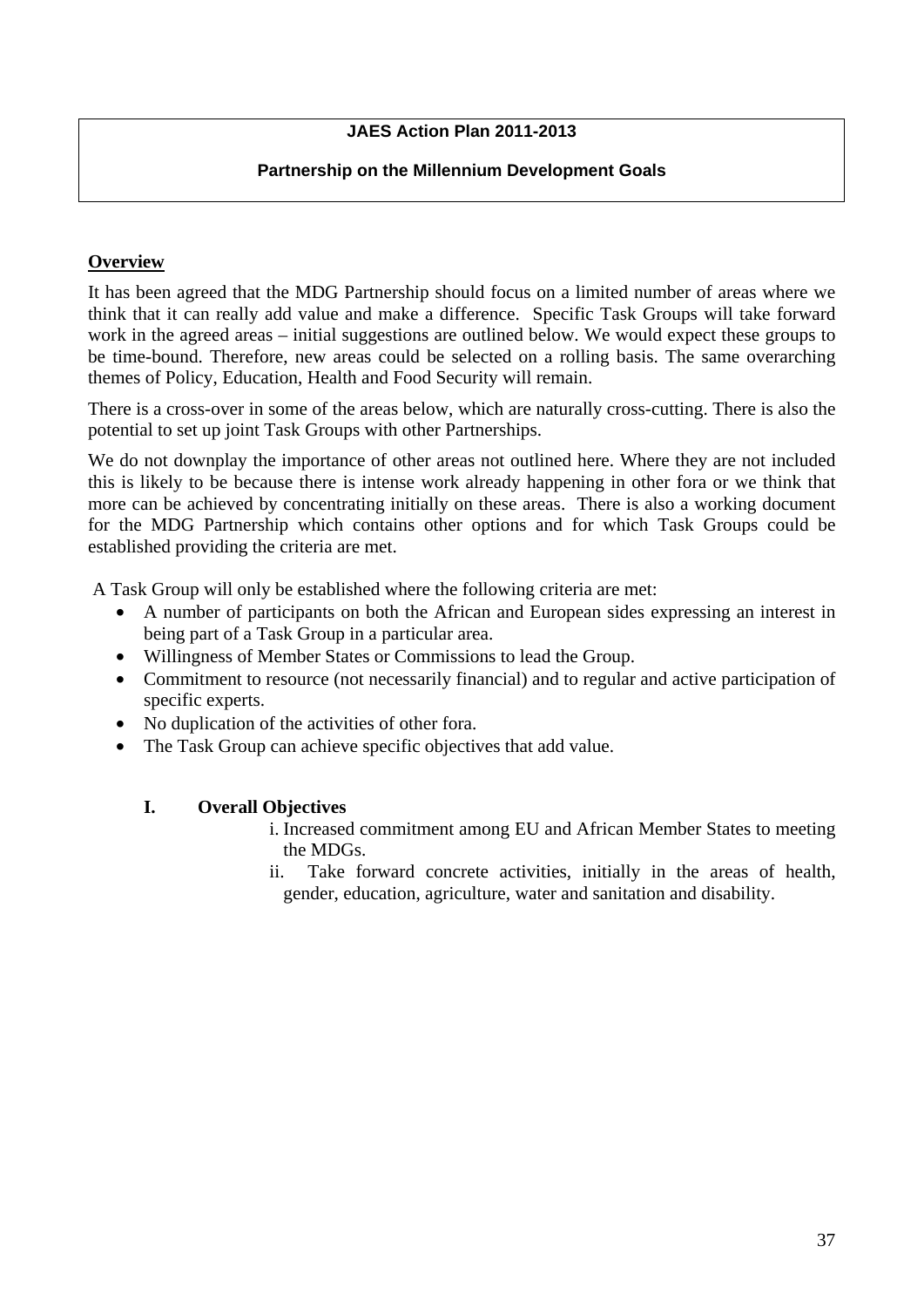## **JAES Action Plan 2011-2013**

#### **Partnership on the Millennium Development Goals**

#### **Overview**

It has been agreed that the MDG Partnership should focus on a limited number of areas where we think that it can really add value and make a difference. Specific Task Groups will take forward work in the agreed areas – initial suggestions are outlined below. We would expect these groups to be time-bound. Therefore, new areas could be selected on a rolling basis. The same overarching themes of Policy, Education, Health and Food Security will remain.

There is a cross-over in some of the areas below, which are naturally cross-cutting. There is also the potential to set up joint Task Groups with other Partnerships.

We do not downplay the importance of other areas not outlined here. Where they are not included this is likely to be because there is intense work already happening in other fora or we think that more can be achieved by concentrating initially on these areas. There is also a working document for the MDG Partnership which contains other options and for which Task Groups could be established providing the criteria are met.

A Task Group will only be established where the following criteria are met:

- A number of participants on both the African and European sides expressing an interest in being part of a Task Group in a particular area.
- Willingness of Member States or Commissions to lead the Group.
- Commitment to resource (not necessarily financial) and to regular and active participation of specific experts.
- No duplication of the activities of other fora.
- The Task Group can achieve specific objectives that add value.

#### **I. Overall Objectives**

- i. Increased commitment among EU and African Member States to meeting the MDGs.
- ii. Take forward concrete activities, initially in the areas of health, gender, education, agriculture, water and sanitation and disability.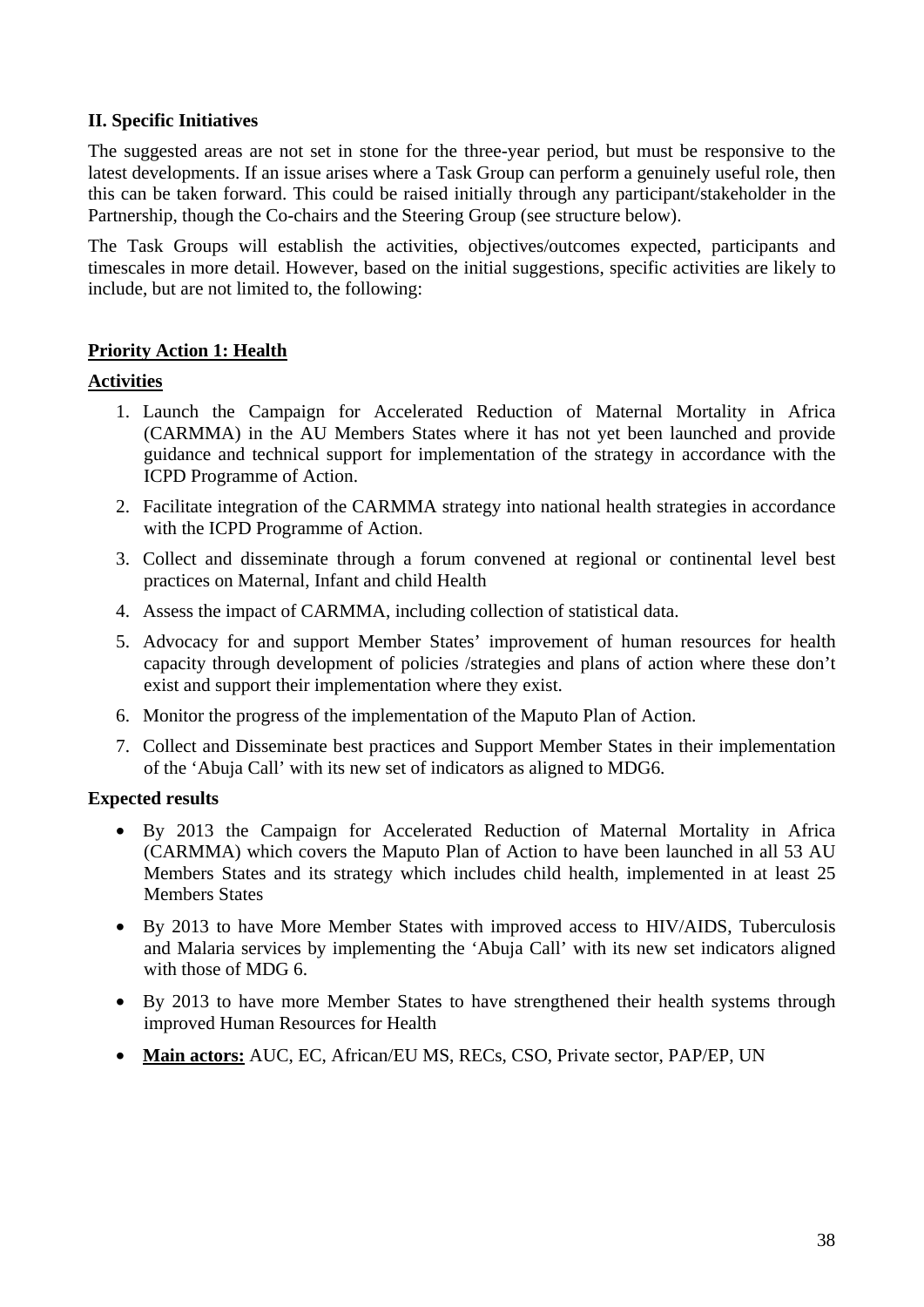## **II. Specific Initiatives**

The suggested areas are not set in stone for the three-year period, but must be responsive to the latest developments. If an issue arises where a Task Group can perform a genuinely useful role, then this can be taken forward. This could be raised initially through any participant/stakeholder in the Partnership, though the Co-chairs and the Steering Group (see structure below).

The Task Groups will establish the activities, objectives/outcomes expected, participants and timescales in more detail. However, based on the initial suggestions, specific activities are likely to include, but are not limited to, the following:

## **Priority Action 1: Health**

#### **Activities**

- 1. Launch the Campaign for Accelerated Reduction of Maternal Mortality in Africa (CARMMA) in the AU Members States where it has not yet been launched and provide guidance and technical support for implementation of the strategy in accordance with the ICPD Programme of Action.
- 2. Facilitate integration of the CARMMA strategy into national health strategies in accordance with the ICPD Programme of Action.
- 3. Collect and disseminate through a forum convened at regional or continental level best practices on Maternal, Infant and child Health
- 4. Assess the impact of CARMMA, including collection of statistical data.
- 5. Advocacy for and support Member States' improvement of human resources for health capacity through development of policies /strategies and plans of action where these don't exist and support their implementation where they exist.
- 6. Monitor the progress of the implementation of the Maputo Plan of Action.
- 7. Collect and Disseminate best practices and Support Member States in their implementation of the 'Abuja Call' with its new set of indicators as aligned to MDG6.

#### **Expected results**

- By 2013 the Campaign for Accelerated Reduction of Maternal Mortality in Africa (CARMMA) which covers the Maputo Plan of Action to have been launched in all 53 AU Members States and its strategy which includes child health, implemented in at least 25 Members States
- By 2013 to have More Member States with improved access to HIV/AIDS, Tuberculosis and Malaria services by implementing the 'Abuja Call' with its new set indicators aligned with those of MDG 6.
- By 2013 to have more Member States to have strengthened their health systems through improved Human Resources for Health
- **Main actors:** AUC, EC, African/EU MS, RECs, CSO, Private sector, PAP/EP, UN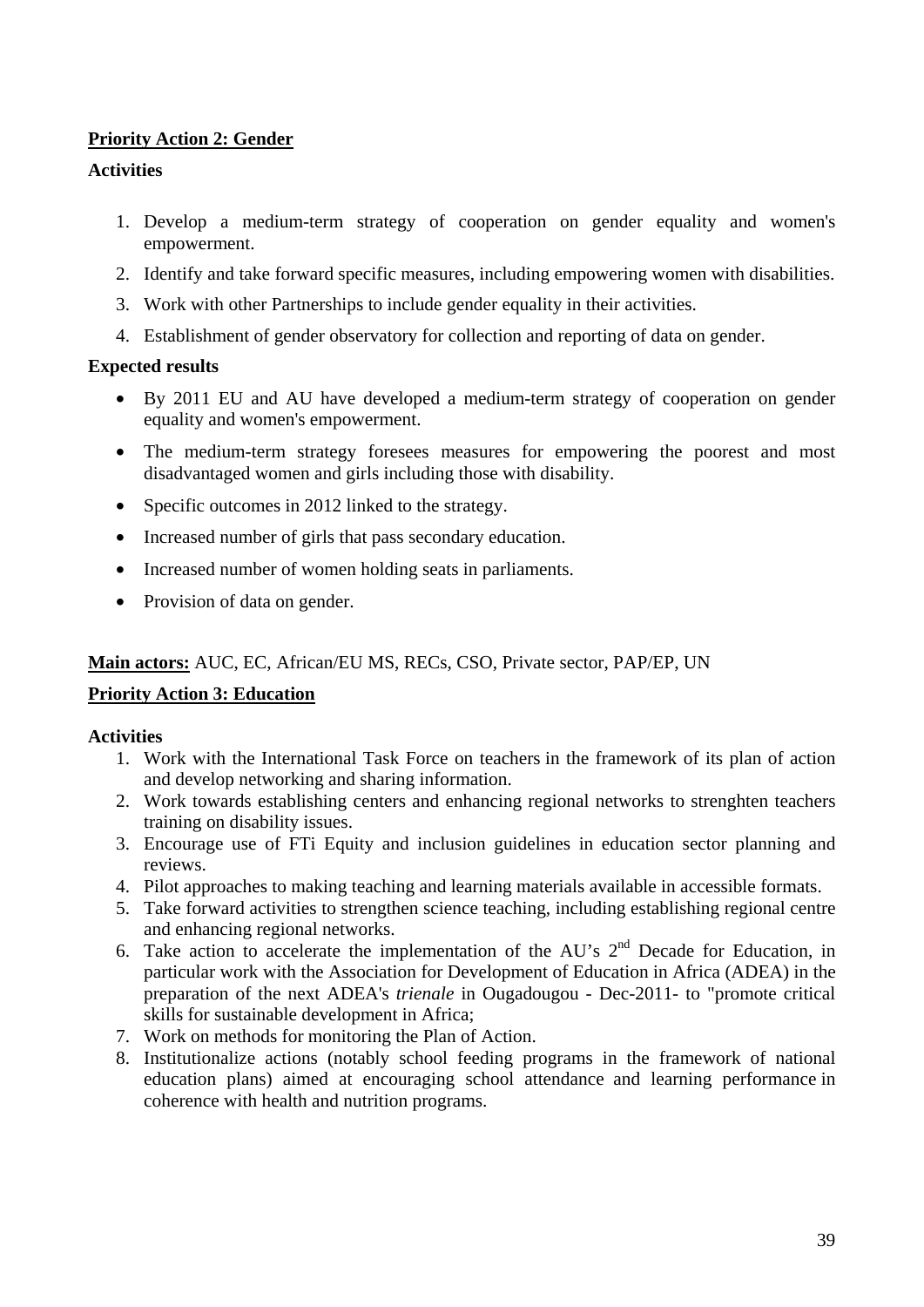## **Priority Action 2: Gender**

## **Activities**

- 1. Develop a medium-term strategy of cooperation on gender equality and women's empowerment.
- 2. Identify and take forward specific measures, including empowering women with disabilities.
- 3. Work with other Partnerships to include gender equality in their activities.
- 4. Establishment of gender observatory for collection and reporting of data on gender.

#### **Expected results**

- By 2011 EU and AU have developed a medium-term strategy of cooperation on gender equality and women's empowerment.
- The medium-term strategy foresees measures for empowering the poorest and most disadvantaged women and girls including those with disability.
- Specific outcomes in 2012 linked to the strategy.
- Increased number of girls that pass secondary education.
- Increased number of women holding seats in parliaments.
- Provision of data on gender.

# **Main actors:** AUC, EC, African/EU MS, RECs, CSO, Private sector, PAP/EP, UN

# **Priority Action 3: Education**

- 1. Work with the International Task Force on teachers in the framework of its plan of action and develop networking and sharing information.
- 2. Work towards establishing centers and enhancing regional networks to strenghten teachers training on disability issues.
- 3. Encourage use of FTi Equity and inclusion guidelines in education sector planning and reviews.
- 4. Pilot approaches to making teaching and learning materials available in accessible formats.
- 5. Take forward activities to strengthen science teaching, including establishing regional centre and enhancing regional networks.
- 6. Take action to accelerate the implementation of the AU's  $2<sup>nd</sup>$  Decade for Education, in particular work with the Association for Development of Education in Africa (ADEA) in the preparation of the next ADEA's *trienale* in Ougadougou - Dec-2011- to "promote critical skills for sustainable development in Africa;
- 7. Work on methods for monitoring the Plan of Action.
- 8. Institutionalize actions (notably school feeding programs in the framework of national education plans) aimed at encouraging school attendance and learning performance in coherence with health and nutrition programs.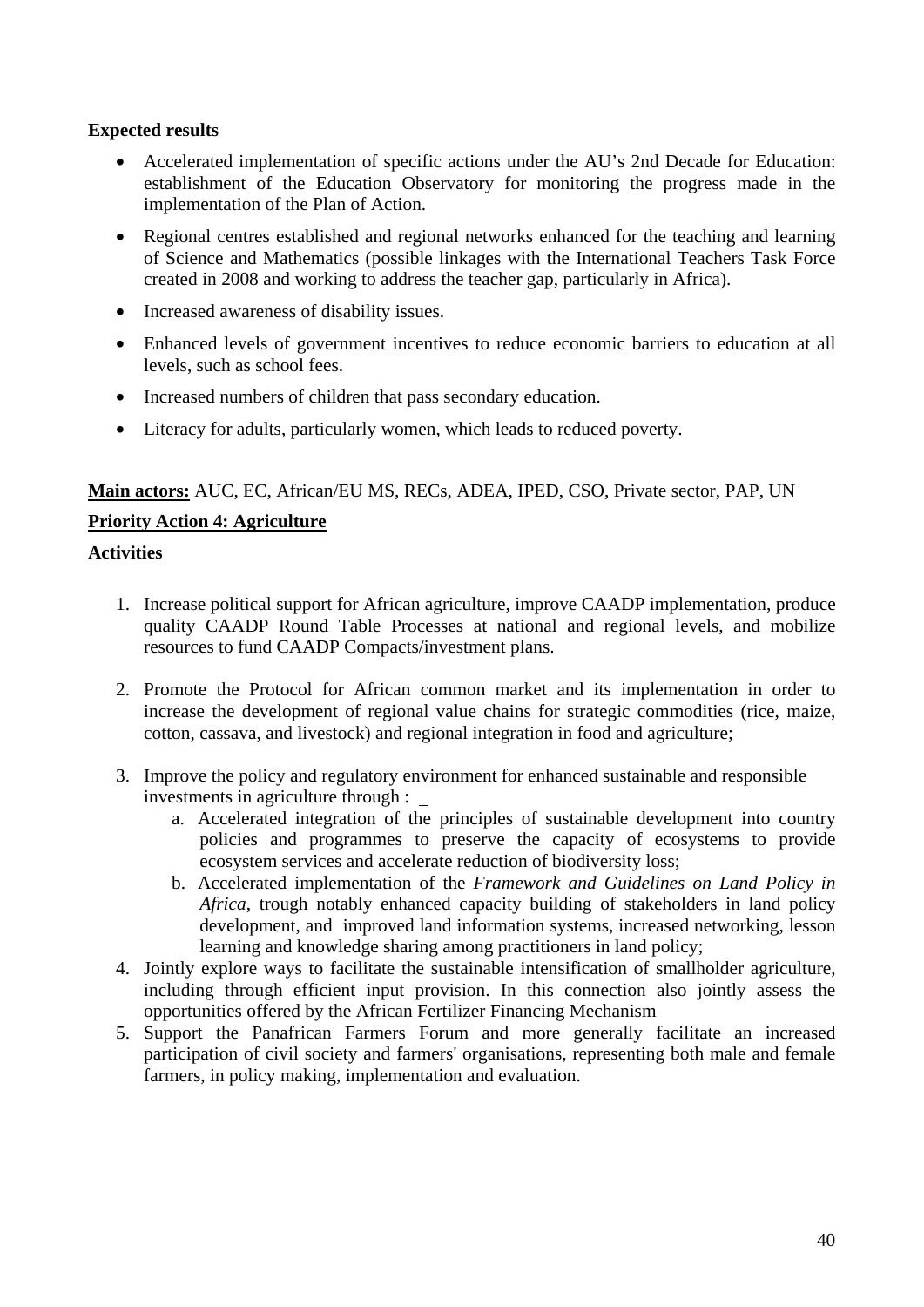#### **Expected results**

- Accelerated implementation of specific actions under the AU's 2nd Decade for Education: establishment of the Education Observatory for monitoring the progress made in the implementation of the Plan of Action.
- Regional centres established and regional networks enhanced for the teaching and learning of Science and Mathematics (possible linkages with the International Teachers Task Force created in 2008 and working to address the teacher gap, particularly in Africa).
- Increased awareness of disability issues.
- Enhanced levels of government incentives to reduce economic barriers to education at all levels, such as school fees.
- Increased numbers of children that pass secondary education.
- Literacy for adults, particularly women, which leads to reduced poverty.

#### **Main actors:** AUC, EC, African/EU MS, RECs, ADEA, IPED, CSO, Private sector, PAP, UN

#### **Priority Action 4: Agriculture**

- 1. Increase political support for African agriculture, improve CAADP implementation, produce quality CAADP Round Table Processes at national and regional levels, and mobilize resources to fund CAADP Compacts/investment plans.
- 2. Promote the Protocol for African common market and its implementation in order to increase the development of regional value chains for strategic commodities (rice, maize, cotton, cassava, and livestock) and regional integration in food and agriculture;
- 3. Improve the policy and regulatory environment for enhanced sustainable and responsible investments in agriculture through :
	- a. Accelerated integration of the principles of sustainable development into country policies and programmes to preserve the capacity of ecosystems to provide ecosystem services and accelerate reduction of biodiversity loss;
	- b. Accelerated implementation of the *Framework and Guidelines on Land Policy in Africa*, trough notably enhanced capacity building of stakeholders in land policy development, and improved land information systems, increased networking, lesson learning and knowledge sharing among practitioners in land policy;
- 4. Jointly explore ways to facilitate the sustainable intensification of smallholder agriculture, including through efficient input provision. In this connection also jointly assess the opportunities offered by the African Fertilizer Financing Mechanism
- 5. Support the Panafrican Farmers Forum and more generally facilitate an increased participation of civil society and farmers' organisations, representing both male and female farmers, in policy making, implementation and evaluation.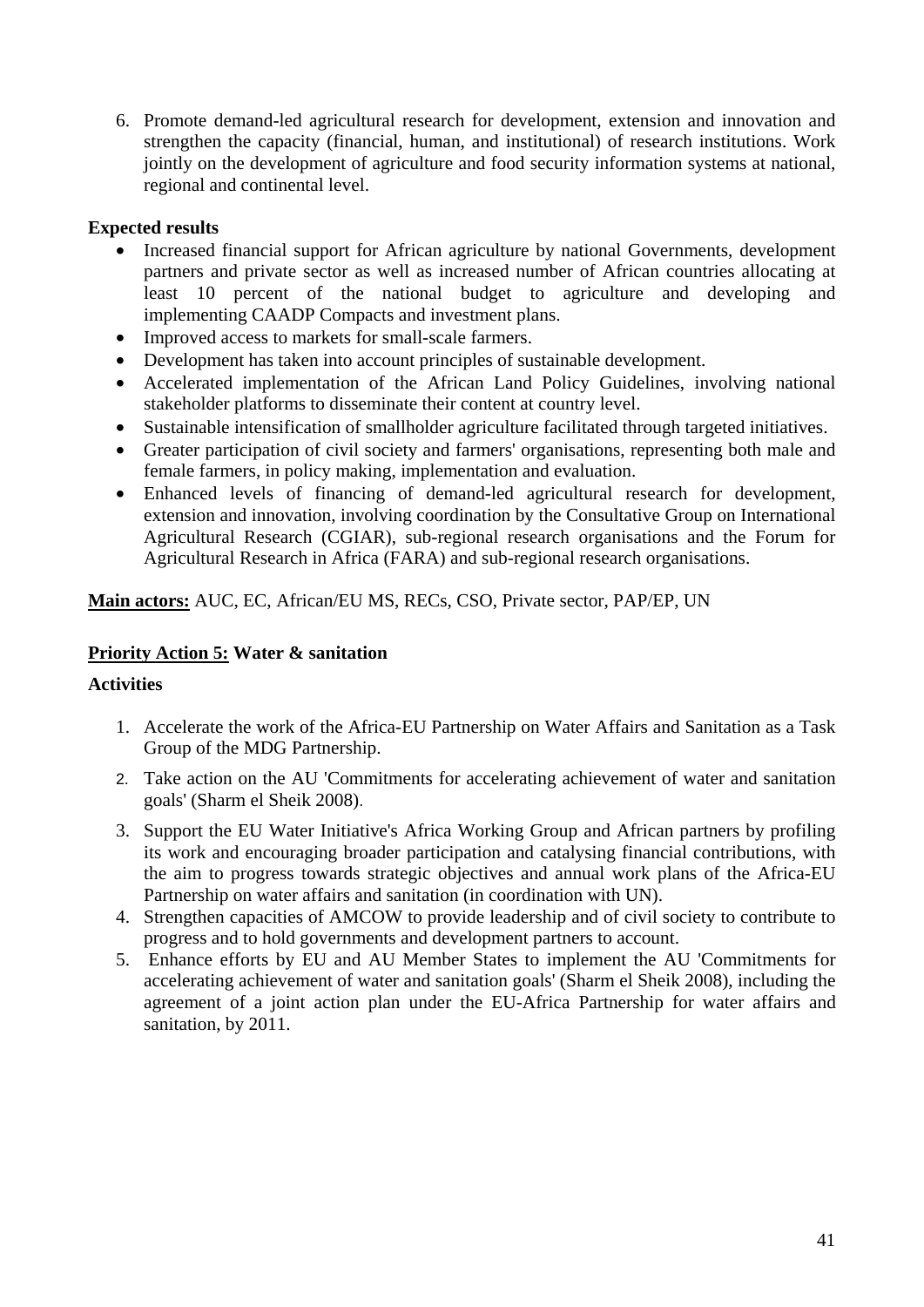6. Promote demand-led agricultural research for development, extension and innovation and strengthen the capacity (financial, human, and institutional) of research institutions. Work jointly on the development of agriculture and food security information systems at national, regional and continental level.

## **Expected results**

- Increased financial support for African agriculture by national Governments, development partners and private sector as well as increased number of African countries allocating at least 10 percent of the national budget to agriculture and developing and implementing CAADP Compacts and investment plans.
- Improved access to markets for small-scale farmers.
- Development has taken into account principles of sustainable development.
- Accelerated implementation of the African Land Policy Guidelines, involving national stakeholder platforms to disseminate their content at country level.
- Sustainable intensification of smallholder agriculture facilitated through targeted initiatives.
- Greater participation of civil society and farmers' organisations, representing both male and female farmers, in policy making, implementation and evaluation.
- Enhanced levels of financing of demand-led agricultural research for development, extension and innovation, involving coordination by the Consultative Group on International Agricultural Research (CGIAR), sub-regional research organisations and the Forum for Agricultural Research in Africa (FARA) and sub-regional research organisations.

**Main actors:** AUC, EC, African/EU MS, RECs, CSO, Private sector, PAP/EP, UN

# **Priority Action 5: Water & sanitation**

- 1. Accelerate the work of the Africa-EU Partnership on Water Affairs and Sanitation as a Task Group of the MDG Partnership.
- 2. Take action on the AU 'Commitments for accelerating achievement of water and sanitation goals' (Sharm el Sheik 2008).
- 3. Support the EU Water Initiative's Africa Working Group and African partners by profiling its work and encouraging broader participation and catalysing financial contributions, with the aim to progress towards strategic objectives and annual work plans of the Africa-EU Partnership on water affairs and sanitation (in coordination with UN).
- 4. Strengthen capacities of AMCOW to provide leadership and of civil society to contribute to progress and to hold governments and development partners to account.
- 5. Enhance efforts by EU and AU Member States to implement the AU 'Commitments for accelerating achievement of water and sanitation goals' (Sharm el Sheik 2008), including the agreement of a joint action plan under the EU-Africa Partnership for water affairs and sanitation, by 2011.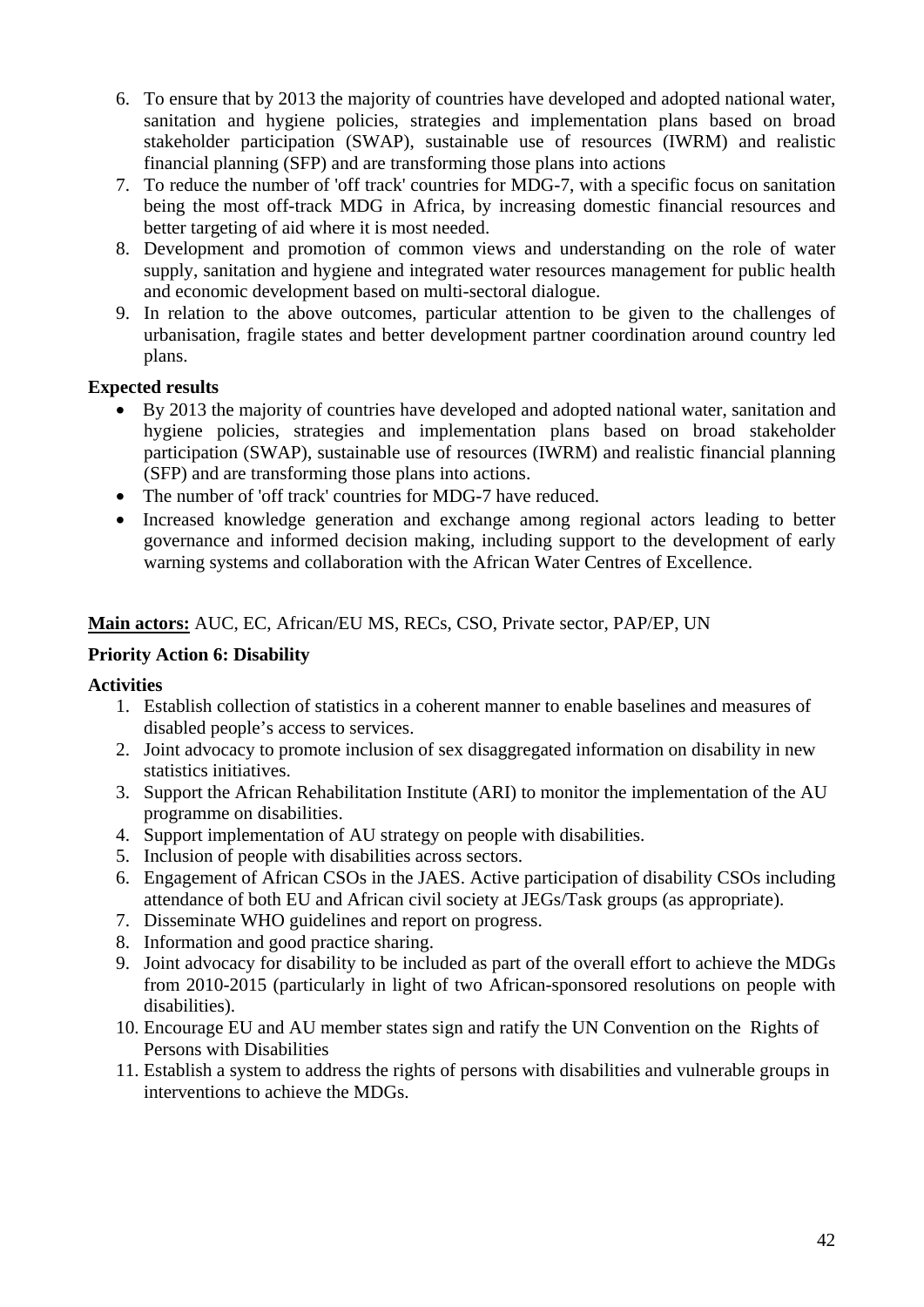- 6. To ensure that by 2013 the majority of countries have developed and adopted national water, sanitation and hygiene policies, strategies and implementation plans based on broad stakeholder participation (SWAP), sustainable use of resources (IWRM) and realistic financial planning (SFP) and are transforming those plans into actions
- 7. To reduce the number of 'off track' countries for MDG-7, with a specific focus on sanitation being the most off-track MDG in Africa, by increasing domestic financial resources and better targeting of aid where it is most needed.
- 8. Development and promotion of common views and understanding on the role of water supply, sanitation and hygiene and integrated water resources management for public health and economic development based on multi-sectoral dialogue.
- 9. In relation to the above outcomes, particular attention to be given to the challenges of urbanisation, fragile states and better development partner coordination around country led plans.

## **Expected results**

- By 2013 the majority of countries have developed and adopted national water, sanitation and hygiene policies, strategies and implementation plans based on broad stakeholder participation (SWAP), sustainable use of resources (IWRM) and realistic financial planning (SFP) and are transforming those plans into actions.
- The number of 'off track' countries for MDG-7 have reduced.
- Increased knowledge generation and exchange among regional actors leading to better governance and informed decision making, including support to the development of early warning systems and collaboration with the African Water Centres of Excellence.

# **Main actors:** AUC, EC, African/EU MS, RECs, CSO, Private sector, PAP/EP, UN

# **Priority Action 6: Disability**

- 1. Establish collection of statistics in a coherent manner to enable baselines and measures of disabled people's access to services.
- 2. Joint advocacy to promote inclusion of sex disaggregated information on disability in new statistics initiatives.
- 3. Support the African Rehabilitation Institute (ARI) to monitor the implementation of the AU programme on disabilities.
- 4. Support implementation of AU strategy on people with disabilities.
- 5. Inclusion of people with disabilities across sectors.
- 6. Engagement of African CSOs in the JAES. Active participation of disability CSOs including attendance of both EU and African civil society at JEGs/Task groups (as appropriate).
- 7. Disseminate WHO guidelines and report on progress.
- 8. Information and good practice sharing.
- 9. Joint advocacy for disability to be included as part of the overall effort to achieve the MDGs from 2010-2015 (particularly in light of two African-sponsored resolutions on people with disabilities).
- 10. Encourage EU and AU member states sign and ratify the UN Convention on the Rights of Persons with Disabilities
- 11. Establish a system to address the rights of persons with disabilities and vulnerable groups in interventions to achieve the MDGs.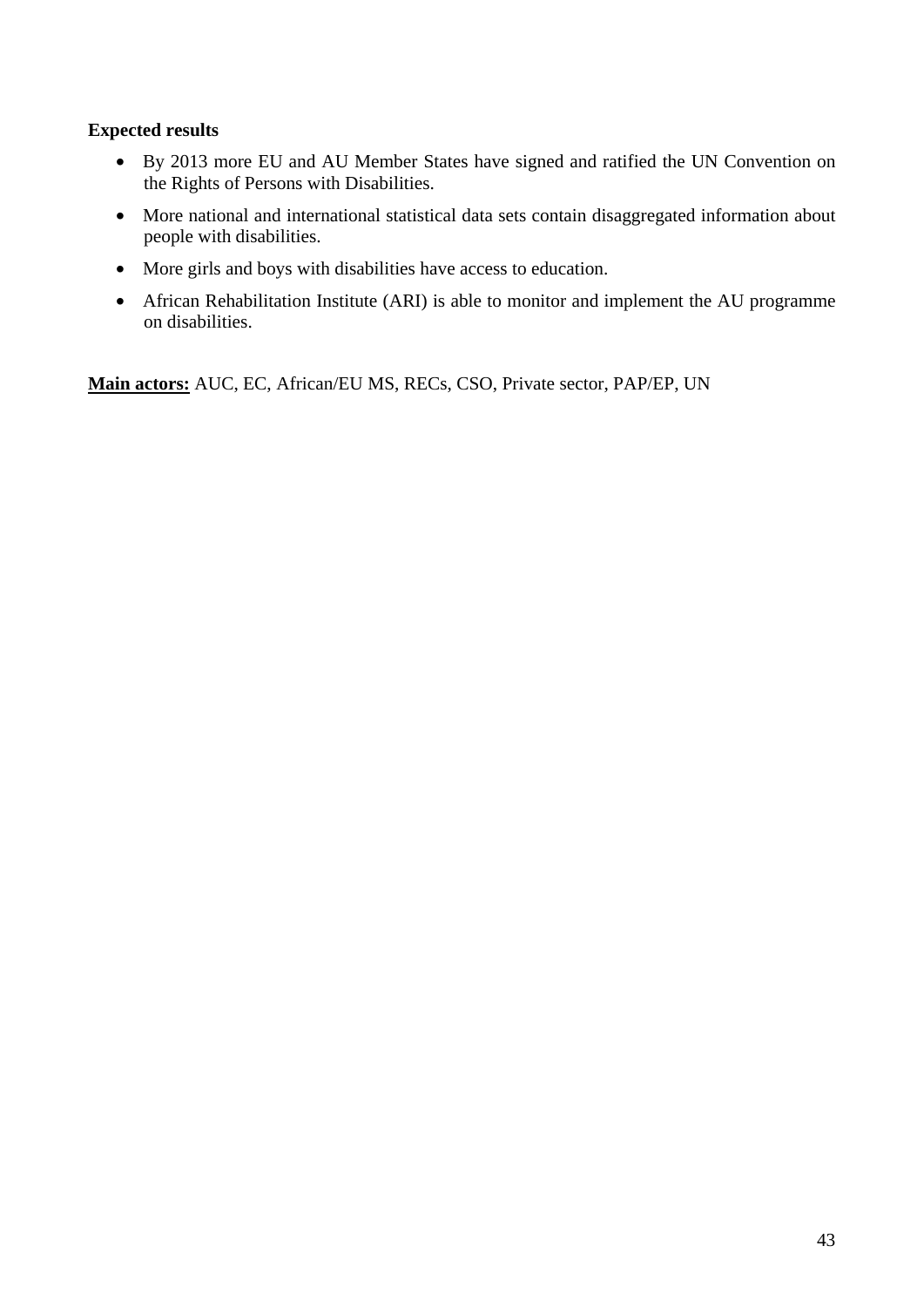#### **Expected results**

- By 2013 more EU and AU Member States have signed and ratified the UN Convention on the Rights of Persons with Disabilities.
- More national and international statistical data sets contain disaggregated information about people with disabilities.
- More girls and boys with disabilities have access to education.
- African Rehabilitation Institute (ARI) is able to monitor and implement the AU programme on disabilities.

**Main actors:** AUC, EC, African/EU MS, RECs, CSO, Private sector, PAP/EP, UN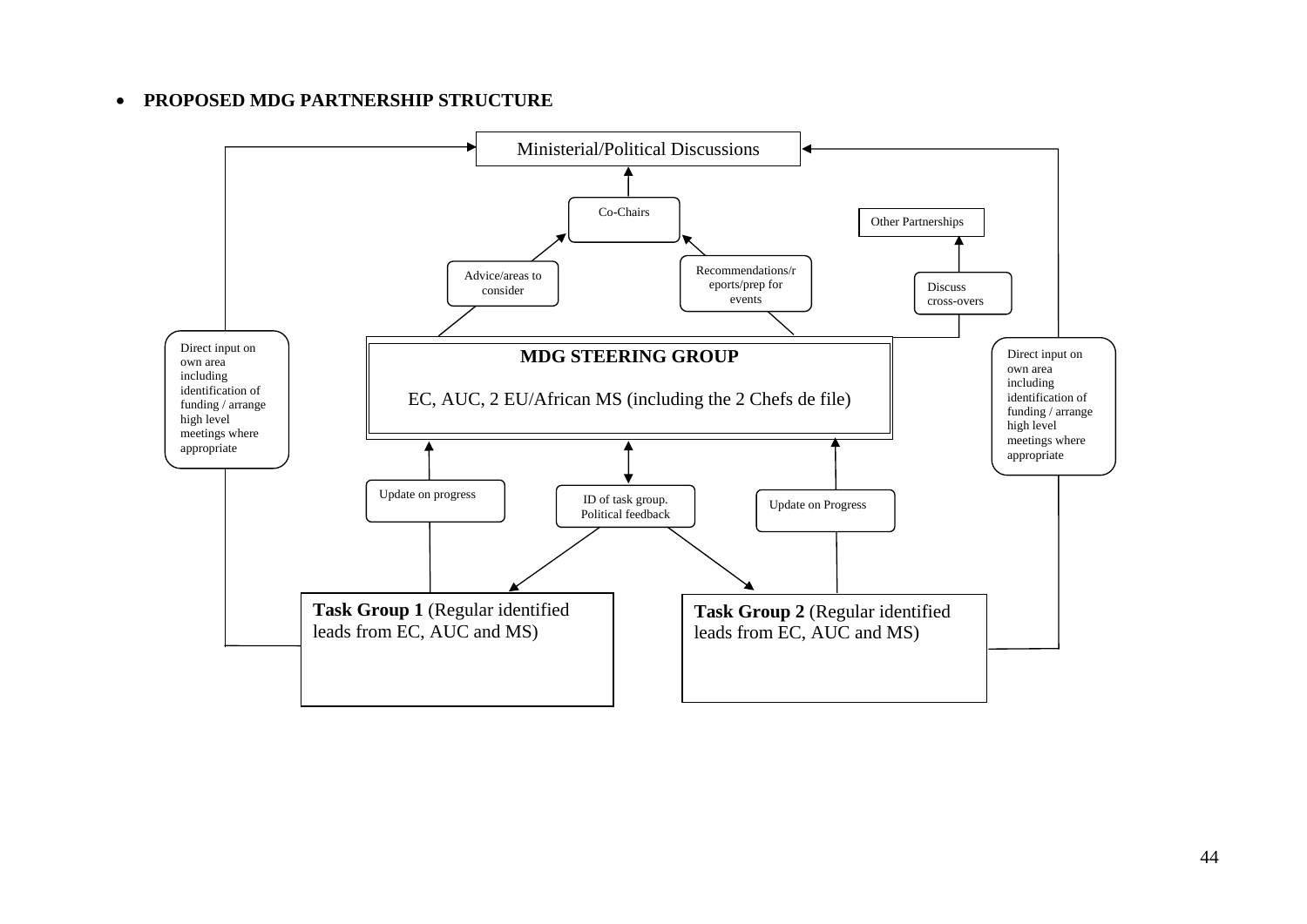#### •**PROPOSED MDG PARTNERSHIP STRUCTURE**

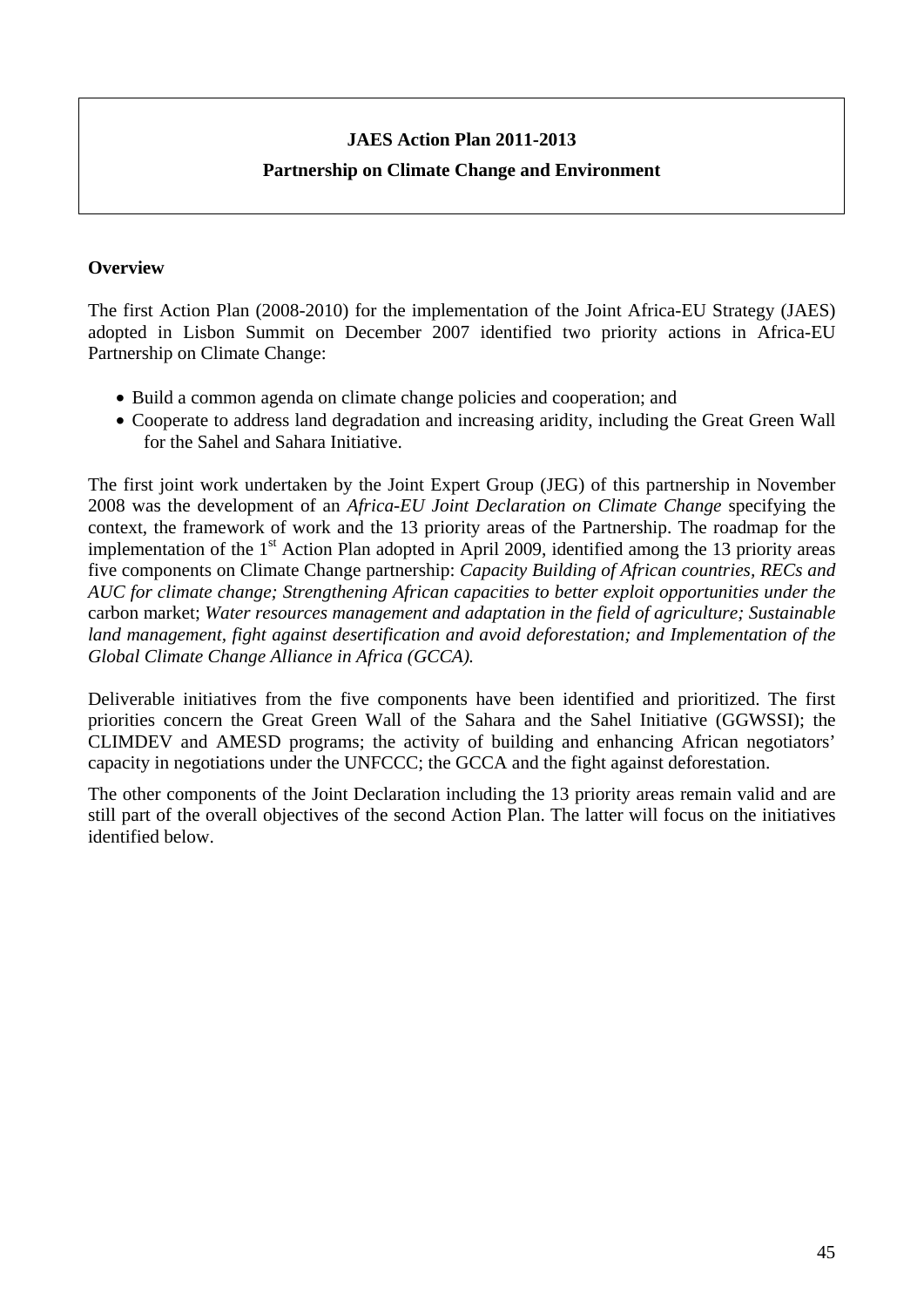# **JAES Action Plan 2011-2013 Partnership on Climate Change and Environment**

#### **Overview**

The first Action Plan (2008-2010) for the implementation of the Joint Africa-EU Strategy (JAES) adopted in Lisbon Summit on December 2007 identified two priority actions in Africa-EU Partnership on Climate Change:

- Build a common agenda on climate change policies and cooperation; and
- Cooperate to address land degradation and increasing aridity, including the Great Green Wall for the Sahel and Sahara Initiative.

The first joint work undertaken by the Joint Expert Group (JEG) of this partnership in November 2008 was the development of an *Africa-EU Joint Declaration on Climate Change* specifying the context, the framework of work and the 13 priority areas of the Partnership. The roadmap for the implementation of the  $1<sup>st</sup>$  Action Plan adopted in April 2009, identified among the 13 priority areas five components on Climate Change partnership: *Capacity Building of African countries, RECs and AUC for climate change; Strengthening African capacities to better exploit opportunities under the*  carbon market; *Water resources management and adaptation in the field of agriculture; Sustainable land management, fight against desertification and avoid deforestation; and Implementation of the Global Climate Change Alliance in Africa (GCCA).* 

Deliverable initiatives from the five components have been identified and prioritized. The first priorities concern the Great Green Wall of the Sahara and the Sahel Initiative (GGWSSI); the CLIMDEV and AMESD programs; the activity of building and enhancing African negotiators' capacity in negotiations under the UNFCCC; the GCCA and the fight against deforestation.

The other components of the Joint Declaration including the 13 priority areas remain valid and are still part of the overall objectives of the second Action Plan. The latter will focus on the initiatives identified below.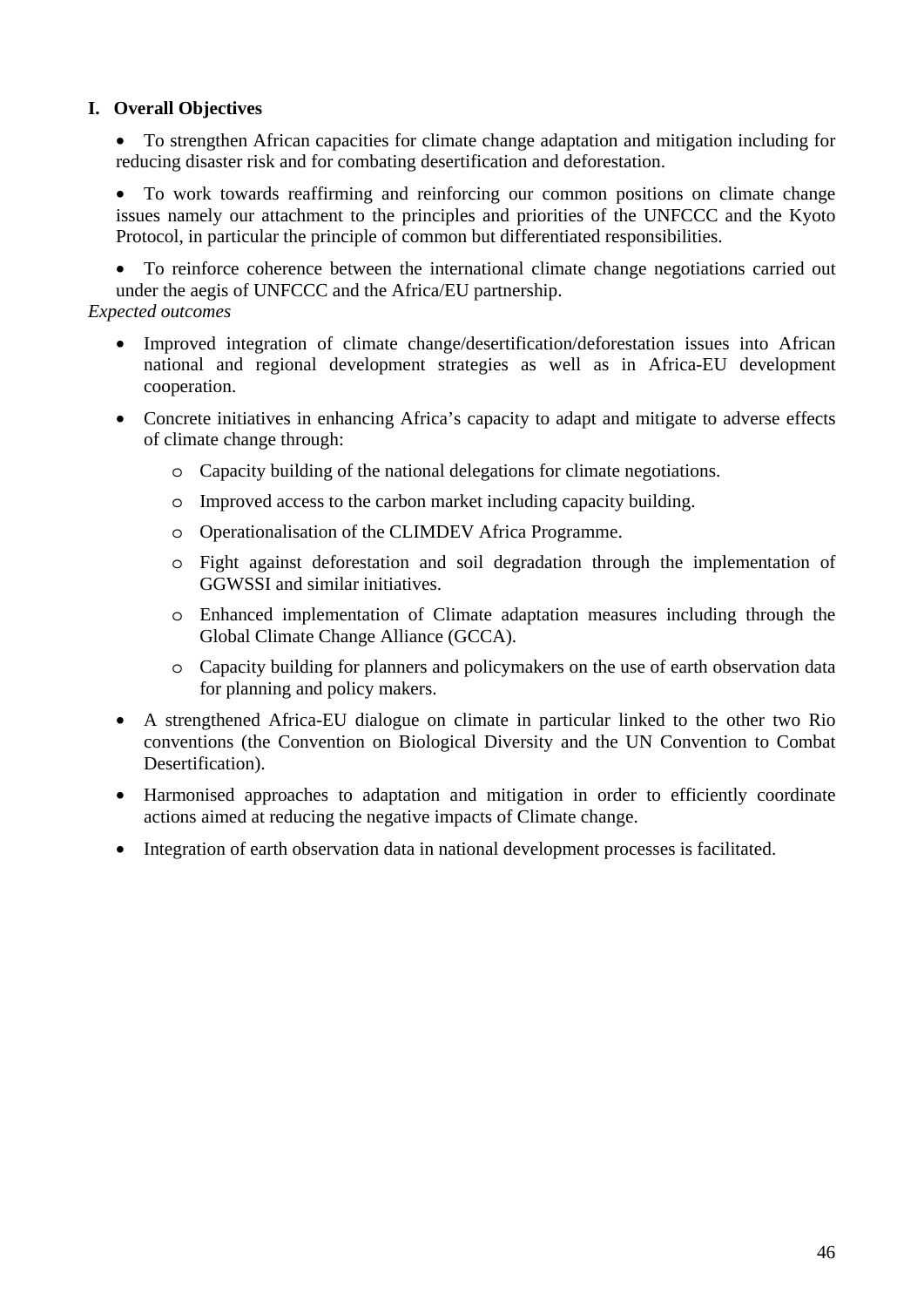## **I. Overall Objectives**

• To strengthen African capacities for climate change adaptation and mitigation including for reducing disaster risk and for combating desertification and deforestation.

• To work towards reaffirming and reinforcing our common positions on climate change issues namely our attachment to the principles and priorities of the UNFCCC and the Kyoto Protocol, in particular the principle of common but differentiated responsibilities.

• To reinforce coherence between the international climate change negotiations carried out under the aegis of UNFCCC and the Africa/EU partnership.

#### *Expected outcomes*

- Improved integration of climate change/desertification/deforestation issues into African national and regional development strategies as well as in Africa-EU development cooperation.
- Concrete initiatives in enhancing Africa's capacity to adapt and mitigate to adverse effects of climate change through:
	- o Capacity building of the national delegations for climate negotiations.
	- o Improved access to the carbon market including capacity building.
	- o Operationalisation of the CLIMDEV Africa Programme.
	- o Fight against deforestation and soil degradation through the implementation of GGWSSI and similar initiatives.
	- o Enhanced implementation of Climate adaptation measures including through the Global Climate Change Alliance (GCCA).
	- o Capacity building for planners and policymakers on the use of earth observation data for planning and policy makers.
- A strengthened Africa-EU dialogue on climate in particular linked to the other two Rio conventions (the Convention on Biological Diversity and the UN Convention to Combat Desertification).
- Harmonised approaches to adaptation and mitigation in order to efficiently coordinate actions aimed at reducing the negative impacts of Climate change.
- Integration of earth observation data in national development processes is facilitated.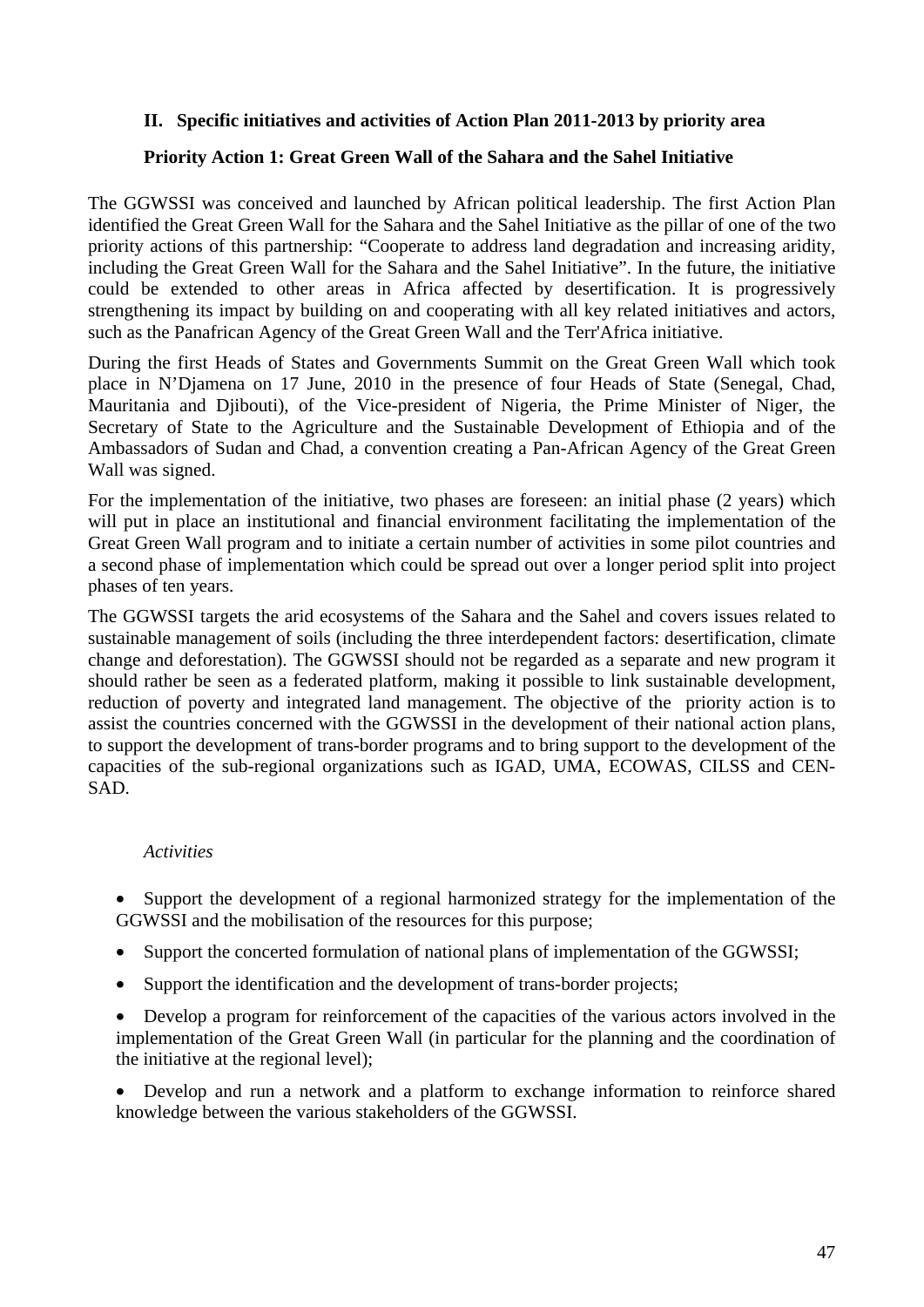#### **II. Specific initiatives and activities of Action Plan 2011-2013 by priority area**

#### **Priority Action 1: Great Green Wall of the Sahara and the Sahel Initiative**

The GGWSSI was conceived and launched by African political leadership. The first Action Plan identified the Great Green Wall for the Sahara and the Sahel Initiative as the pillar of one of the two priority actions of this partnership: "Cooperate to address land degradation and increasing aridity, including the Great Green Wall for the Sahara and the Sahel Initiative". In the future, the initiative could be extended to other areas in Africa affected by desertification. It is progressively strengthening its impact by building on and cooperating with all key related initiatives and actors, such as the Panafrican Agency of the Great Green Wall and the Terr'Africa initiative.

During the first Heads of States and Governments Summit on the Great Green Wall which took place in N'Djamena on 17 June, 2010 in the presence of four Heads of State (Senegal, Chad, Mauritania and Djibouti), of the Vice-president of Nigeria, the Prime Minister of Niger, the Secretary of State to the Agriculture and the Sustainable Development of Ethiopia and of the Ambassadors of Sudan and Chad, a convention creating a Pan-African Agency of the Great Green Wall was signed.

For the implementation of the initiative, two phases are foreseen: an initial phase (2 years) which will put in place an institutional and financial environment facilitating the implementation of the Great Green Wall program and to initiate a certain number of activities in some pilot countries and a second phase of implementation which could be spread out over a longer period split into project phases of ten years.

The GGWSSI targets the arid ecosystems of the Sahara and the Sahel and covers issues related to sustainable management of soils (including the three interdependent factors: desertification, climate change and deforestation). The GGWSSI should not be regarded as a separate and new program it should rather be seen as a federated platform, making it possible to link sustainable development, reduction of poverty and integrated land management. The objective of the priority action is to assist the countries concerned with the GGWSSI in the development of their national action plans, to support the development of trans-border programs and to bring support to the development of the capacities of the sub-regional organizations such as IGAD, UMA, ECOWAS, CILSS and CEN-SAD.

#### *Activities*

• Support the development of a regional harmonized strategy for the implementation of the GGWSSI and the mobilisation of the resources for this purpose;

- Support the concerted formulation of national plans of implementation of the GGWSSI;
- Support the identification and the development of trans-border projects;

• Develop a program for reinforcement of the capacities of the various actors involved in the implementation of the Great Green Wall (in particular for the planning and the coordination of the initiative at the regional level);

• Develop and run a network and a platform to exchange information to reinforce shared knowledge between the various stakeholders of the GGWSSI.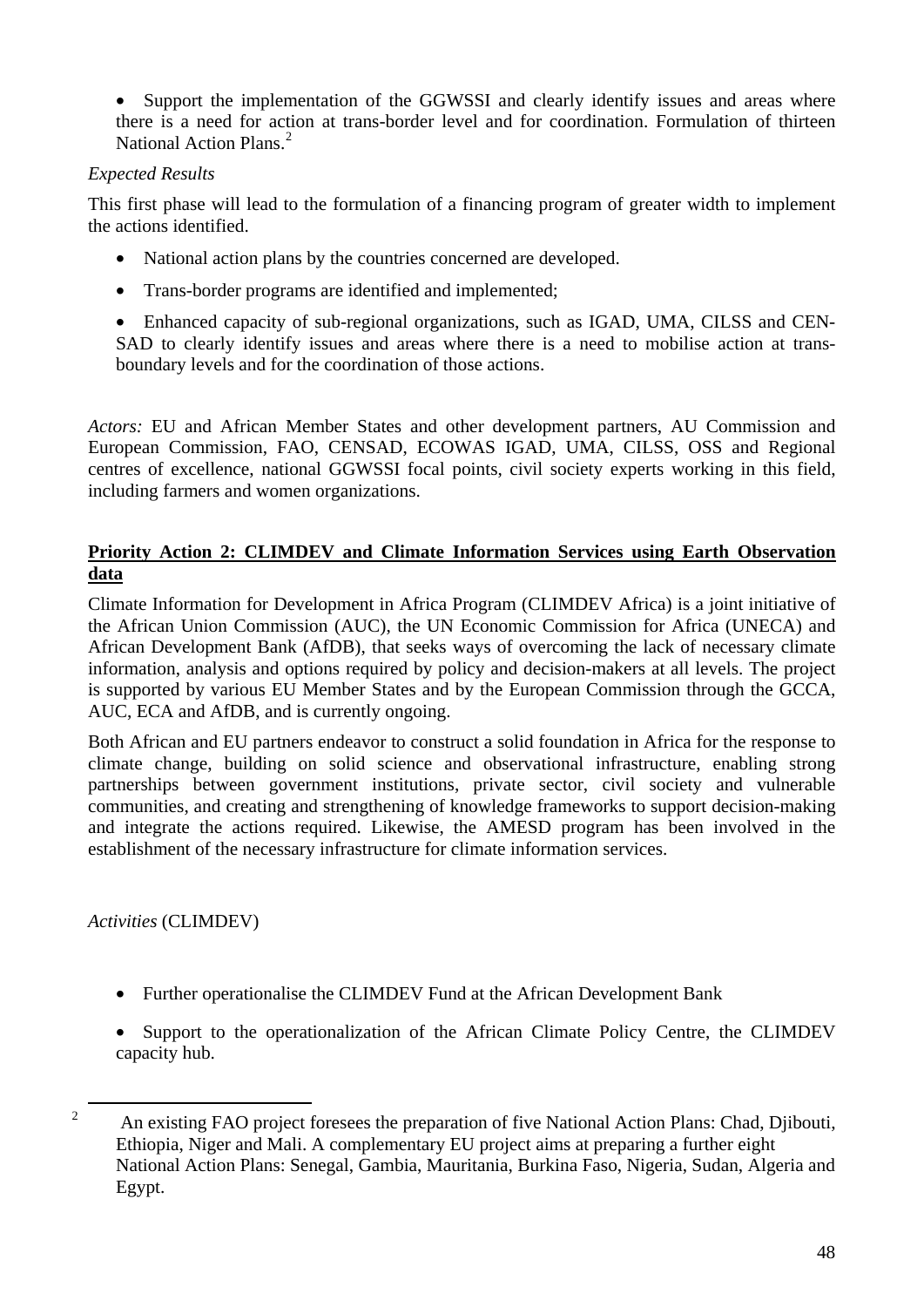• Support the implementation of the GGWSSI and clearly identify issues and areas where there is a need for action at trans-border level and for coordination. Formulation of thirteen National Action Plans.<sup>[2](#page-47-0)</sup>

## *Expected Results*

This first phase will lead to the formulation of a financing program of greater width to implement the actions identified.

- National action plans by the countries concerned are developed.
- Trans-border programs are identified and implemented;

• Enhanced capacity of sub-regional organizations, such as IGAD, UMA, CILSS and CEN-SAD to clearly identify issues and areas where there is a need to mobilise action at transboundary levels and for the coordination of those actions.

*Actors:* EU and African Member States and other development partners, AU Commission and European Commission, FAO, CENSAD, ECOWAS IGAD, UMA, CILSS, OSS and Regional centres of excellence, national GGWSSI focal points, civil society experts working in this field, including farmers and women organizations.

## **Priority Action 2: CLIMDEV and Climate Information Services using Earth Observation data**

Climate Information for Development in Africa Program (CLIMDEV Africa) is a joint initiative of the African Union Commission (AUC), the UN Economic Commission for Africa (UNECA) and African Development Bank (AfDB), that seeks ways of overcoming the lack of necessary climate information, analysis and options required by policy and decision-makers at all levels. The project is supported by various EU Member States and by the European Commission through the GCCA, AUC, ECA and AfDB, and is currently ongoing.

Both African and EU partners endeavor to construct a solid foundation in Africa for the response to climate change, building on solid science and observational infrastructure, enabling strong partnerships between government institutions, private sector, civil society and vulnerable communities, and creating and strengthening of knowledge frameworks to support decision-making and integrate the actions required. Likewise, the AMESD program has been involved in the establishment of the necessary infrastructure for climate information services.

*Activities* (CLIMDEV)

- Further operationalise the CLIMDEV Fund at the African Development Bank
- Support to the operationalization of the African Climate Policy Centre, the CLIMDEV capacity hub.

<span id="page-47-0"></span> $\overline{2}$  An existing FAO project foresees the preparation of five National Action Plans: Chad, Djibouti, Ethiopia, Niger and Mali. A complementary EU project aims at preparing a further eight National Action Plans: Senegal, Gambia, Mauritania, Burkina Faso, Nigeria, Sudan, Algeria and Egypt.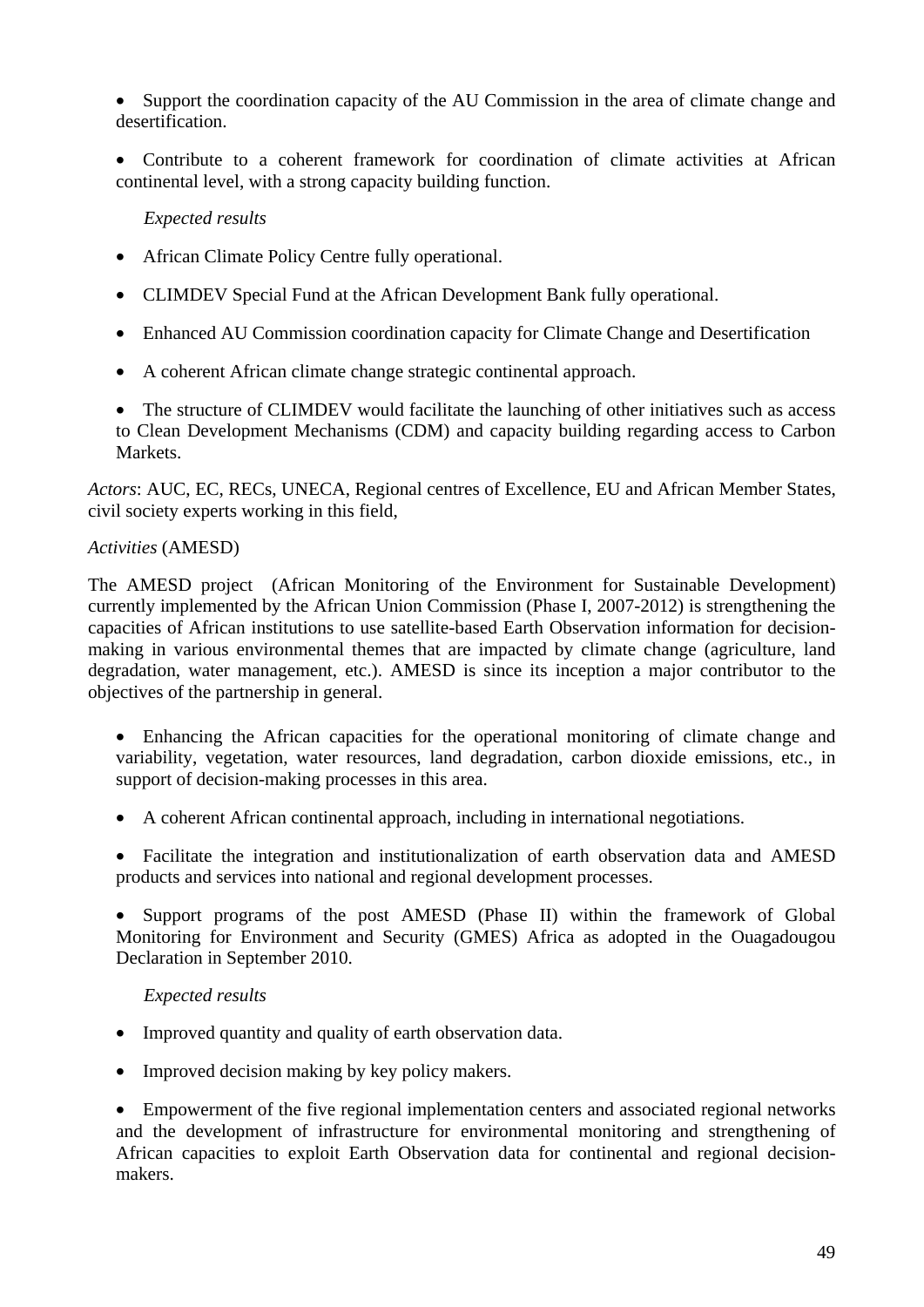• Support the coordination capacity of the AU Commission in the area of climate change and desertification.

• Contribute to a coherent framework for coordination of climate activities at African continental level, with a strong capacity building function.

#### *Expected results*

- African Climate Policy Centre fully operational.
- CLIMDEV Special Fund at the African Development Bank fully operational.
- Enhanced AU Commission coordination capacity for Climate Change and Desertification
- A coherent African climate change strategic continental approach.
- The structure of CLIMDEV would facilitate the launching of other initiatives such as access to Clean Development Mechanisms (CDM) and capacity building regarding access to Carbon **Markets**

*Actors*: AUC, EC, RECs, UNECA, Regional centres of Excellence, EU and African Member States, civil society experts working in this field,

#### *Activities* (AMESD)

The AMESD project (African Monitoring of the Environment for Sustainable Development) currently implemented by the African Union Commission (Phase I, 2007-2012) is strengthening the capacities of African institutions to use satellite-based Earth Observation information for decisionmaking in various environmental themes that are impacted by climate change (agriculture, land degradation, water management, etc.). AMESD is since its inception a major contributor to the objectives of the partnership in general.

- Enhancing the African capacities for the operational monitoring of climate change and variability, vegetation, water resources, land degradation, carbon dioxide emissions, etc., in support of decision-making processes in this area.
- A coherent African continental approach, including in international negotiations.

• Facilitate the integration and institutionalization of earth observation data and AMESD products and services into national and regional development processes.

• Support programs of the post AMESD (Phase II) within the framework of Global Monitoring for Environment and Security (GMES) Africa as adopted in the Ouagadougou Declaration in September 2010.

#### *Expected results*

- Improved quantity and quality of earth observation data.
- Improved decision making by key policy makers.

• Empowerment of the five regional implementation centers and associated regional networks and the development of infrastructure for environmental monitoring and strengthening of African capacities to exploit Earth Observation data for continental and regional decisionmakers.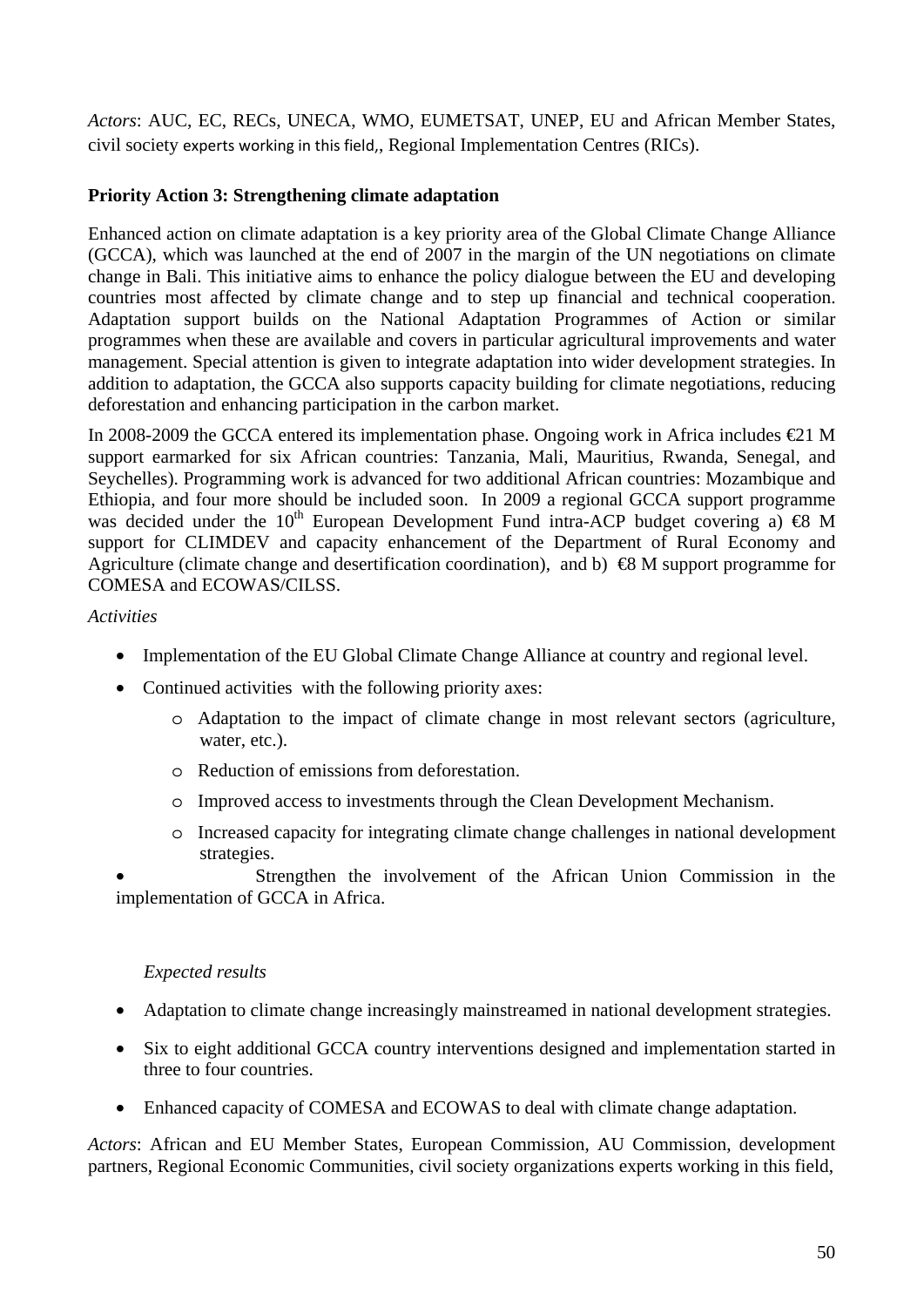*Actors*: AUC, EC, RECs, UNECA, WMO, EUMETSAT, UNEP, EU and African Member States, civil society experts working in this field,, Regional Implementation Centres (RICs).

## **Priority Action 3: Strengthening climate adaptation**

Enhanced action on climate adaptation is a key priority area of the Global Climate Change Alliance (GCCA), which was launched at the end of 2007 in the margin of the UN negotiations on climate change in Bali. This initiative aims to enhance the policy dialogue between the EU and developing countries most affected by climate change and to step up financial and technical cooperation. Adaptation support builds on the National Adaptation Programmes of Action or similar programmes when these are available and covers in particular agricultural improvements and water management. Special attention is given to integrate adaptation into wider development strategies. In addition to adaptation, the GCCA also supports capacity building for climate negotiations, reducing deforestation and enhancing participation in the carbon market.

In 2008-2009 the GCCA entered its implementation phase. Ongoing work in Africa includes  $\bigoplus$  1 M support earmarked for six African countries: Tanzania, Mali, Mauritius, Rwanda, Senegal, and Seychelles). Programming work is advanced for two additional African countries: Mozambique and Ethiopia, and four more should be included soon. In 2009 a regional GCCA support programme was decided under the 10<sup>th</sup> European Development Fund intra-ACP budget covering a)  $\otimes$  M support for CLIMDEV and capacity enhancement of the Department of Rural Economy and Agriculture (climate change and desertification coordination), and b)  $\bigoplus$  M support programme for COMESA and ECOWAS/CILSS.

#### *Activities*

- Implementation of the EU Global Climate Change Alliance at country and regional level.
- Continued activities with the following priority axes:
	- o Adaptation to the impact of climate change in most relevant sectors (agriculture, water, etc.).
	- o Reduction of emissions from deforestation.
	- o Improved access to investments through the Clean Development Mechanism.
	- o Increased capacity for integrating climate change challenges in national development strategies.

Strengthen the involvement of the African Union Commission in the implementation of GCCA in Africa.

#### *Expected results*

- Adaptation to climate change increasingly mainstreamed in national development strategies.
- Six to eight additional GCCA country interventions designed and implementation started in three to four countries.
- Enhanced capacity of COMESA and ECOWAS to deal with climate change adaptation.

*Actors*: African and EU Member States, European Commission, AU Commission, development partners, Regional Economic Communities, civil society organizations experts working in this field,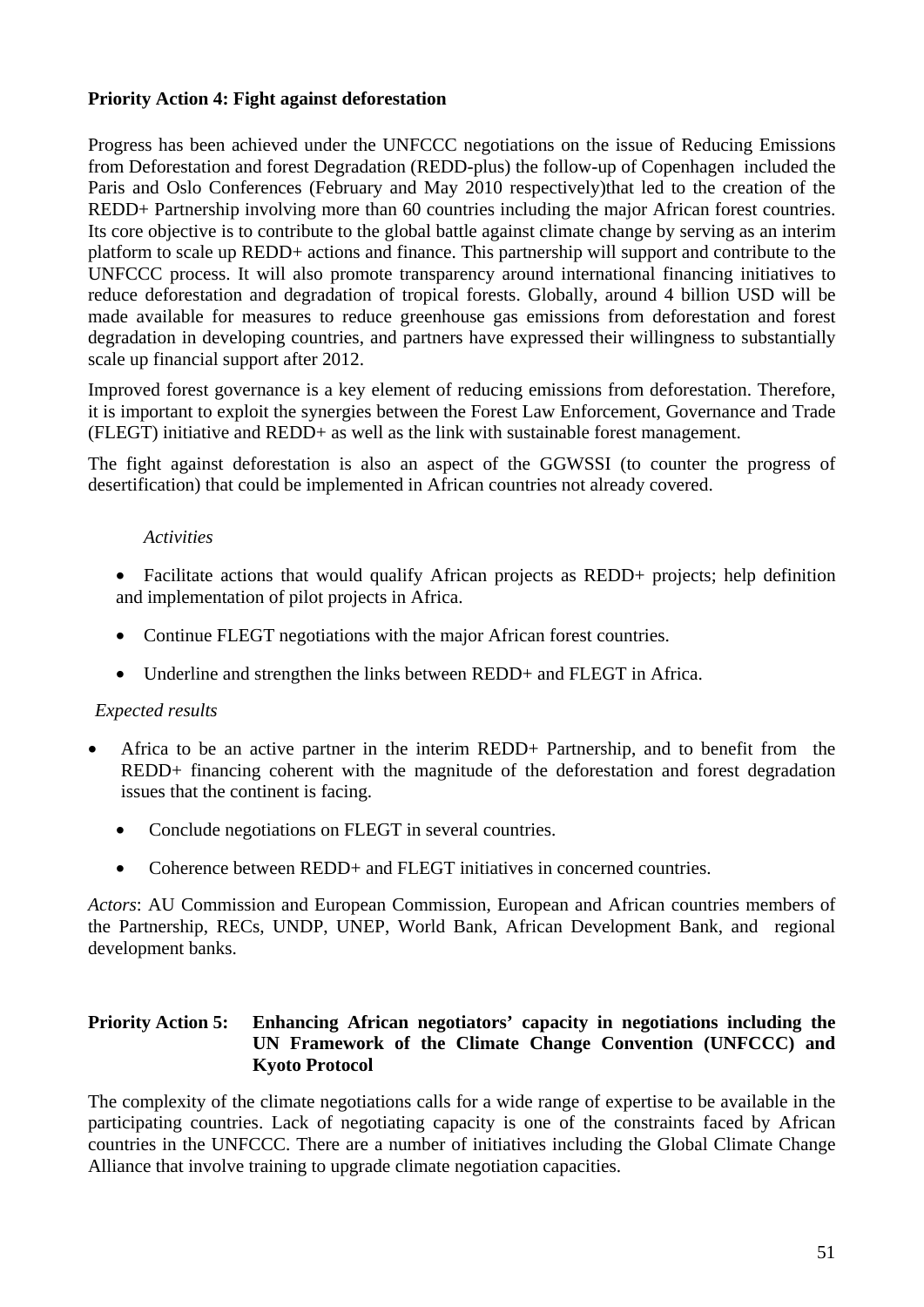#### **Priority Action 4: Fight against deforestation**

Progress has been achieved under the UNFCCC negotiations on the issue of Reducing Emissions from Deforestation and forest Degradation (REDD-plus) the follow-up of Copenhagen included the Paris and Oslo Conferences (February and May 2010 respectively)that led to the creation of the REDD+ Partnership involving more than 60 countries including the major African forest countries. Its core objective is to contribute to the global battle against climate change by serving as an interim platform to scale up REDD+ actions and finance. This partnership will support and contribute to the UNFCCC process. It will also promote transparency around international financing initiatives to reduce deforestation and degradation of tropical forests. Globally, around 4 billion USD will be made available for measures to reduce greenhouse gas emissions from deforestation and forest degradation in developing countries, and partners have expressed their willingness to substantially scale up financial support after 2012.

Improved forest governance is a key element of reducing emissions from deforestation. Therefore, it is important to exploit the synergies between the Forest Law Enforcement, Governance and Trade (FLEGT) initiative and REDD+ as well as the link with sustainable forest management.

The fight against deforestation is also an aspect of the GGWSSI (to counter the progress of desertification) that could be implemented in African countries not already covered.

#### *Activities*

- Facilitate actions that would qualify African projects as REDD+ projects; help definition and implementation of pilot projects in Africa.
- Continue FLEGT negotiations with the major African forest countries.
- Underline and strengthen the links between REDD+ and FLEGT in Africa.

#### *Expected results*

- Africa to be an active partner in the interim REDD+ Partnership, and to benefit from the REDD+ financing coherent with the magnitude of the deforestation and forest degradation issues that the continent is facing.
	- Conclude negotiations on FLEGT in several countries.
	- Coherence between REDD+ and FLEGT initiatives in concerned countries.

*Actors*: AU Commission and European Commission, European and African countries members of the Partnership, RECs, UNDP, UNEP, World Bank, African Development Bank, and regional development banks.

#### **Priority Action 5: Enhancing African negotiators' capacity in negotiations including the UN Framework of the Climate Change Convention (UNFCCC) and Kyoto Protocol**

The complexity of the climate negotiations calls for a wide range of expertise to be available in the participating countries. Lack of negotiating capacity is one of the constraints faced by African countries in the UNFCCC. There are a number of initiatives including the Global Climate Change Alliance that involve training to upgrade climate negotiation capacities.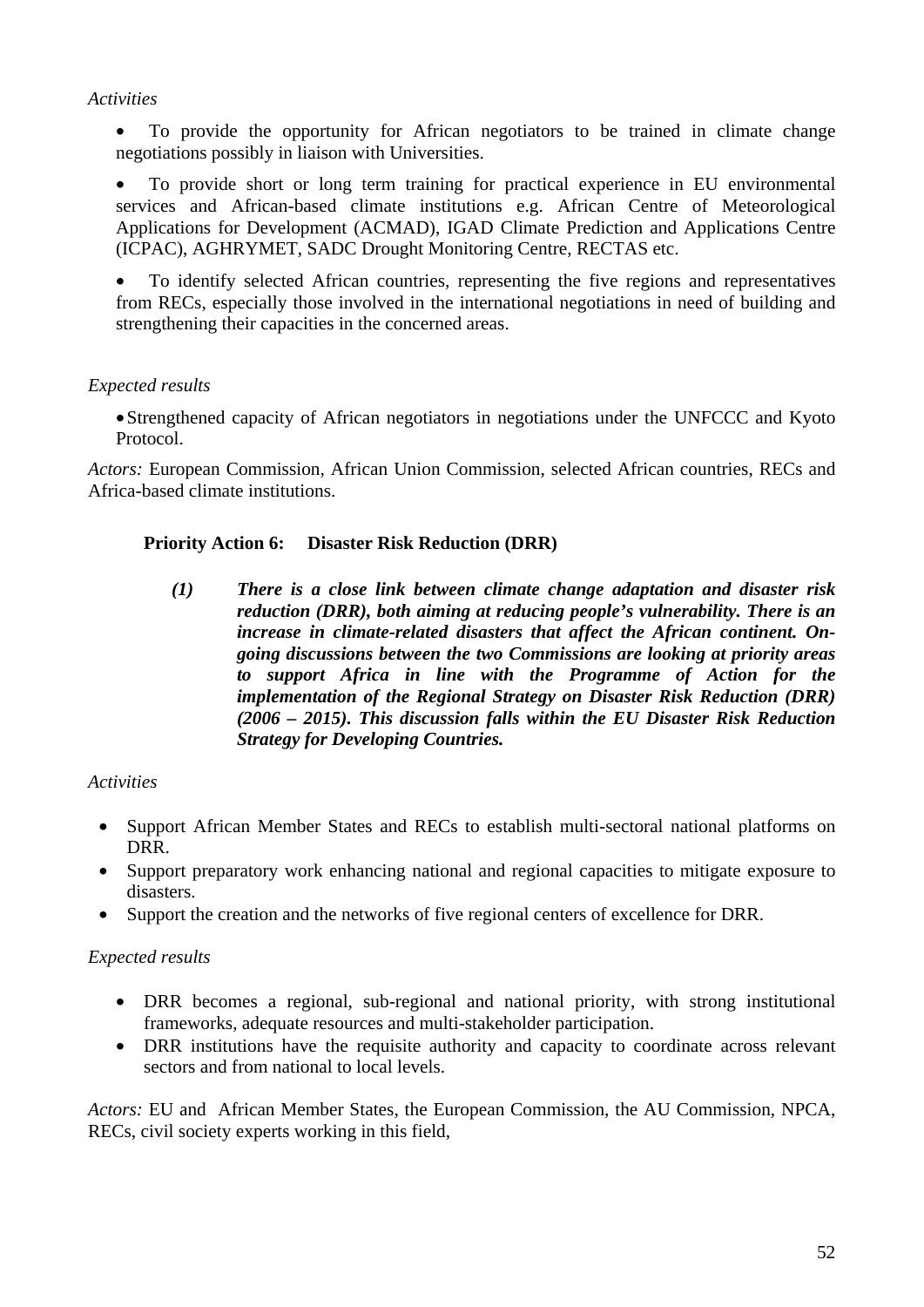#### *Activities*

• To provide the opportunity for African negotiators to be trained in climate change negotiations possibly in liaison with Universities.

• To provide short or long term training for practical experience in EU environmental services and African-based climate institutions e.g. African Centre of Meteorological Applications for Development (ACMAD), IGAD Climate Prediction and Applications Centre (ICPAC), AGHRYMET, SADC Drought Monitoring Centre, RECTAS etc.

• To identify selected African countries, representing the five regions and representatives from RECs, especially those involved in the international negotiations in need of building and strengthening their capacities in the concerned areas.

## *Expected results*

•Strengthened capacity of African negotiators in negotiations under the UNFCCC and Kyoto Protocol.

*Actors:* European Commission, African Union Commission, selected African countries, RECs and Africa-based climate institutions.

#### **Priority Action 6: Disaster Risk Reduction (DRR)**

*(1) There is a close link between climate change adaptation and disaster risk reduction (DRR), both aiming at reducing people's vulnerability. There is an increase in climate-related disasters that affect the African continent. Ongoing discussions between the two Commissions are looking at priority areas to support Africa in line with the Programme of Action for the implementation of the Regional Strategy on Disaster Risk Reduction (DRR) (2006 – 2015). This discussion falls within the EU Disaster Risk Reduction Strategy for Developing Countries.* 

#### *Activities*

- Support African Member States and RECs to establish multi-sectoral national platforms on DRR.
- Support preparatory work enhancing national and regional capacities to mitigate exposure to disasters.
- Support the creation and the networks of five regional centers of excellence for DRR.

#### *Expected results*

- DRR becomes a regional, sub-regional and national priority, with strong institutional frameworks, adequate resources and multi-stakeholder participation.
- DRR institutions have the requisite authority and capacity to coordinate across relevant sectors and from national to local levels.

*Actors:* EU and African Member States, the European Commission, the AU Commission, NPCA, RECs, civil society experts working in this field,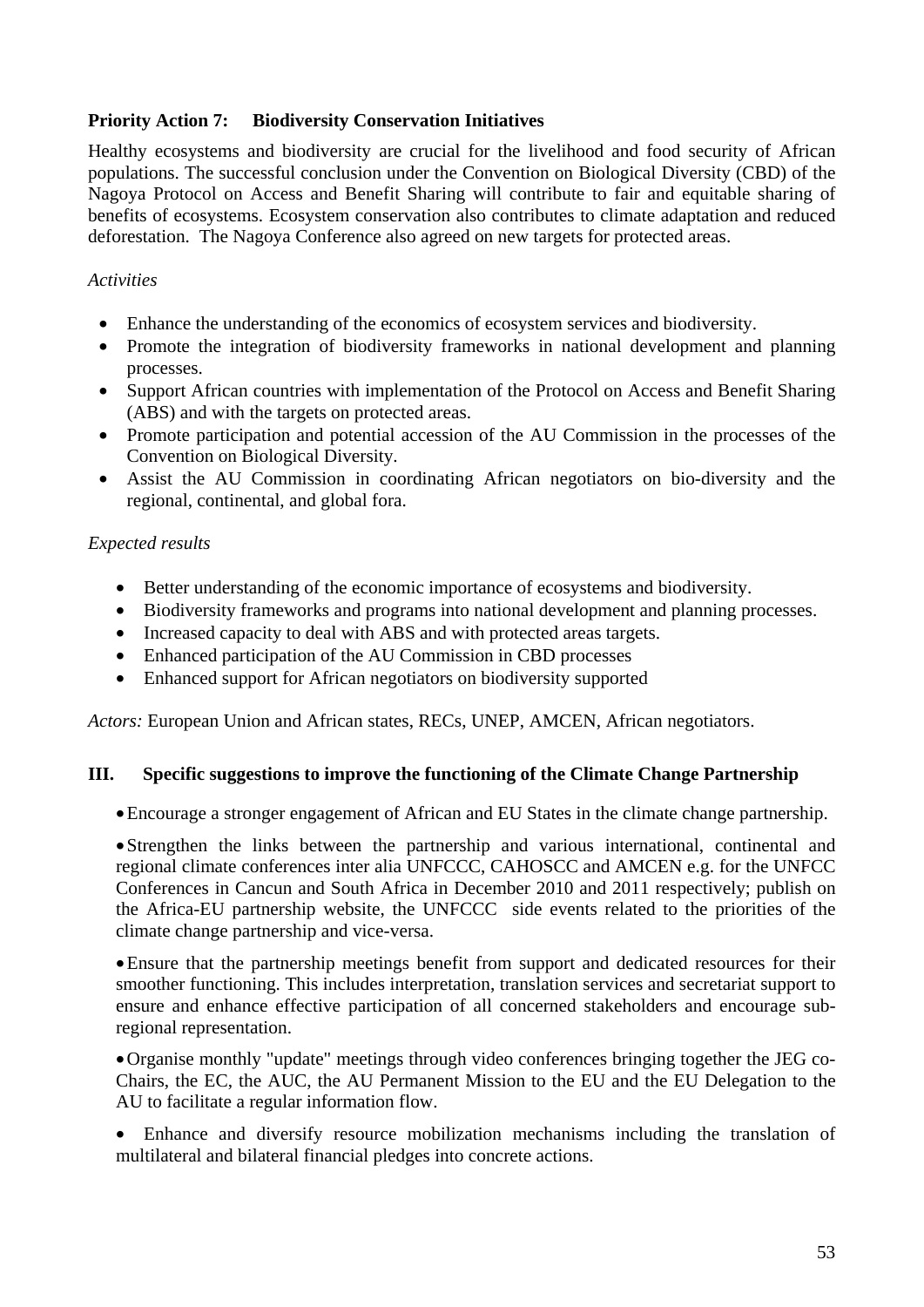## **Priority Action 7: Biodiversity Conservation Initiatives**

Healthy ecosystems and biodiversity are crucial for the livelihood and food security of African populations. The successful conclusion under the Convention on Biological Diversity (CBD) of the Nagoya Protocol on Access and Benefit Sharing will contribute to fair and equitable sharing of benefits of ecosystems. Ecosystem conservation also contributes to climate adaptation and reduced deforestation. The Nagoya Conference also agreed on new targets for protected areas.

#### *Activities*

- Enhance the understanding of the economics of ecosystem services and biodiversity.
- Promote the integration of biodiversity frameworks in national development and planning processes.
- Support African countries with implementation of the Protocol on Access and Benefit Sharing (ABS) and with the targets on protected areas.
- Promote participation and potential accession of the AU Commission in the processes of the Convention on Biological Diversity.
- Assist the AU Commission in coordinating African negotiators on bio-diversity and the regional, continental, and global fora.

#### *Expected results*

- Better understanding of the economic importance of ecosystems and biodiversity.
- Biodiversity frameworks and programs into national development and planning processes.
- Increased capacity to deal with ABS and with protected areas targets.
- Enhanced participation of the AU Commission in CBD processes
- Enhanced support for African negotiators on biodiversity supported

*Actors:* European Union and African states, RECs, UNEP, AMCEN, African negotiators.

#### **III. Specific suggestions to improve the functioning of the Climate Change Partnership**

•Encourage a stronger engagement of African and EU States in the climate change partnership.

•Strengthen the links between the partnership and various international, continental and regional climate conferences inter alia UNFCCC, CAHOSCC and AMCEN e.g. for the UNFCC Conferences in Cancun and South Africa in December 2010 and 2011 respectively; publish on the Africa-EU partnership website, the UNFCCC side events related to the priorities of the climate change partnership and vice-versa.

•Ensure that the partnership meetings benefit from support and dedicated resources for their smoother functioning. This includes interpretation, translation services and secretariat support to ensure and enhance effective participation of all concerned stakeholders and encourage subregional representation.

•Organise monthly "update" meetings through video conferences bringing together the JEG co-Chairs, the EC, the AUC, the AU Permanent Mission to the EU and the EU Delegation to the AU to facilitate a regular information flow.

• Enhance and diversify resource mobilization mechanisms including the translation of multilateral and bilateral financial pledges into concrete actions.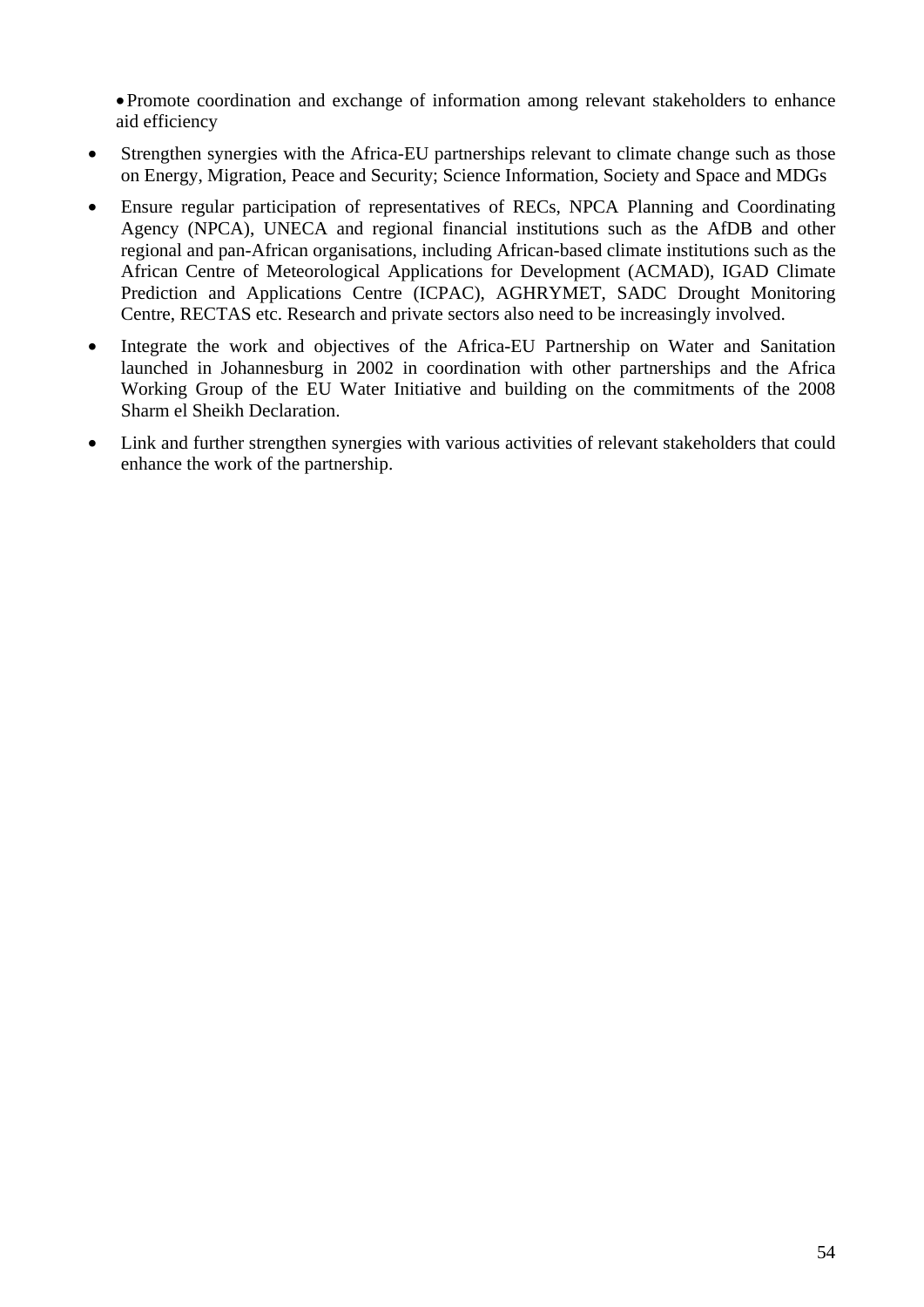•Promote coordination and exchange of information among relevant stakeholders to enhance aid efficiency

- Strengthen synergies with the Africa-EU partnerships relevant to climate change such as those on Energy, Migration, Peace and Security; Science Information, Society and Space and MDGs
- Ensure regular participation of representatives of RECs, NPCA Planning and Coordinating Agency (NPCA), UNECA and regional financial institutions such as the AfDB and other regional and pan-African organisations, including African-based climate institutions such as the African Centre of Meteorological Applications for Development (ACMAD), IGAD Climate Prediction and Applications Centre (ICPAC), AGHRYMET, SADC Drought Monitoring Centre, RECTAS etc. Research and private sectors also need to be increasingly involved.
- Integrate the work and objectives of the Africa-EU Partnership on Water and Sanitation launched in Johannesburg in 2002 in coordination with other partnerships and the Africa Working Group of the EU Water Initiative and building on the commitments of the 2008 Sharm el Sheikh Declaration.
- Link and further strengthen synergies with various activities of relevant stakeholders that could enhance the work of the partnership.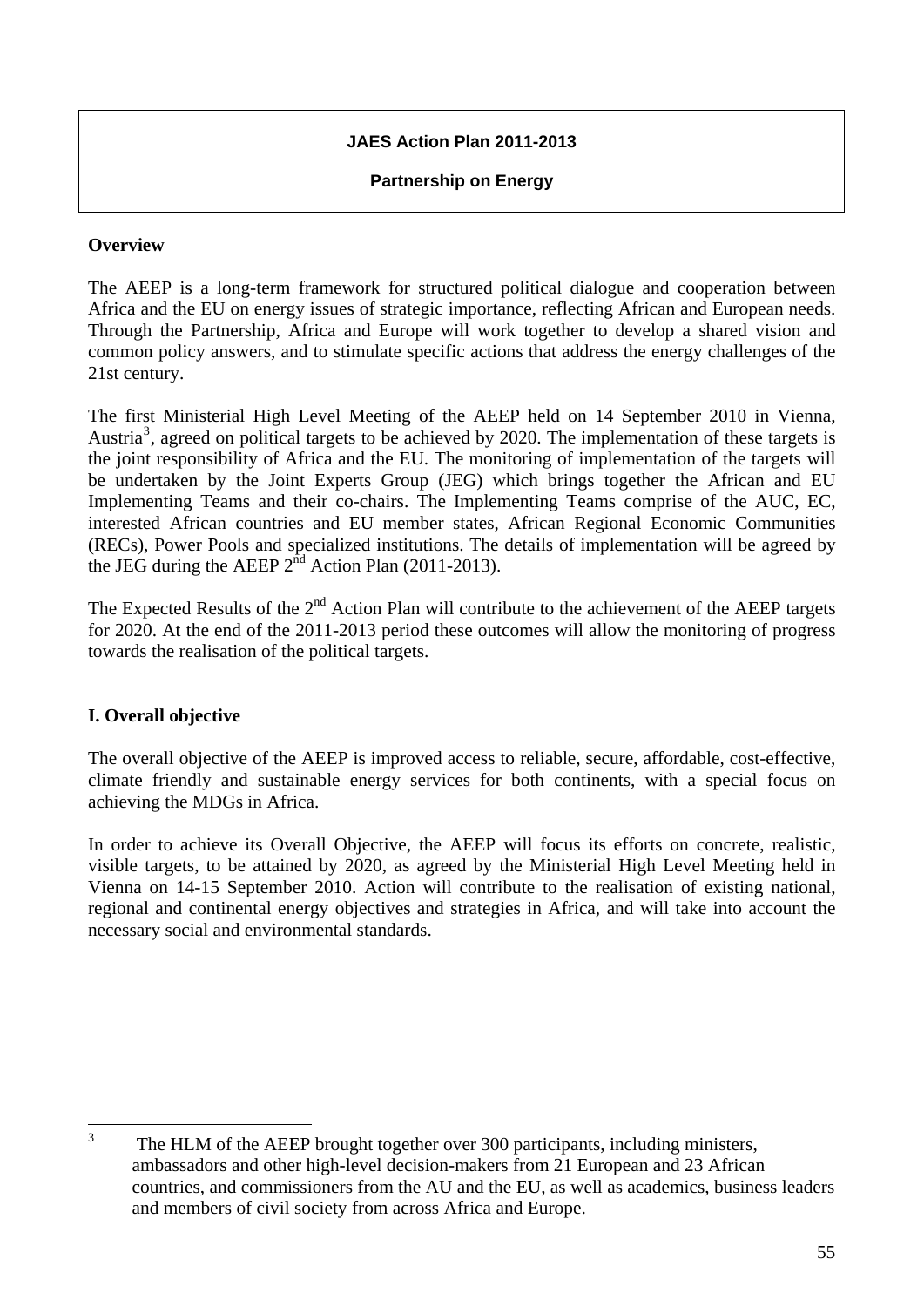# **JAES Action Plan 2011-2013**

#### **Partnership on Energy**

#### **Overview**

The AEEP is a long-term framework for structured political dialogue and cooperation between Africa and the EU on energy issues of strategic importance, reflecting African and European needs. Through the Partnership, Africa and Europe will work together to develop a shared vision and common policy answers, and to stimulate specific actions that address the energy challenges of the 21st century.

The first Ministerial High Level Meeting of the AEEP held on 14 September 2010 in Vienna, Austria<sup>[3](#page-54-0)</sup>, agreed on political targets to be achieved by 2020. The implementation of these targets is the joint responsibility of Africa and the EU. The monitoring of implementation of the targets will be undertaken by the Joint Experts Group (JEG) which brings together the African and EU Implementing Teams and their co-chairs. The Implementing Teams comprise of the AUC, EC, interested African countries and EU member states, African Regional Economic Communities (RECs), Power Pools and specialized institutions. The details of implementation will be agreed by the JEG during the AEEP  $2^{nd}$  Action Plan (2011-2013).

The Expected Results of the  $2<sup>nd</sup>$  Action Plan will contribute to the achievement of the AEEP targets for 2020. At the end of the 2011-2013 period these outcomes will allow the monitoring of progress towards the realisation of the political targets.

#### **I. Overall objective**

The overall objective of the AEEP is improved access to reliable, secure, affordable, cost-effective, climate friendly and sustainable energy services for both continents, with a special focus on achieving the MDGs in Africa.

In order to achieve its Overall Objective, the AEEP will focus its efforts on concrete, realistic, visible targets, to be attained by 2020, as agreed by the Ministerial High Level Meeting held in Vienna on 14-15 September 2010. Action will contribute to the realisation of existing national, regional and continental energy objectives and strategies in Africa, and will take into account the necessary social and environmental standards.

<span id="page-54-0"></span> $\frac{1}{3}$  The HLM of the AEEP brought together over 300 participants, including ministers, ambassadors and other high-level decision-makers from 21 European and 23 African countries, and commissioners from the AU and the EU, as well as academics, business leaders and members of civil society from across Africa and Europe.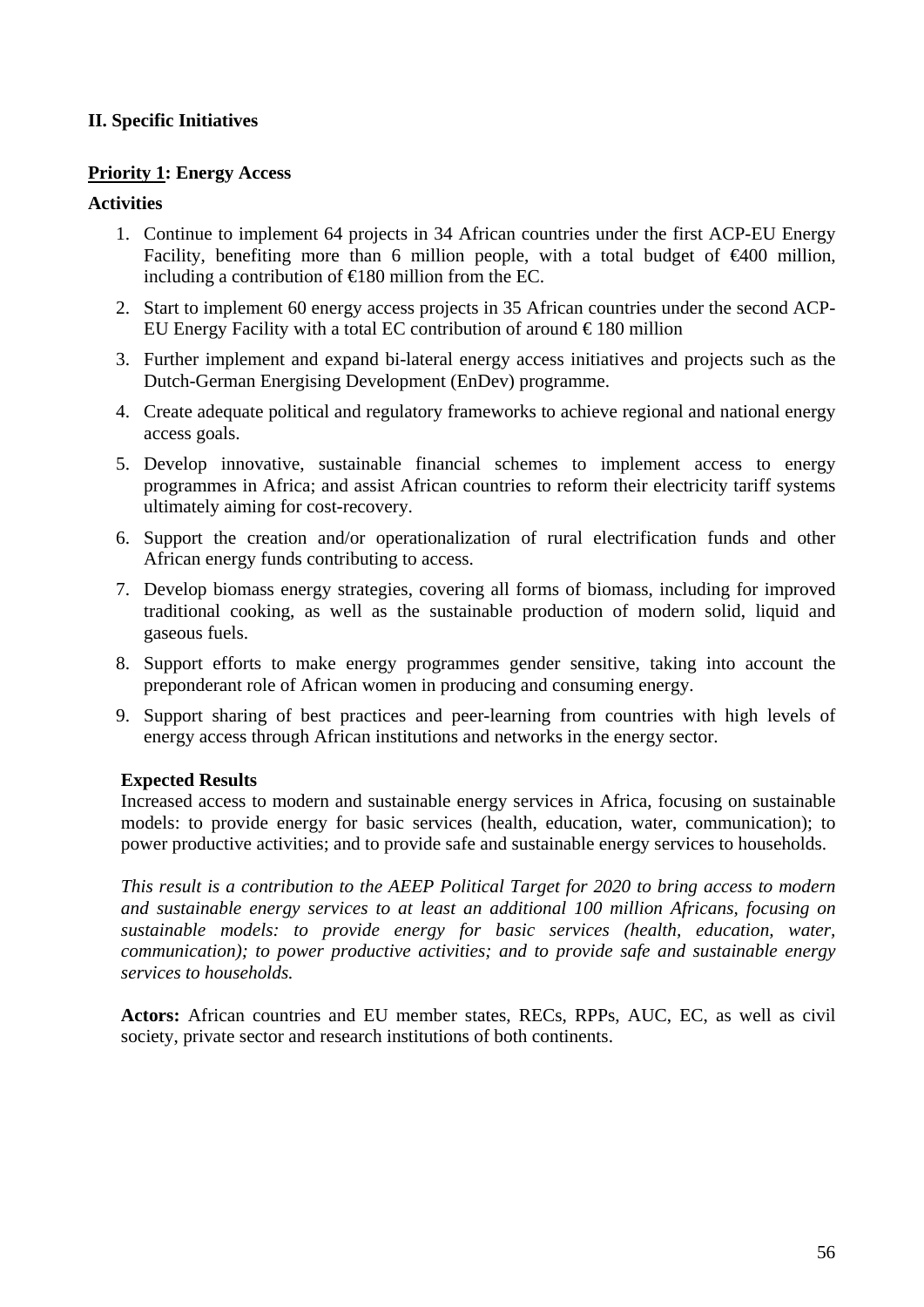## **II. Specific Initiatives**

#### **Priority 1: Energy Access**

#### **Activities**

- 1. Continue to implement 64 projects in 34 African countries under the first ACP-EU Energy Facility, benefiting more than 6 million people, with a total budget of  $\epsilon 400$  million, including a contribution of  $\in$  180 million from the EC.
- 2. Start to implement 60 energy access projects in 35 African countries under the second ACP-EU Energy Facility with a total EC contribution of around  $\epsilon$  180 million
- 3. Further implement and expand bi-lateral energy access initiatives and projects such as the Dutch-German Energising Development (EnDev) programme.
- 4. Create adequate political and regulatory frameworks to achieve regional and national energy access goals.
- 5. Develop innovative, sustainable financial schemes to implement access to energy programmes in Africa; and assist African countries to reform their electricity tariff systems ultimately aiming for cost-recovery.
- 6. Support the creation and/or operationalization of rural electrification funds and other African energy funds contributing to access.
- 7. Develop biomass energy strategies, covering all forms of biomass, including for improved traditional cooking, as well as the sustainable production of modern solid, liquid and gaseous fuels.
- 8. Support efforts to make energy programmes gender sensitive, taking into account the preponderant role of African women in producing and consuming energy.
- 9. Support sharing of best practices and peer-learning from countries with high levels of energy access through African institutions and networks in the energy sector.

#### **Expected Results**

Increased access to modern and sustainable energy services in Africa, focusing on sustainable models: to provide energy for basic services (health, education, water, communication); to power productive activities; and to provide safe and sustainable energy services to households.

*This result is a contribution to the AEEP Political Target for 2020 to bring access to modern and sustainable energy services to at least an additional 100 million Africans, focusing on sustainable models: to provide energy for basic services (health, education, water, communication); to power productive activities; and to provide safe and sustainable energy services to households.*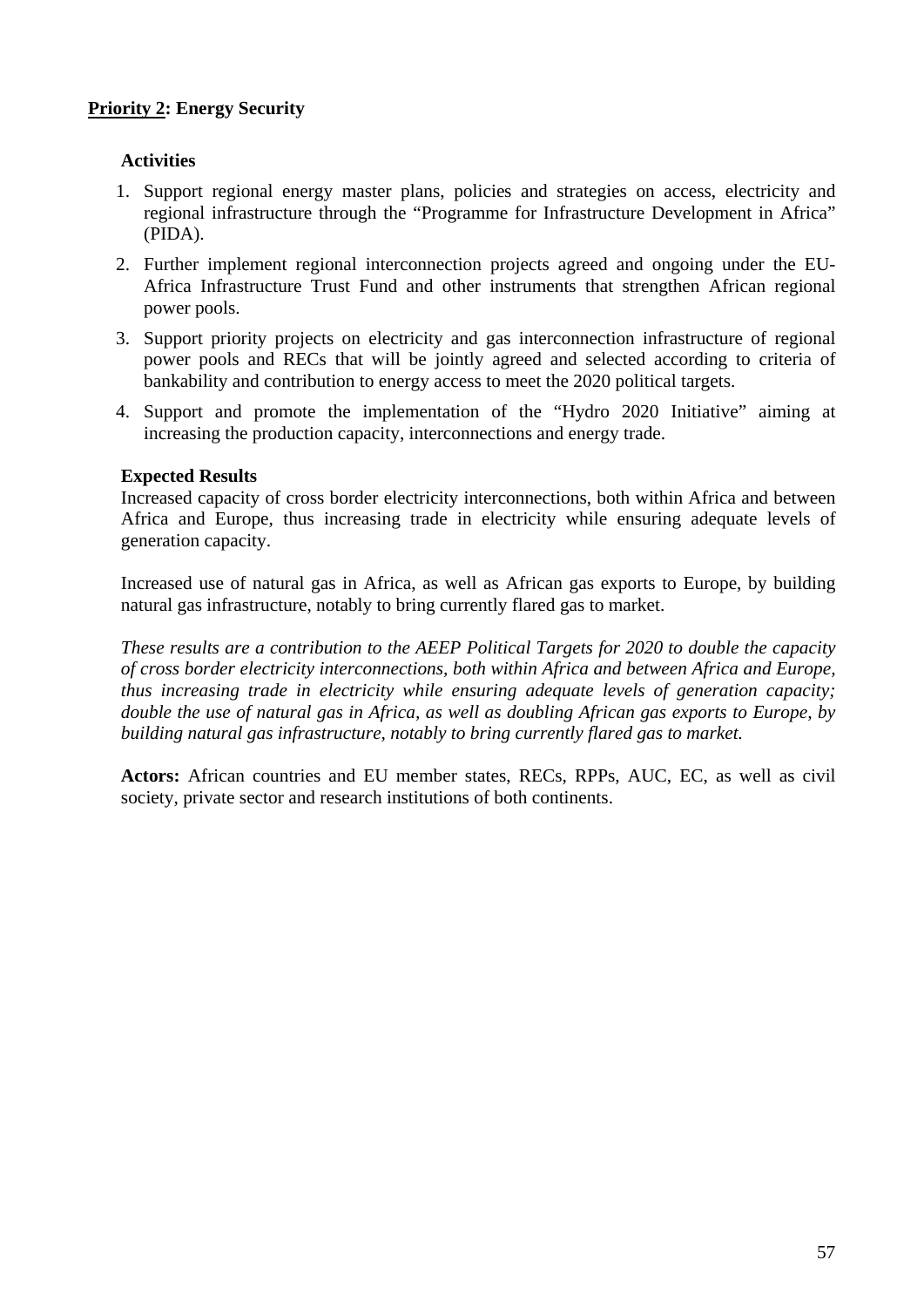# **Priority 2: Energy Security**

# **Activities**

- 1. Support regional energy master plans, policies and strategies on access, electricity and regional infrastructure through the "Programme for Infrastructure Development in Africa" (PIDA).
- 2. Further implement regional interconnection projects agreed and ongoing under the EU-Africa Infrastructure Trust Fund and other instruments that strengthen African regional power pools.
- 3. Support priority projects on electricity and gas interconnection infrastructure of regional power pools and RECs that will be jointly agreed and selected according to criteria of bankability and contribution to energy access to meet the 2020 political targets.
- 4. Support and promote the implementation of the "Hydro 2020 Initiative" aiming at increasing the production capacity, interconnections and energy trade.

#### **Expected Results**

Increased capacity of cross border electricity interconnections, both within Africa and between Africa and Europe, thus increasing trade in electricity while ensuring adequate levels of generation capacity.

Increased use of natural gas in Africa, as well as African gas exports to Europe, by building natural gas infrastructure, notably to bring currently flared gas to market.

*These results are a contribution to the AEEP Political Targets for 2020 to double the capacity of cross border electricity interconnections, both within Africa and between Africa and Europe, thus increasing trade in electricity while ensuring adequate levels of generation capacity; double the use of natural gas in Africa, as well as doubling African gas exports to Europe, by building natural gas infrastructure, notably to bring currently flared gas to market.*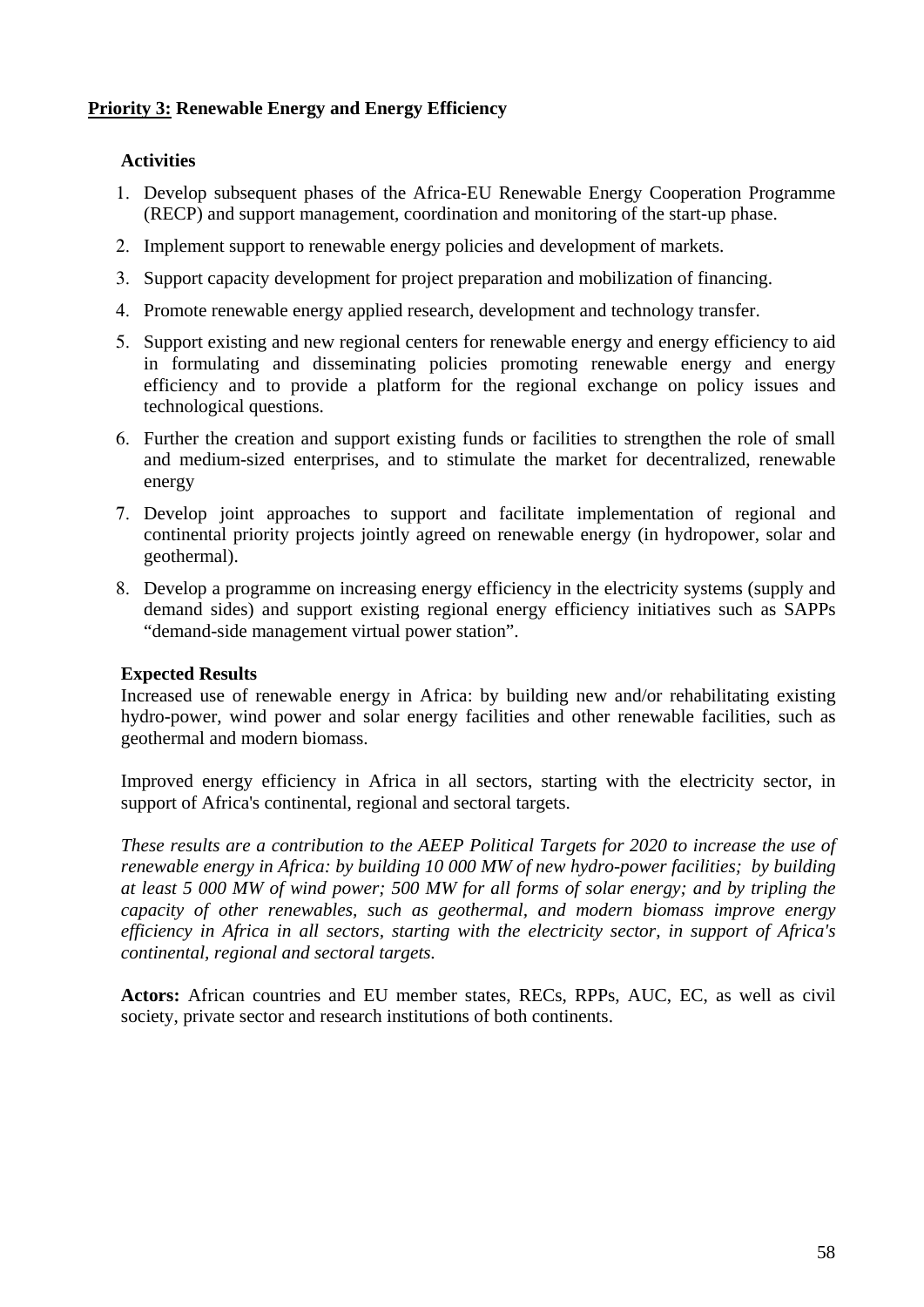# **Priority 3: Renewable Energy and Energy Efficiency**

# **Activities**

- 1. Develop subsequent phases of the Africa-EU Renewable Energy Cooperation Programme (RECP) and support management, coordination and monitoring of the start-up phase.
- 2. Implement support to renewable energy policies and development of markets.
- 3. Support capacity development for project preparation and mobilization of financing.
- 4. Promote renewable energy applied research, development and technology transfer.
- 5. Support existing and new regional centers for renewable energy and energy efficiency to aid in formulating and disseminating policies promoting renewable energy and energy efficiency and to provide a platform for the regional exchange on policy issues and technological questions.
- 6. Further the creation and support existing funds or facilities to strengthen the role of small and medium-sized enterprises, and to stimulate the market for decentralized, renewable energy
- 7. Develop joint approaches to support and facilitate implementation of regional and continental priority projects jointly agreed on renewable energy (in hydropower, solar and geothermal).
- 8. Develop a programme on increasing energy efficiency in the electricity systems (supply and demand sides) and support existing regional energy efficiency initiatives such as SAPPs "demand-side management virtual power station".

# **Expected Results**

Increased use of renewable energy in Africa: by building new and/or rehabilitating existing hydro-power, wind power and solar energy facilities and other renewable facilities, such as geothermal and modern biomass.

Improved energy efficiency in Africa in all sectors, starting with the electricity sector, in support of Africa's continental, regional and sectoral targets.

*These results are a contribution to the AEEP Political Targets for 2020 to increase the use of renewable energy in Africa: by building 10 000 MW of new hydro-power facilities; by building at least 5 000 MW of wind power; 500 MW for all forms of solar energy; and by tripling the capacity of other renewables, such as geothermal, and modern biomass improve energy efficiency in Africa in all sectors, starting with the electricity sector, in support of Africa's continental, regional and sectoral targets.*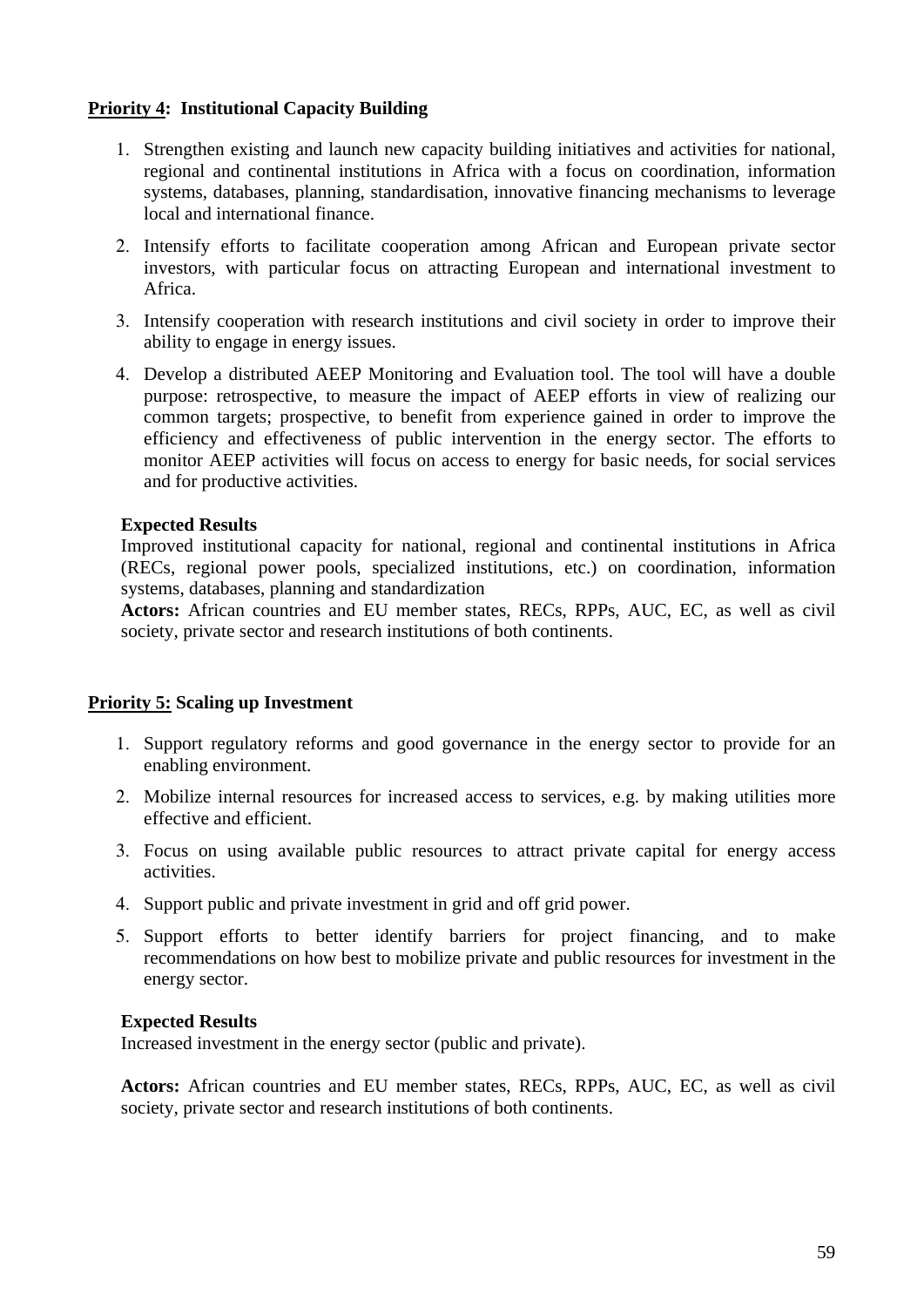## **Priority 4: Institutional Capacity Building**

- 1. Strengthen existing and launch new capacity building initiatives and activities for national, regional and continental institutions in Africa with a focus on coordination, information systems, databases, planning, standardisation, innovative financing mechanisms to leverage local and international finance.
- 2. Intensify efforts to facilitate cooperation among African and European private sector investors, with particular focus on attracting European and international investment to Africa.
- 3. Intensify cooperation with research institutions and civil society in order to improve their ability to engage in energy issues.
- 4. Develop a distributed AEEP Monitoring and Evaluation tool. The tool will have a double purpose: retrospective, to measure the impact of AEEP efforts in view of realizing our common targets; prospective, to benefit from experience gained in order to improve the efficiency and effectiveness of public intervention in the energy sector. The efforts to monitor AEEP activities will focus on access to energy for basic needs, for social services and for productive activities.

#### **Expected Results**

Improved institutional capacity for national, regional and continental institutions in Africa (RECs, regional power pools, specialized institutions, etc.) on coordination, information systems, databases, planning and standardization

**Actors:** African countries and EU member states, RECs, RPPs, AUC, EC, as well as civil society, private sector and research institutions of both continents.

#### **Priority 5: Scaling up Investment**

- 1. Support regulatory reforms and good governance in the energy sector to provide for an enabling environment.
- 2. Mobilize internal resources for increased access to services, e.g. by making utilities more effective and efficient.
- 3. Focus on using available public resources to attract private capital for energy access activities.
- 4. Support public and private investment in grid and off grid power.
- 5. Support efforts to better identify barriers for project financing, and to make recommendations on how best to mobilize private and public resources for investment in the energy sector.

#### **Expected Results**

Increased investment in the energy sector (public and private).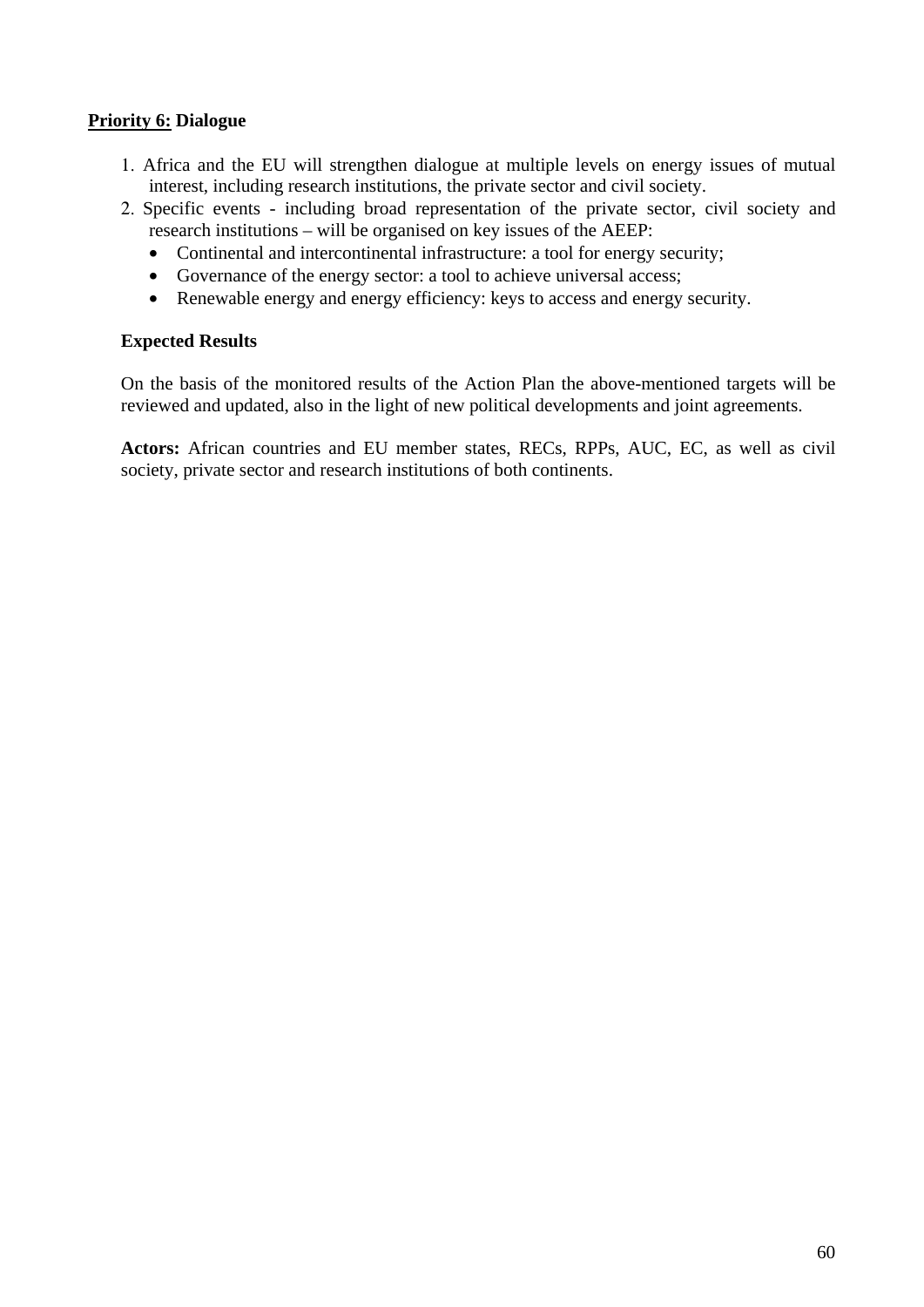## **Priority 6: Dialogue**

- 1. Africa and the EU will strengthen dialogue at multiple levels on energy issues of mutual interest, including research institutions, the private sector and civil society.
- 2. Specific events including broad representation of the private sector, civil society and research institutions – will be organised on key issues of the AEEP:
	- Continental and intercontinental infrastructure: a tool for energy security;
	- Governance of the energy sector: a tool to achieve universal access;
	- Renewable energy and energy efficiency: keys to access and energy security.

## **Expected Results**

On the basis of the monitored results of the Action Plan the above-mentioned targets will be reviewed and updated, also in the light of new political developments and joint agreements.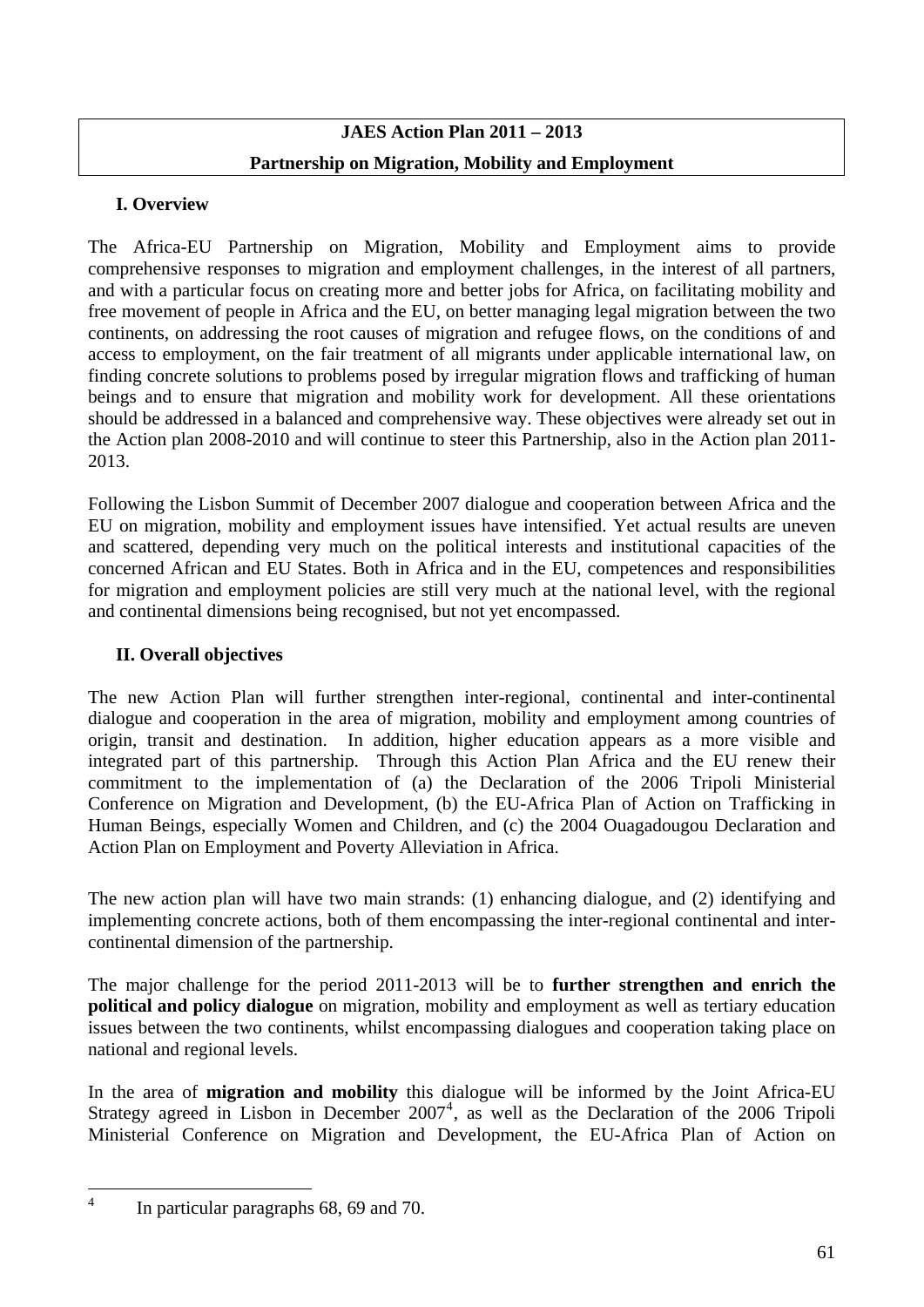# **JAES Action Plan 2011 – 2013 Partnership on Migration, Mobility and Employment**

# **I. Overview**

The Africa-EU Partnership on Migration, Mobility and Employment aims to provide comprehensive responses to migration and employment challenges, in the interest of all partners, and with a particular focus on creating more and better jobs for Africa, on facilitating mobility and free movement of people in Africa and the EU, on better managing legal migration between the two continents, on addressing the root causes of migration and refugee flows, on the conditions of and access to employment, on the fair treatment of all migrants under applicable international law, on finding concrete solutions to problems posed by irregular migration flows and trafficking of human beings and to ensure that migration and mobility work for development. All these orientations should be addressed in a balanced and comprehensive way. These objectives were already set out in the Action plan 2008-2010 and will continue to steer this Partnership, also in the Action plan 2011- 2013.

Following the Lisbon Summit of December 2007 dialogue and cooperation between Africa and the EU on migration, mobility and employment issues have intensified. Yet actual results are uneven and scattered, depending very much on the political interests and institutional capacities of the concerned African and EU States. Both in Africa and in the EU, competences and responsibilities for migration and employment policies are still very much at the national level, with the regional and continental dimensions being recognised, but not yet encompassed.

# **II. Overall objectives**

The new Action Plan will further strengthen inter-regional, continental and inter-continental dialogue and cooperation in the area of migration, mobility and employment among countries of origin, transit and destination. In addition, higher education appears as a more visible and integrated part of this partnership. Through this Action Plan Africa and the EU renew their commitment to the implementation of (a) the Declaration of the 2006 Tripoli Ministerial Conference on Migration and Development, (b) the EU-Africa Plan of Action on Trafficking in Human Beings, especially Women and Children, and (c) the 2004 Ouagadougou Declaration and Action Plan on Employment and Poverty Alleviation in Africa.

The new action plan will have two main strands: (1) enhancing dialogue, and (2) identifying and implementing concrete actions, both of them encompassing the inter-regional continental and intercontinental dimension of the partnership.

The major challenge for the period 2011-2013 will be to **further strengthen and enrich the political and policy dialogue** on migration, mobility and employment as well as tertiary education issues between the two continents, whilst encompassing dialogues and cooperation taking place on national and regional levels.

In the area of **migration and mobility** this dialogue will be informed by the Joint Africa-EU Strategy agreed in Lisbon in December  $2007<sup>4</sup>$  $2007<sup>4</sup>$  $2007<sup>4</sup>$ , as well as the Declaration of the 2006 Tripoli Ministerial Conference on Migration and Development, the EU-Africa Plan of Action on

<span id="page-60-0"></span> $\frac{1}{4}$ 

In particular paragraphs 68, 69 and 70.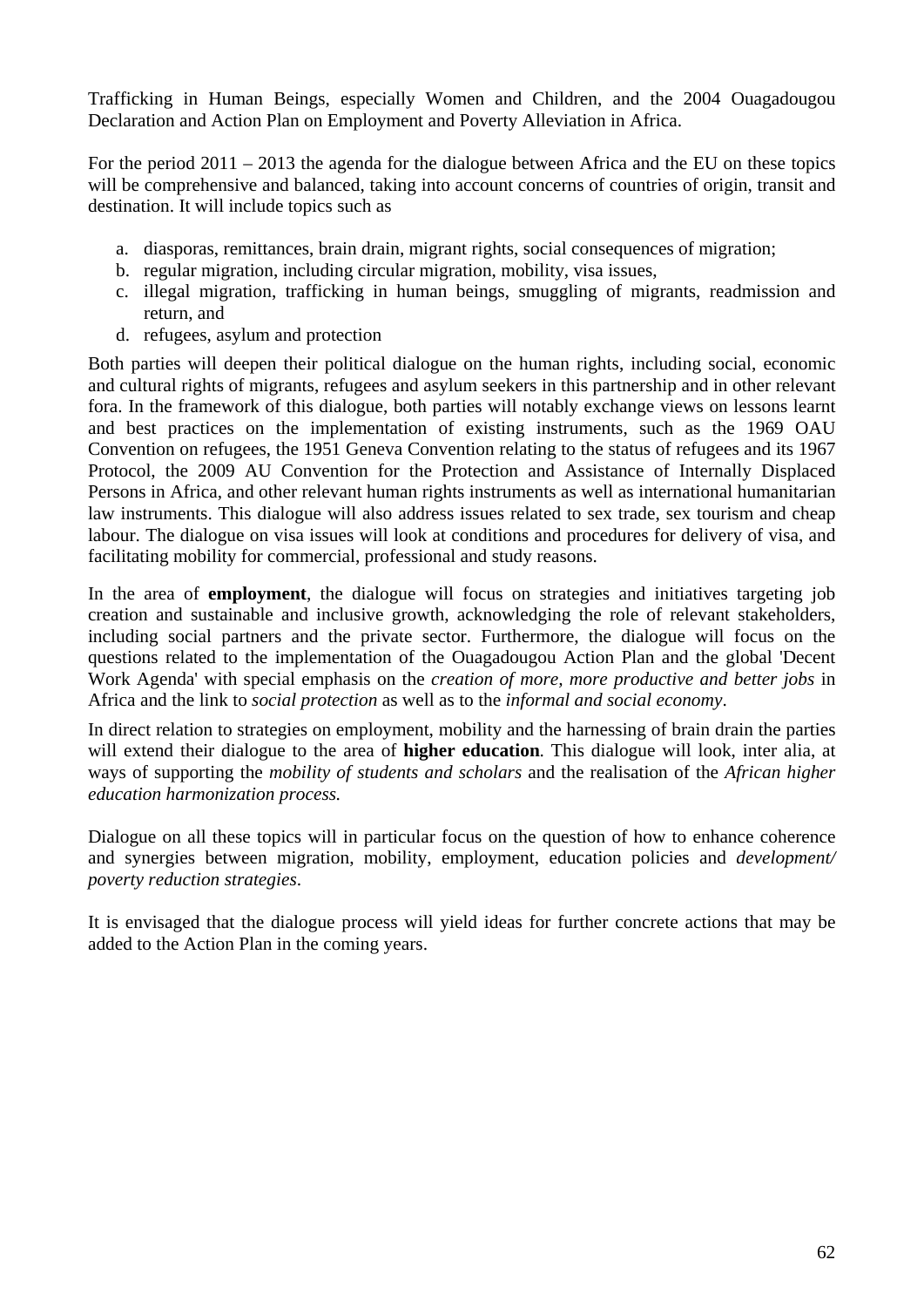Trafficking in Human Beings, especially Women and Children, and the 2004 Ouagadougou Declaration and Action Plan on Employment and Poverty Alleviation in Africa.

For the period 2011 – 2013 the agenda for the dialogue between Africa and the EU on these topics will be comprehensive and balanced, taking into account concerns of countries of origin, transit and destination. It will include topics such as

- a. diasporas, remittances, brain drain, migrant rights, social consequences of migration;
- b. regular migration, including circular migration, mobility, visa issues,
- c. illegal migration, trafficking in human beings, smuggling of migrants, readmission and return, and
- d. refugees, asylum and protection

Both parties will deepen their political dialogue on the human rights, including social, economic and cultural rights of migrants, refugees and asylum seekers in this partnership and in other relevant fora. In the framework of this dialogue, both parties will notably exchange views on lessons learnt and best practices on the implementation of existing instruments, such as the 1969 OAU Convention on refugees, the 1951 Geneva Convention relating to the status of refugees and its 1967 Protocol, the 2009 AU Convention for the Protection and Assistance of Internally Displaced Persons in Africa, and other relevant human rights instruments as well as international humanitarian law instruments. This dialogue will also address issues related to sex trade, sex tourism and cheap labour. The dialogue on visa issues will look at conditions and procedures for delivery of visa, and facilitating mobility for commercial, professional and study reasons.

In the area of **employment**, the dialogue will focus on strategies and initiatives targeting job creation and sustainable and inclusive growth, acknowledging the role of relevant stakeholders, including social partners and the private sector. Furthermore, the dialogue will focus on the questions related to the implementation of the Ouagadougou Action Plan and the global 'Decent Work Agenda' with special emphasis on the *creation of more, more productive and better jobs* in Africa and the link to *social protection* as well as to the *informal and social economy*.

In direct relation to strategies on employment, mobility and the harnessing of brain drain the parties will extend their dialogue to the area of **higher education**. This dialogue will look, inter alia, at ways of supporting the *mobility of students and scholars* and the realisation of the *African higher education harmonization process.* 

Dialogue on all these topics will in particular focus on the question of how to enhance coherence and synergies between migration, mobility, employment, education policies and *development/ poverty reduction strategies*.

It is envisaged that the dialogue process will yield ideas for further concrete actions that may be added to the Action Plan in the coming years.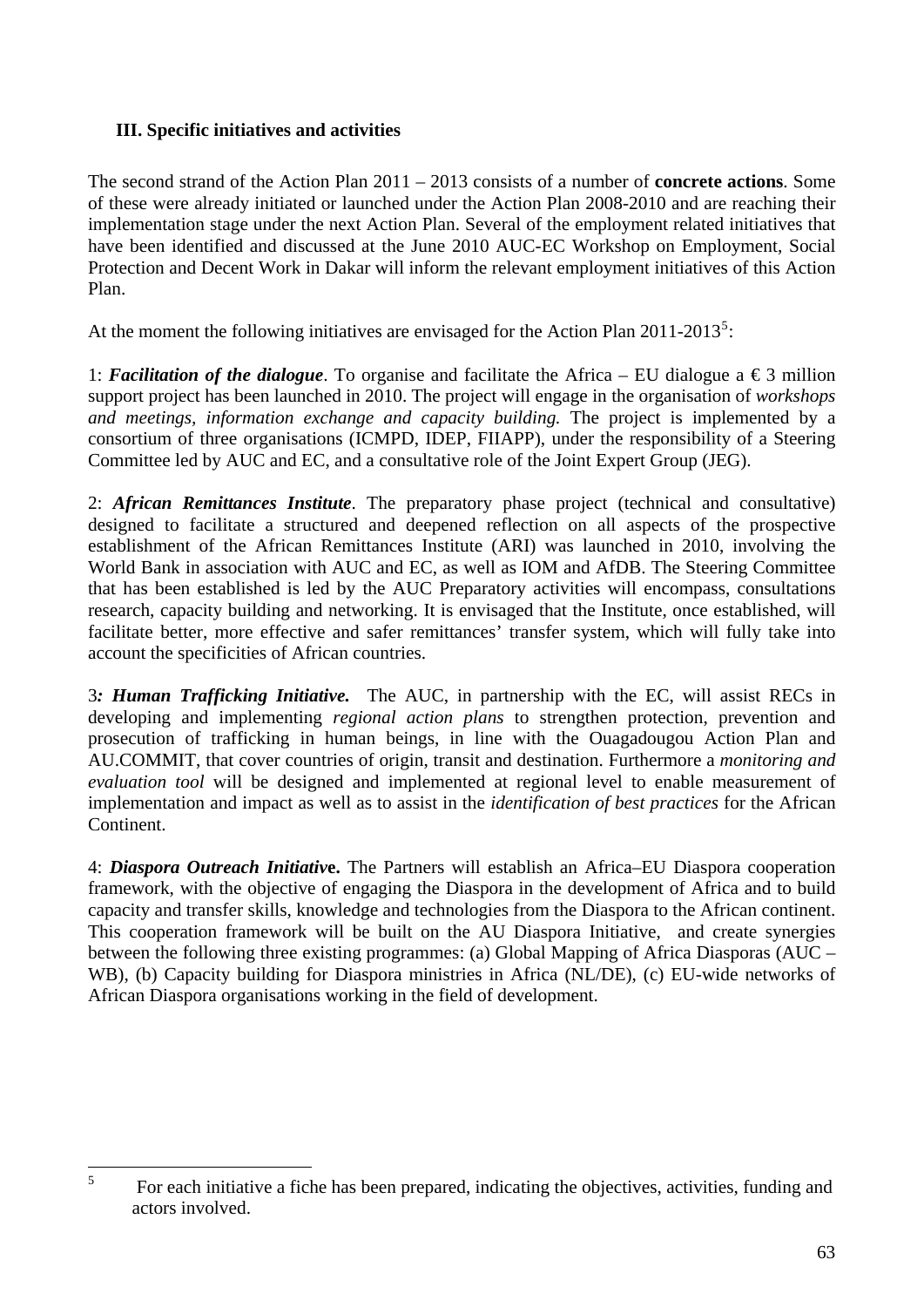# **III. Specific initiatives and activities**

The second strand of the Action Plan 2011 – 2013 consists of a number of **concrete actions**. Some of these were already initiated or launched under the Action Plan 2008-2010 and are reaching their implementation stage under the next Action Plan. Several of the employment related initiatives that have been identified and discussed at the June 2010 AUC-EC Workshop on Employment, Social Protection and Decent Work in Dakar will inform the relevant employment initiatives of this Action Plan.

At the moment the following initiatives are envisaged for the Action Plan  $2011-2013^5$  $2011-2013^5$ :

1: *Facilitation of the dialogue*. To organise and facilitate the Africa – EU dialogue a  $\epsilon$ 3 million support project has been launched in 2010. The project will engage in the organisation of *workshops and meetings, information exchange and capacity building.* The project is implemented by a consortium of three organisations (ICMPD, IDEP, FIIAPP), under the responsibility of a Steering Committee led by AUC and EC, and a consultative role of the Joint Expert Group (JEG).

2: *African Remittances Institute*. The preparatory phase project (technical and consultative) designed to facilitate a structured and deepened reflection on all aspects of the prospective establishment of the African Remittances Institute (ARI) was launched in 2010, involving the World Bank in association with AUC and EC, as well as IOM and AfDB. The Steering Committee that has been established is led by the AUC Preparatory activities will encompass, consultations research, capacity building and networking. It is envisaged that the Institute, once established, will facilitate better, more effective and safer remittances' transfer system, which will fully take into account the specificities of African countries.

3*: Human Trafficking Initiative.* The AUC, in partnership with the EC, will assist RECs in developing and implementing *regional action plans* to strengthen protection, prevention and prosecution of trafficking in human beings, in line with the Ouagadougou Action Plan and AU.COMMIT, that cover countries of origin, transit and destination. Furthermore a *monitoring and evaluation tool* will be designed and implemented at regional level to enable measurement of implementation and impact as well as to assist in the *identification of best practices* for the African Continent.

4: *Diaspora Outreach Initiativ***e.** The Partners will establish an Africa–EU Diaspora cooperation framework, with the objective of engaging the Diaspora in the development of Africa and to build capacity and transfer skills, knowledge and technologies from the Diaspora to the African continent. This cooperation framework will be built on the AU Diaspora Initiative, and create synergies between the following three existing programmes: (a) Global Mapping of Africa Diasporas (AUC – WB), (b) Capacity building for Diaspora ministries in Africa (NL/DE), (c) EU-wide networks of African Diaspora organisations working in the field of development.

<span id="page-62-0"></span> 5 For each initiative a fiche has been prepared, indicating the objectives, activities, funding and actors involved.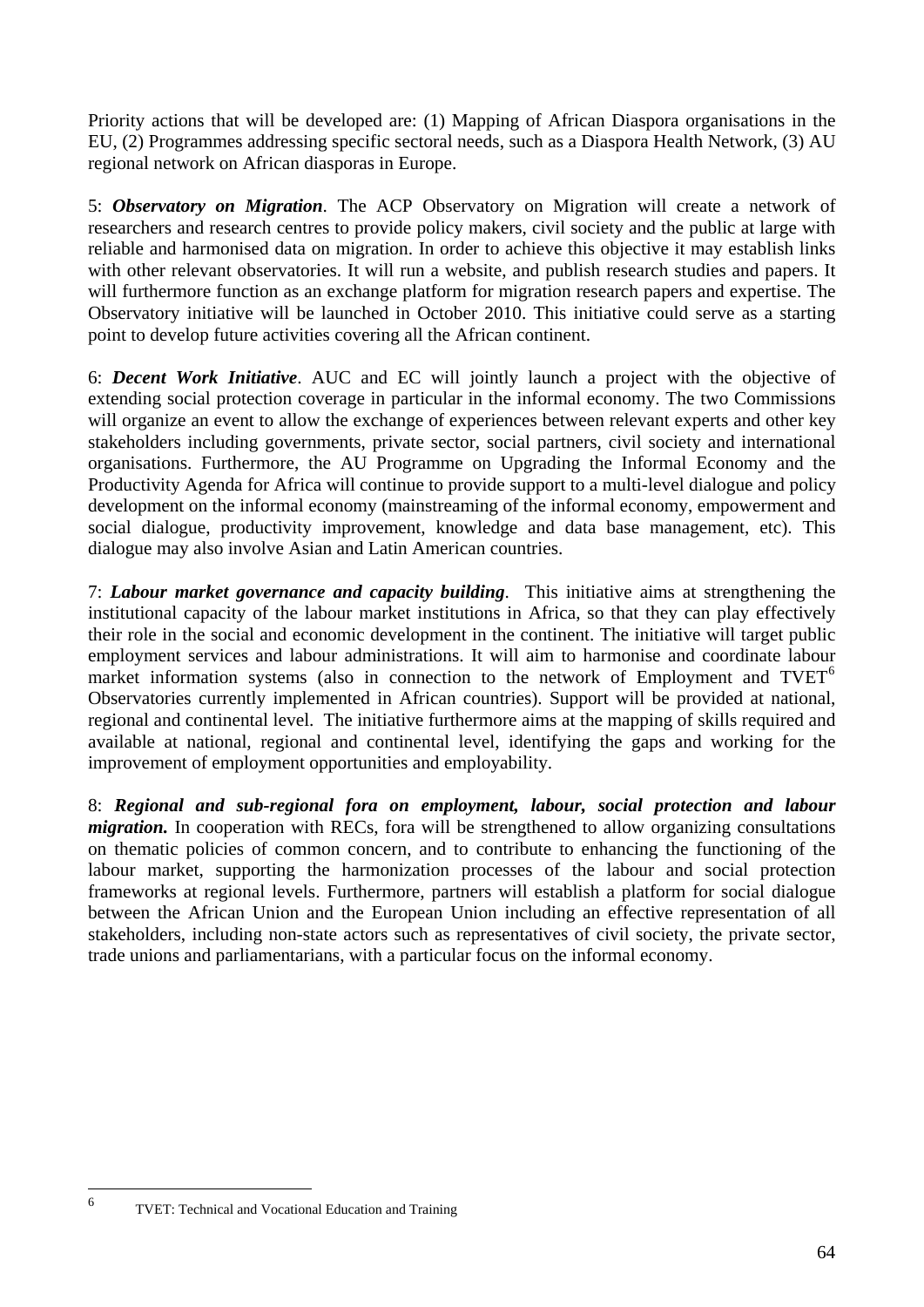Priority actions that will be developed are: (1) Mapping of African Diaspora organisations in the EU, (2) Programmes addressing specific sectoral needs, such as a Diaspora Health Network, (3) AU regional network on African diasporas in Europe.

5: *Observatory on Migration*. The ACP Observatory on Migration will create a network of researchers and research centres to provide policy makers, civil society and the public at large with reliable and harmonised data on migration. In order to achieve this objective it may establish links with other relevant observatories. It will run a website, and publish research studies and papers. It will furthermore function as an exchange platform for migration research papers and expertise. The Observatory initiative will be launched in October 2010. This initiative could serve as a starting point to develop future activities covering all the African continent.

6: *Decent Work Initiative*. AUC and EC will jointly launch a project with the objective of extending social protection coverage in particular in the informal economy. The two Commissions will organize an event to allow the exchange of experiences between relevant experts and other key stakeholders including governments, private sector, social partners, civil society and international organisations. Furthermore, the AU Programme on Upgrading the Informal Economy and the Productivity Agenda for Africa will continue to provide support to a multi-level dialogue and policy development on the informal economy (mainstreaming of the informal economy, empowerment and social dialogue, productivity improvement, knowledge and data base management, etc). This dialogue may also involve Asian and Latin American countries.

7: *Labour market governance and capacity building*. This initiative aims at strengthening the institutional capacity of the labour market institutions in Africa, so that they can play effectively their role in the social and economic development in the continent. The initiative will target public employment services and labour administrations. It will aim to harmonise and coordinate labour market information systems (also in connection to the network of Employment and  $TVET<sup>6</sup>$  $TVET<sup>6</sup>$  $TVET<sup>6</sup>$ Observatories currently implemented in African countries). Support will be provided at national, regional and continental level. The initiative furthermore aims at the mapping of skills required and available at national, regional and continental level, identifying the gaps and working for the improvement of employment opportunities and employability.

8: *Regional and sub-regional fora on employment, labour, social protection and labour migration*. In cooperation with RECs, fora will be strengthened to allow organizing consultations on thematic policies of common concern, and to contribute to enhancing the functioning of the labour market, supporting the harmonization processes of the labour and social protection frameworks at regional levels. Furthermore, partners will establish a platform for social dialogue between the African Union and the European Union including an effective representation of all stakeholders, including non-state actors such as representatives of civil society, the private sector, trade unions and parliamentarians, with a particular focus on the informal economy.

<span id="page-63-0"></span> 6

TVET: Technical and Vocational Education and Training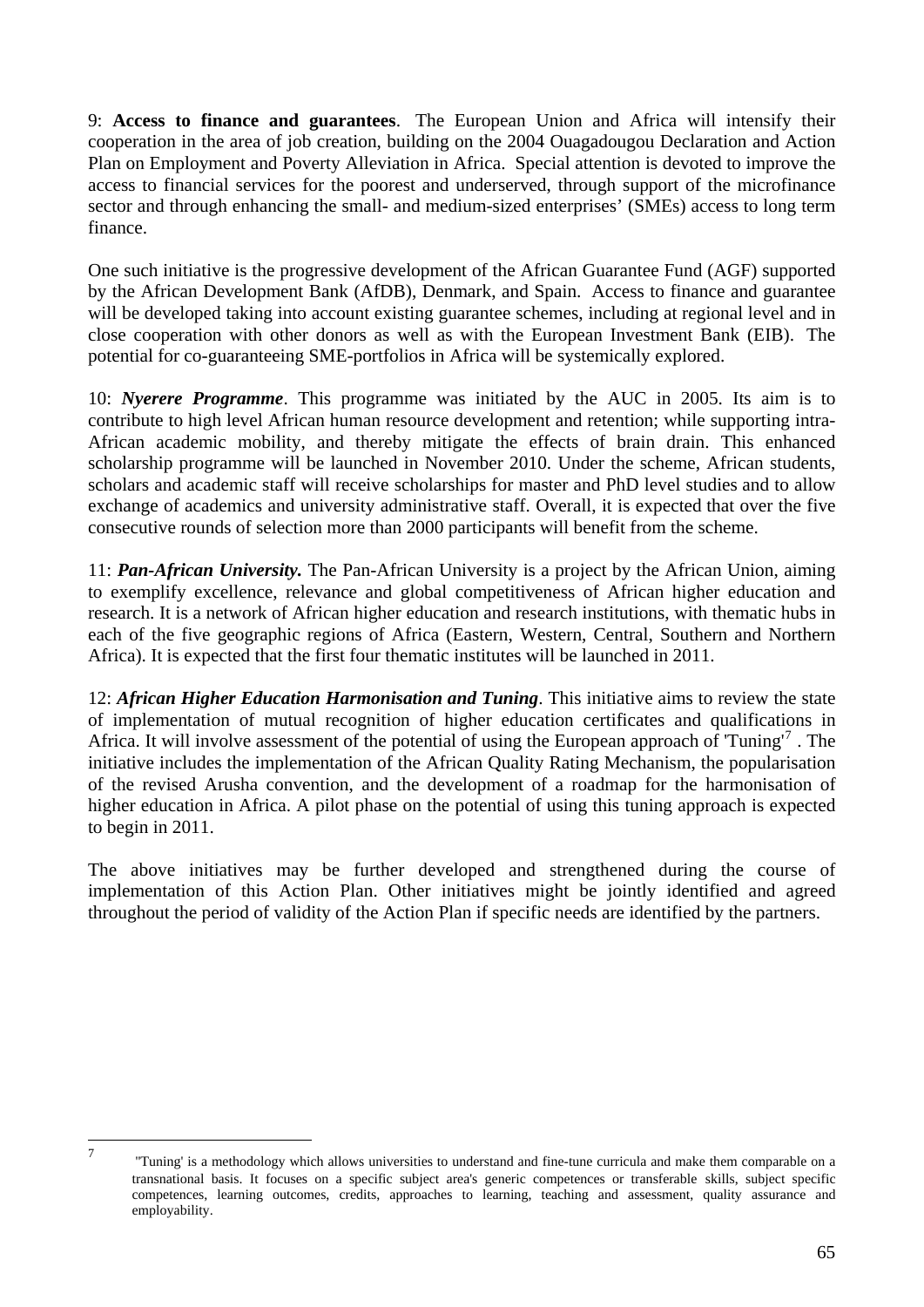9: **Access to finance and guarantees**. The European Union and Africa will intensify their cooperation in the area of job creation, building on the 2004 Ouagadougou Declaration and Action Plan on Employment and Poverty Alleviation in Africa. Special attention is devoted to improve the access to financial services for the poorest and underserved, through support of the microfinance sector and through enhancing the small- and medium-sized enterprises' (SMEs) access to long term finance.

One such initiative is the progressive development of the African Guarantee Fund (AGF) supported by the African Development Bank (AfDB), Denmark, and Spain. Access to finance and guarantee will be developed taking into account existing guarantee schemes, including at regional level and in close cooperation with other donors as well as with the European Investment Bank (EIB). The potential for co-guaranteeing SME-portfolios in Africa will be systemically explored.

10: *Nyerere Programme*. This programme was initiated by the AUC in 2005. Its aim is to contribute to high level African human resource development and retention; while supporting intra-African academic mobility, and thereby mitigate the effects of brain drain. This enhanced scholarship programme will be launched in November 2010. Under the scheme, African students, scholars and academic staff will receive scholarships for master and PhD level studies and to allow exchange of academics and university administrative staff. Overall, it is expected that over the five consecutive rounds of selection more than 2000 participants will benefit from the scheme.

11: *Pan-African University.* The Pan-African University is a project by the African Union, aiming to exemplify excellence, relevance and global competitiveness of African higher education and research. It is a network of African higher education and research institutions, with thematic hubs in each of the five geographic regions of Africa (Eastern, Western, Central, Southern and Northern Africa). It is expected that the first four thematic institutes will be launched in 2011.

12: *African Higher Education Harmonisation and Tuning*. This initiative aims to review the state of implementation of mutual recognition of higher education certificates and qualifications in Africa. It will involve assessment of the potential of using the European approach of 'Tuning'<sup>[7](#page-64-0)</sup>. The initiative includes the implementation of the African Quality Rating Mechanism, the popularisation of the revised Arusha convention, and the development of a roadmap for the harmonisation of higher education in Africa. A pilot phase on the potential of using this tuning approach is expected to begin in 2011.

The above initiatives may be further developed and strengthened during the course of implementation of this Action Plan. Other initiatives might be jointly identified and agreed throughout the period of validity of the Action Plan if specific needs are identified by the partners.

<span id="page-64-0"></span><sup>—&</sup>lt;br>7

 <sup>&#</sup>x27;'Tuning' is a methodology which allows universities to understand and fine-tune curricula and make them comparable on a transnational basis. It focuses on a specific subject area's generic competences or transferable skills, subject specific competences, learning outcomes, credits, approaches to learning, teaching and assessment, quality assurance and employability.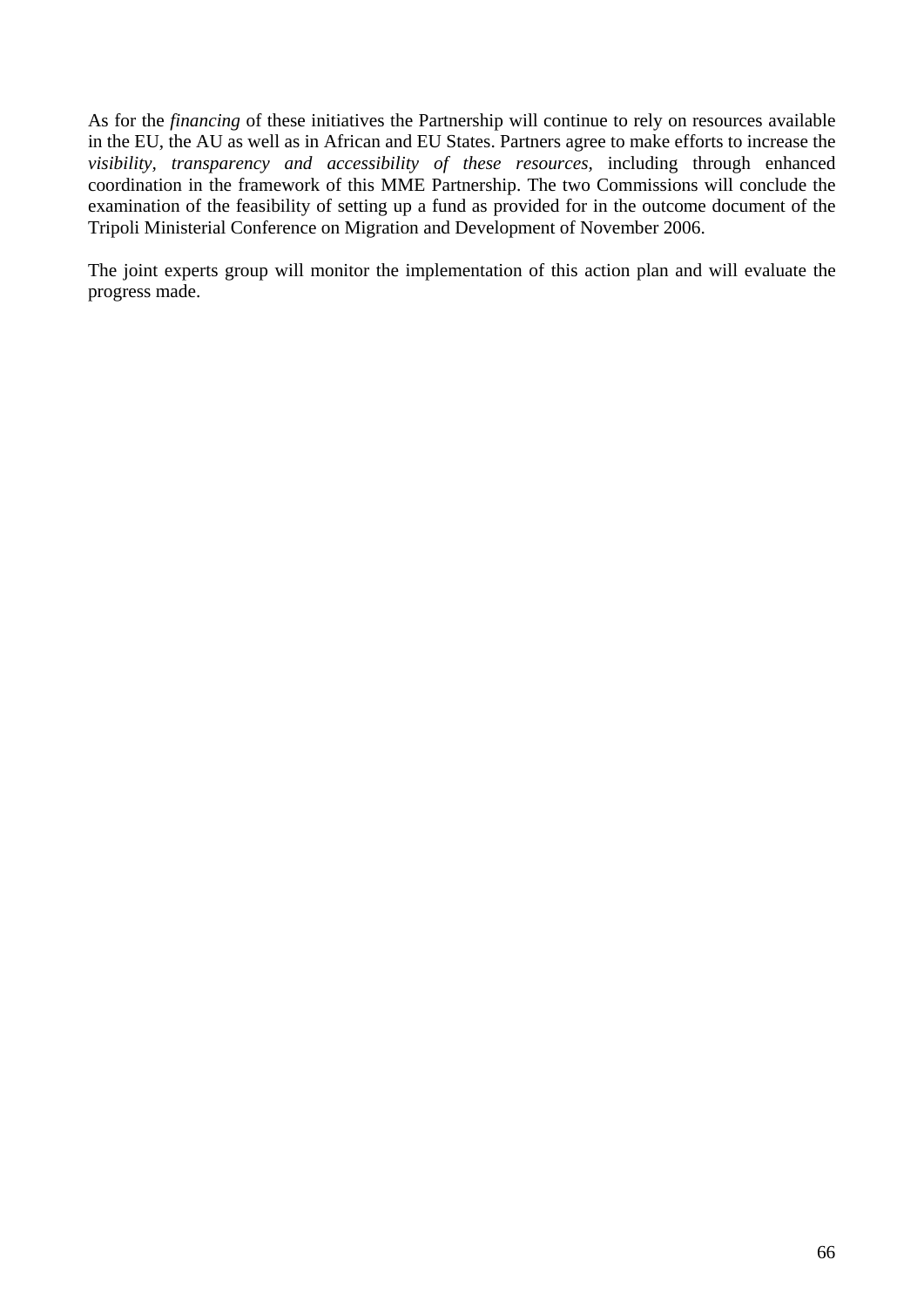As for the *financing* of these initiatives the Partnership will continue to rely on resources available in the EU, the AU as well as in African and EU States. Partners agree to make efforts to increase the *visibility, transparency and accessibility of these resources,* including through enhanced coordination in the framework of this MME Partnership. The two Commissions will conclude the examination of the feasibility of setting up a fund as provided for in the outcome document of the Tripoli Ministerial Conference on Migration and Development of November 2006.

The joint experts group will monitor the implementation of this action plan and will evaluate the progress made.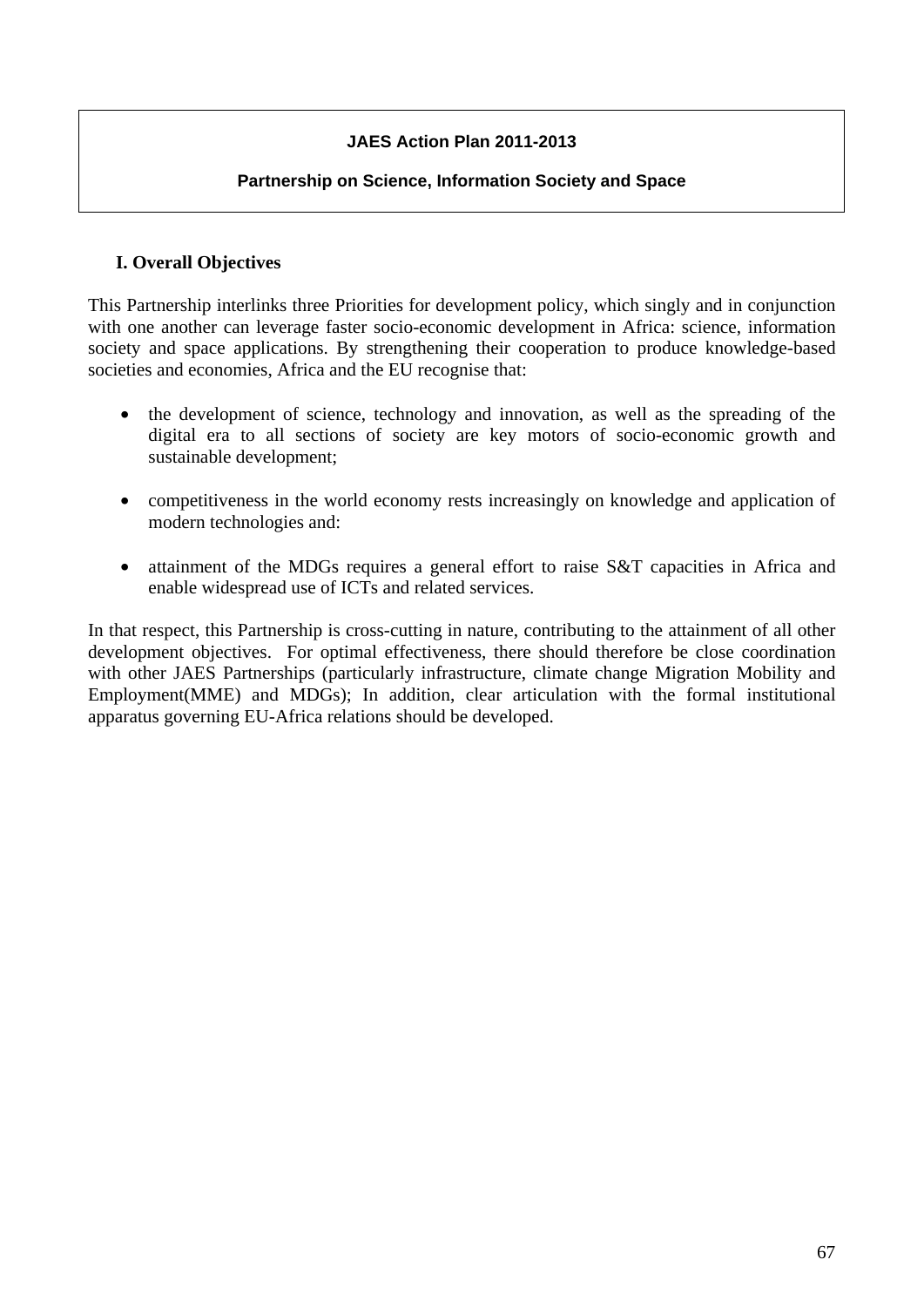# **JAES Action Plan 2011-2013**

#### **Partnership on Science, Information Society and Space**

# **I. Overall Objectives**

This Partnership interlinks three Priorities for development policy, which singly and in conjunction with one another can leverage faster socio-economic development in Africa: science, information society and space applications. By strengthening their cooperation to produce knowledge-based societies and economies, Africa and the EU recognise that:

- the development of science, technology and innovation, as well as the spreading of the digital era to all sections of society are key motors of socio-economic growth and sustainable development;
- competitiveness in the world economy rests increasingly on knowledge and application of modern technologies and:
- attainment of the MDGs requires a general effort to raise S&T capacities in Africa and enable widespread use of ICTs and related services.

In that respect, this Partnership is cross-cutting in nature, contributing to the attainment of all other development objectives. For optimal effectiveness, there should therefore be close coordination with other JAES Partnerships (particularly infrastructure, climate change Migration Mobility and Employment(MME) and MDGs); In addition, clear articulation with the formal institutional apparatus governing EU-Africa relations should be developed.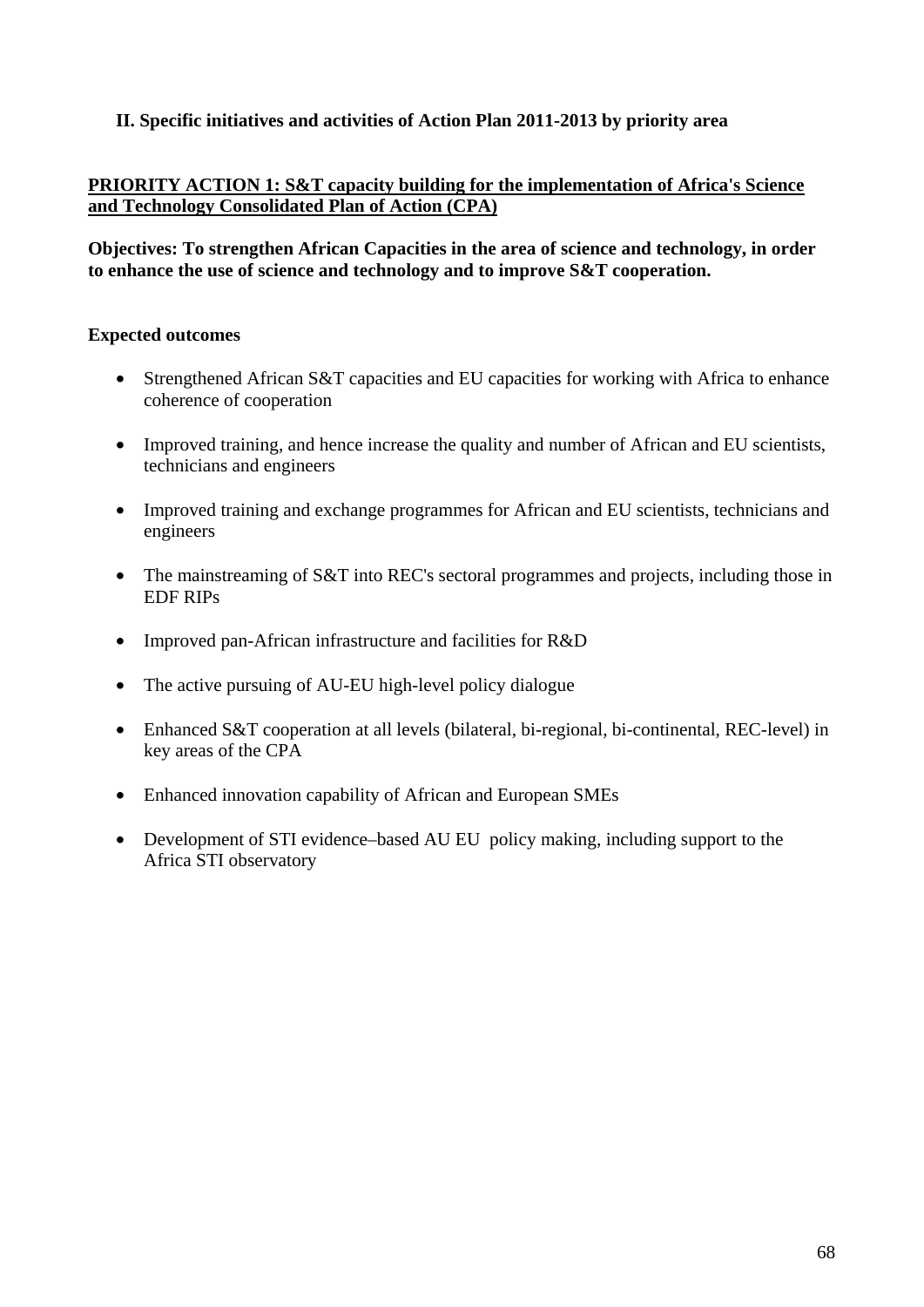# **II. Specific initiatives and activities of Action Plan 2011-2013 by priority area**

# **PRIORITY ACTION 1: S&T capacity building for the implementation of Africa's Science and Technology Consolidated Plan of Action (CPA)**

**Objectives: To strengthen African Capacities in the area of science and technology, in order to enhance the use of science and technology and to improve S&T cooperation.** 

#### **Expected outcomes**

- Strengthened African S&T capacities and EU capacities for working with Africa to enhance coherence of cooperation
- Improved training, and hence increase the quality and number of African and EU scientists, technicians and engineers
- Improved training and exchange programmes for African and EU scientists, technicians and engineers
- The mainstreaming of S&T into REC's sectoral programmes and projects, including those in EDF RIPs
- Improved pan-African infrastructure and facilities for R&D
- The active pursuing of AU-EU high-level policy dialogue
- Enhanced S&T cooperation at all levels (bilateral, bi-regional, bi-continental, REC-level) in key areas of the CPA
- Enhanced innovation capability of African and European SMEs
- Development of STI evidence–based AU EU policy making, including support to the Africa STI observatory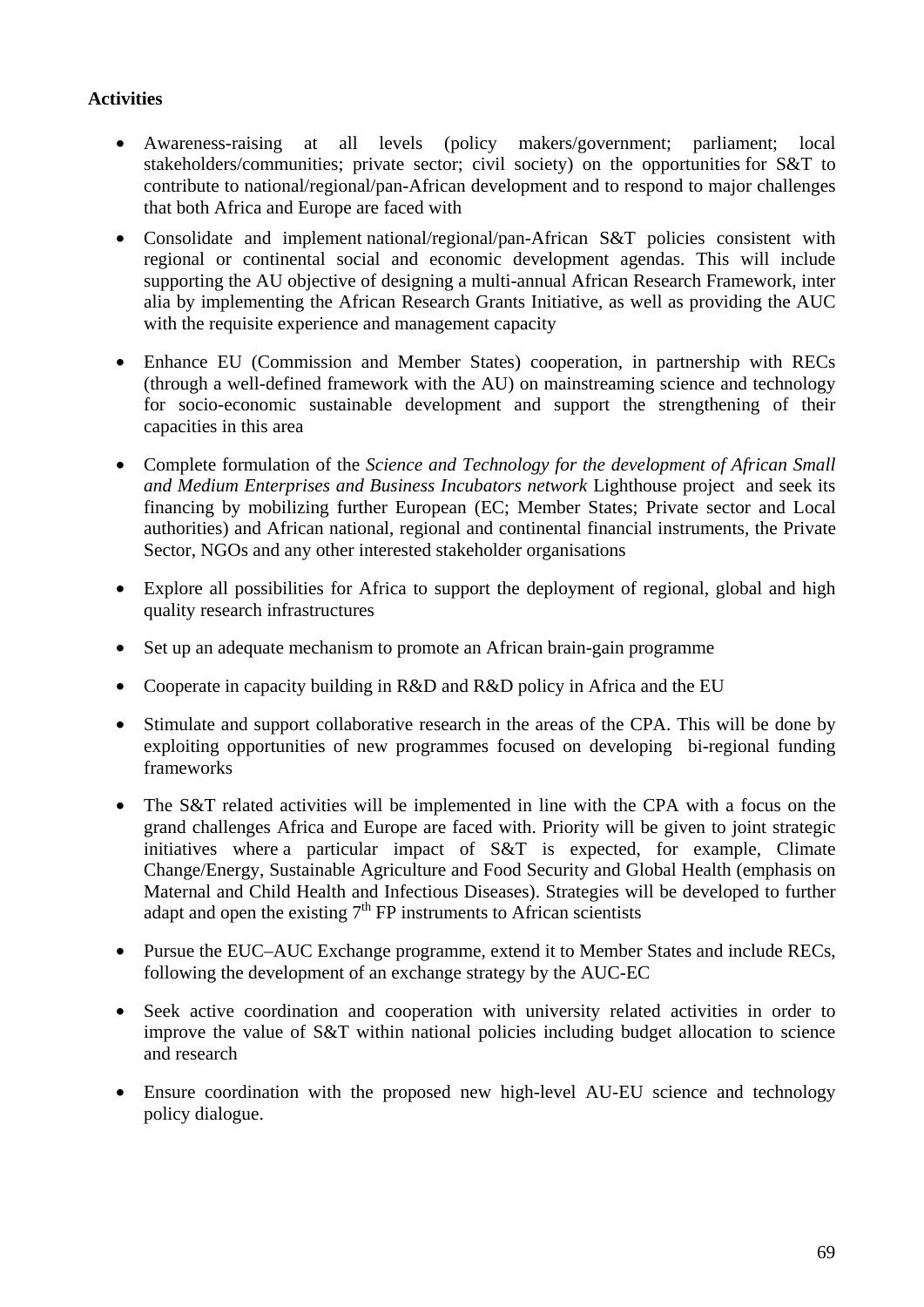- Awareness-raising at all levels (policy makers/government; parliament; local stakeholders/communities; private sector; civil society) on the opportunities for S&T to contribute to national/regional/pan-African development and to respond to major challenges that both Africa and Europe are faced with
- Consolidate and implement national/regional/pan-African S&T policies consistent with regional or continental social and economic development agendas. This will include supporting the AU objective of designing a multi-annual African Research Framework, inter alia by implementing the African Research Grants Initiative, as well as providing the AUC with the requisite experience and management capacity
- Enhance EU (Commission and Member States) cooperation, in partnership with RECs (through a well-defined framework with the AU) on mainstreaming science and technology for socio-economic sustainable development and support the strengthening of their capacities in this area
- Complete formulation of the *Science and Technology for the development of African Small and Medium Enterprises and Business Incubators network* Lighthouse project and seek its financing by mobilizing further European (EC; Member States; Private sector and Local authorities) and African national, regional and continental financial instruments, the Private Sector, NGOs and any other interested stakeholder organisations
- Explore all possibilities for Africa to support the deployment of regional, global and high quality research infrastructures
- Set up an adequate mechanism to promote an African brain-gain programme
- Cooperate in capacity building in R&D and R&D policy in Africa and the EU
- Stimulate and support collaborative research in the areas of the CPA. This will be done by exploiting opportunities of new programmes focused on developing bi-regional funding frameworks
- The S&T related activities will be implemented in line with the CPA with a focus on the grand challenges Africa and Europe are faced with. Priority will be given to joint strategic initiatives where a particular impact of S&T is expected, for example, Climate Change/Energy, Sustainable Agriculture and Food Security and Global Health (emphasis on Maternal and Child Health and Infectious Diseases). Strategies will be developed to further adapt and open the existing  $7<sup>th</sup>$  FP instruments to African scientists
- Pursue the EUC–AUC Exchange programme, extend it to Member States and include RECs, following the development of an exchange strategy by the AUC-EC
- Seek active coordination and cooperation with university related activities in order to improve the value of S&T within national policies including budget allocation to science and research
- Ensure coordination with the proposed new high-level AU-EU science and technology policy dialogue.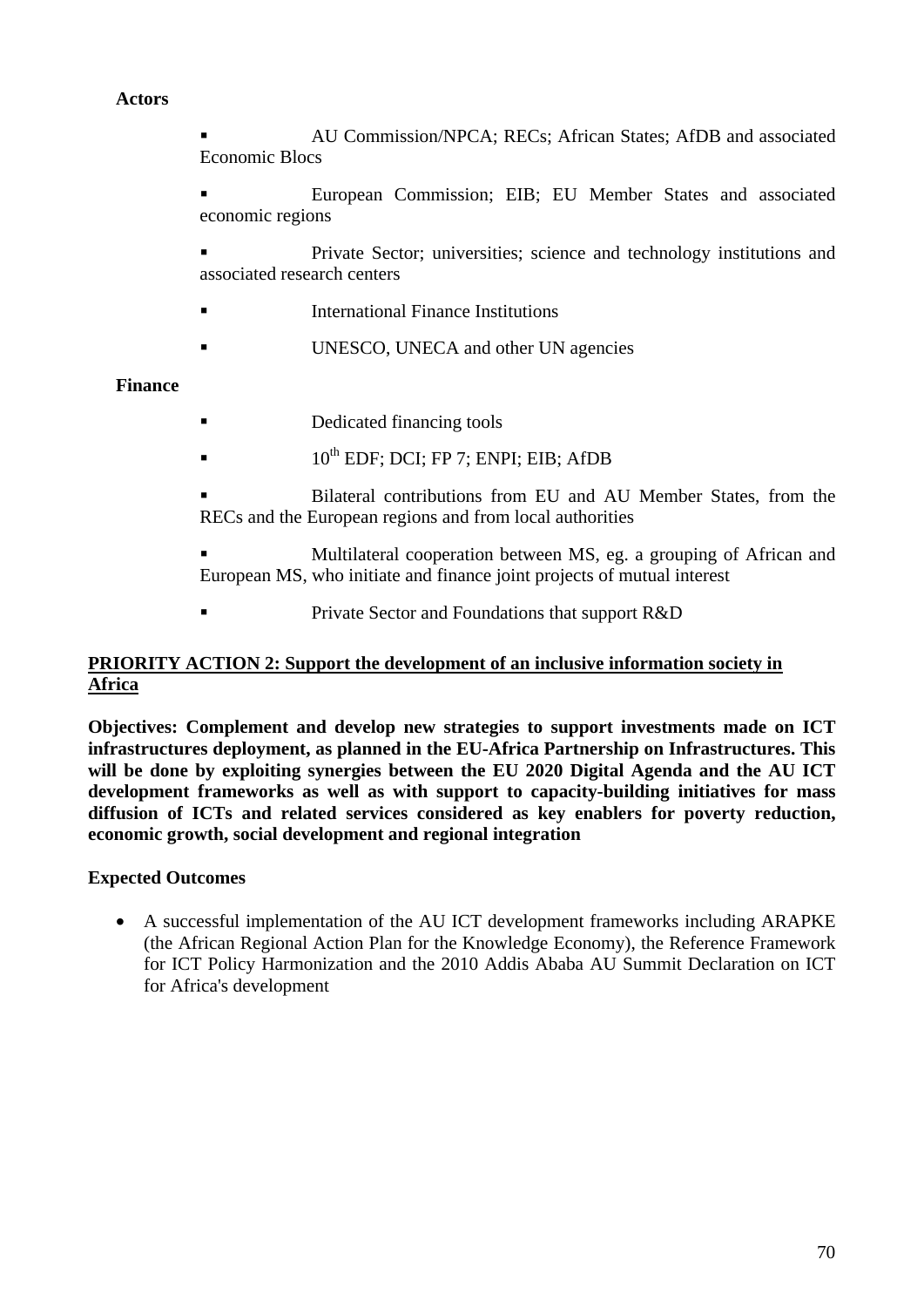#### **Actors**

 AU Commission/NPCA; RECs; African States; AfDB and associated Economic Blocs

 European Commission; EIB; EU Member States and associated economic regions

 Private Sector; universities; science and technology institutions and associated research centers

- International Finance Institutions
- UNESCO, UNECA and other UN agencies

#### **Finance**

- Dedicated financing tools
- $10^{th}$  EDF; DCI; FP 7; ENPI; EIB; AfDB

 Bilateral contributions from EU and AU Member States, from the RECs and the European regions and from local authorities

 Multilateral cooperation between MS, eg. a grouping of African and European MS, who initiate and finance joint projects of mutual interest

Private Sector and Foundations that support R&D

## **PRIORITY ACTION 2: Support the development of an inclusive information society in Africa**

**Objectives: Complement and develop new strategies to support investments made on ICT infrastructures deployment, as planned in the EU-Africa Partnership on Infrastructures. This will be done by exploiting synergies between the EU 2020 Digital Agenda and the AU ICT development frameworks as well as with support to capacity-building initiatives for mass diffusion of ICTs and related services considered as key enablers for poverty reduction, economic growth, social development and regional integration** 

#### **Expected Outcomes**

• A successful implementation of the AU ICT development frameworks including ARAPKE (the African Regional Action Plan for the Knowledge Economy), the Reference Framework for ICT Policy Harmonization and the 2010 Addis Ababa AU Summit Declaration on ICT for Africa's development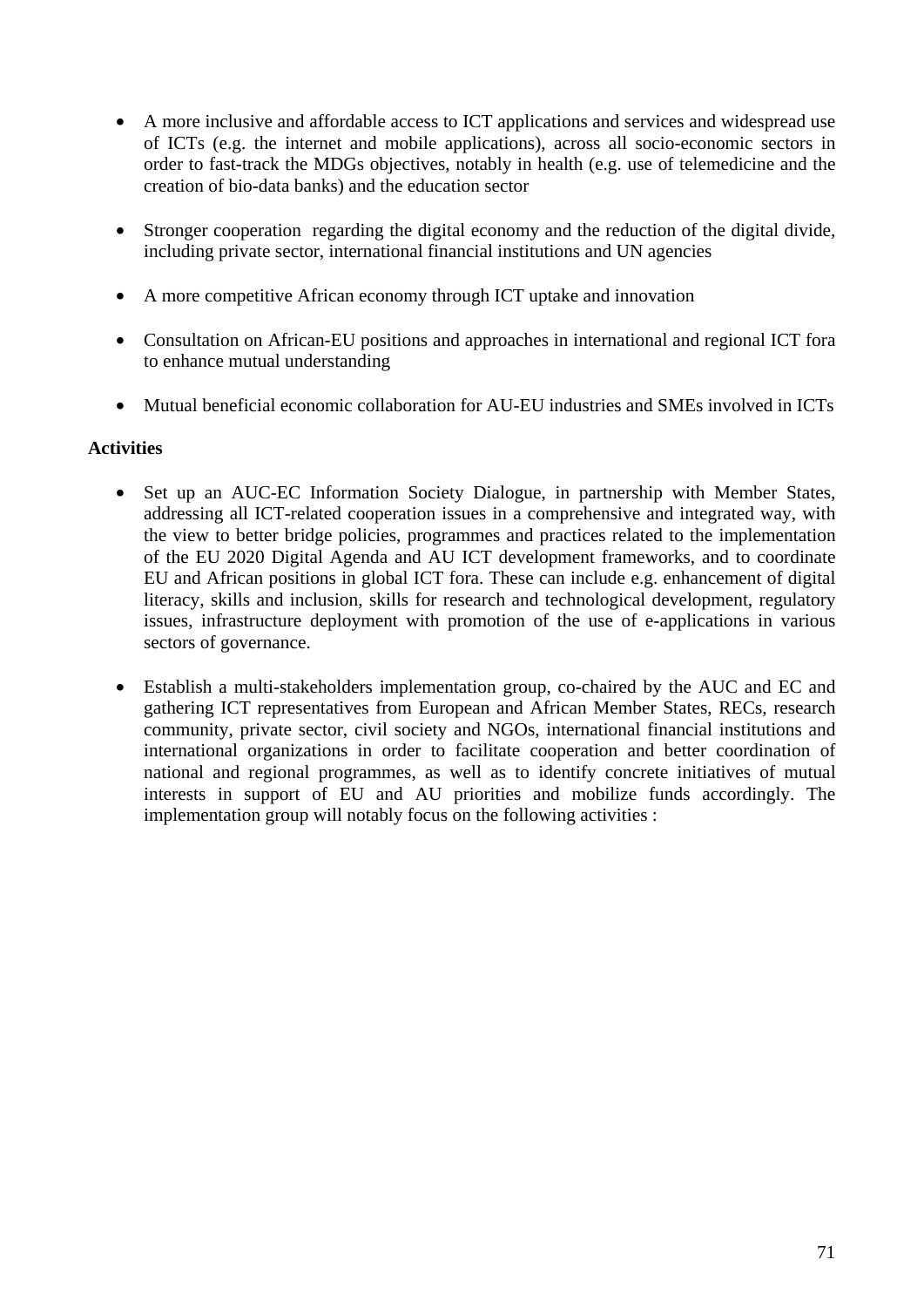- A more inclusive and affordable access to ICT applications and services and widespread use of ICTs (e.g. the internet and mobile applications), across all socio-economic sectors in order to fast-track the MDGs objectives, notably in health (e.g. use of telemedicine and the creation of bio-data banks) and the education sector
- Stronger cooperation regarding the digital economy and the reduction of the digital divide, including private sector, international financial institutions and UN agencies
- A more competitive African economy through ICT uptake and innovation
- Consultation on African-EU positions and approaches in international and regional ICT fora to enhance mutual understanding
- Mutual beneficial economic collaboration for AU-EU industries and SMEs involved in ICTs

- Set up an AUC-EC Information Society Dialogue, in partnership with Member States, addressing all ICT-related cooperation issues in a comprehensive and integrated way, with the view to better bridge policies, programmes and practices related to the implementation of the EU 2020 Digital Agenda and AU ICT development frameworks, and to coordinate EU and African positions in global ICT fora. These can include e.g. enhancement of digital literacy, skills and inclusion, skills for research and technological development, regulatory issues, infrastructure deployment with promotion of the use of e-applications in various sectors of governance.
- Establish a multi-stakeholders implementation group, co-chaired by the AUC and EC and gathering ICT representatives from European and African Member States, RECs, research community, private sector, civil society and NGOs, international financial institutions and international organizations in order to facilitate cooperation and better coordination of national and regional programmes, as well as to identify concrete initiatives of mutual interests in support of EU and AU priorities and mobilize funds accordingly. The implementation group will notably focus on the following activities :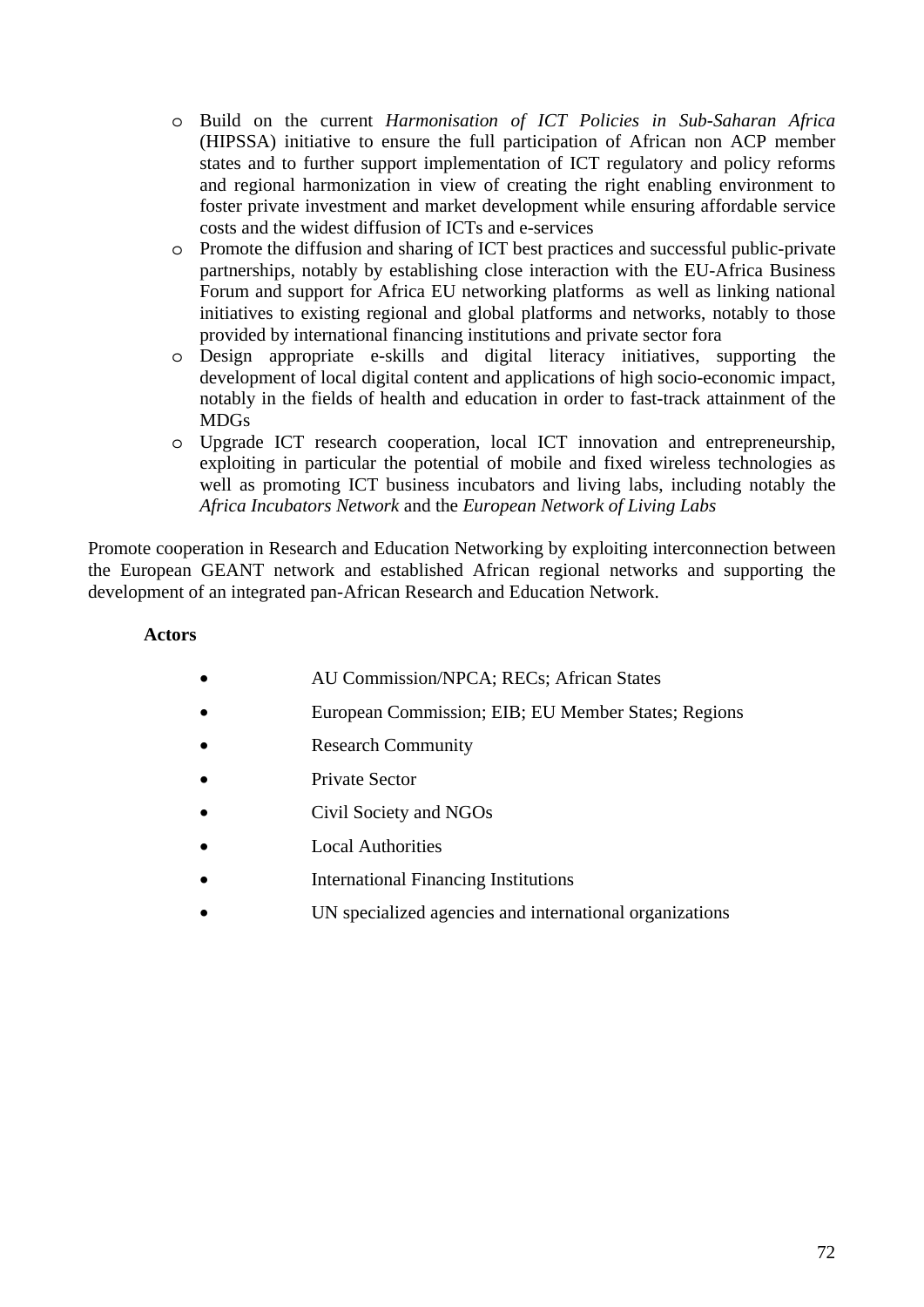- o Build on the current *Harmonisation of ICT Policies in Sub-Saharan Africa* (HIPSSA) initiative to ensure the full participation of African non ACP member states and to further support implementation of ICT regulatory and policy reforms and regional harmonization in view of creating the right enabling environment to foster private investment and market development while ensuring affordable service costs and the widest diffusion of ICTs and e-services
- o Promote the diffusion and sharing of ICT best practices and successful public-private partnerships, notably by establishing close interaction with the EU-Africa Business Forum and support for Africa EU networking platforms as well as linking national initiatives to existing regional and global platforms and networks, notably to those provided by international financing institutions and private sector fora
- o Design appropriate e-skills and digital literacy initiatives, supporting the development of local digital content and applications of high socio-economic impact, notably in the fields of health and education in order to fast-track attainment of the MDGs
- o Upgrade ICT research cooperation, local ICT innovation and entrepreneurship, exploiting in particular the potential of mobile and fixed wireless technologies as well as promoting ICT business incubators and living labs, including notably the *Africa Incubators Network* and the *European Network of Living Labs*

Promote cooperation in Research and Education Networking by exploiting interconnection between the European GEANT network and established African regional networks and supporting the development of an integrated pan-African Research and Education Network.

## **Actors**

- **AU Commission/NPCA: RECs: African States**
- European Commission; EIB; EU Member States; Regions
- Research Community
- Private Sector
- Civil Society and NGOs
- Local Authorities
- International Financing Institutions
- UN specialized agencies and international organizations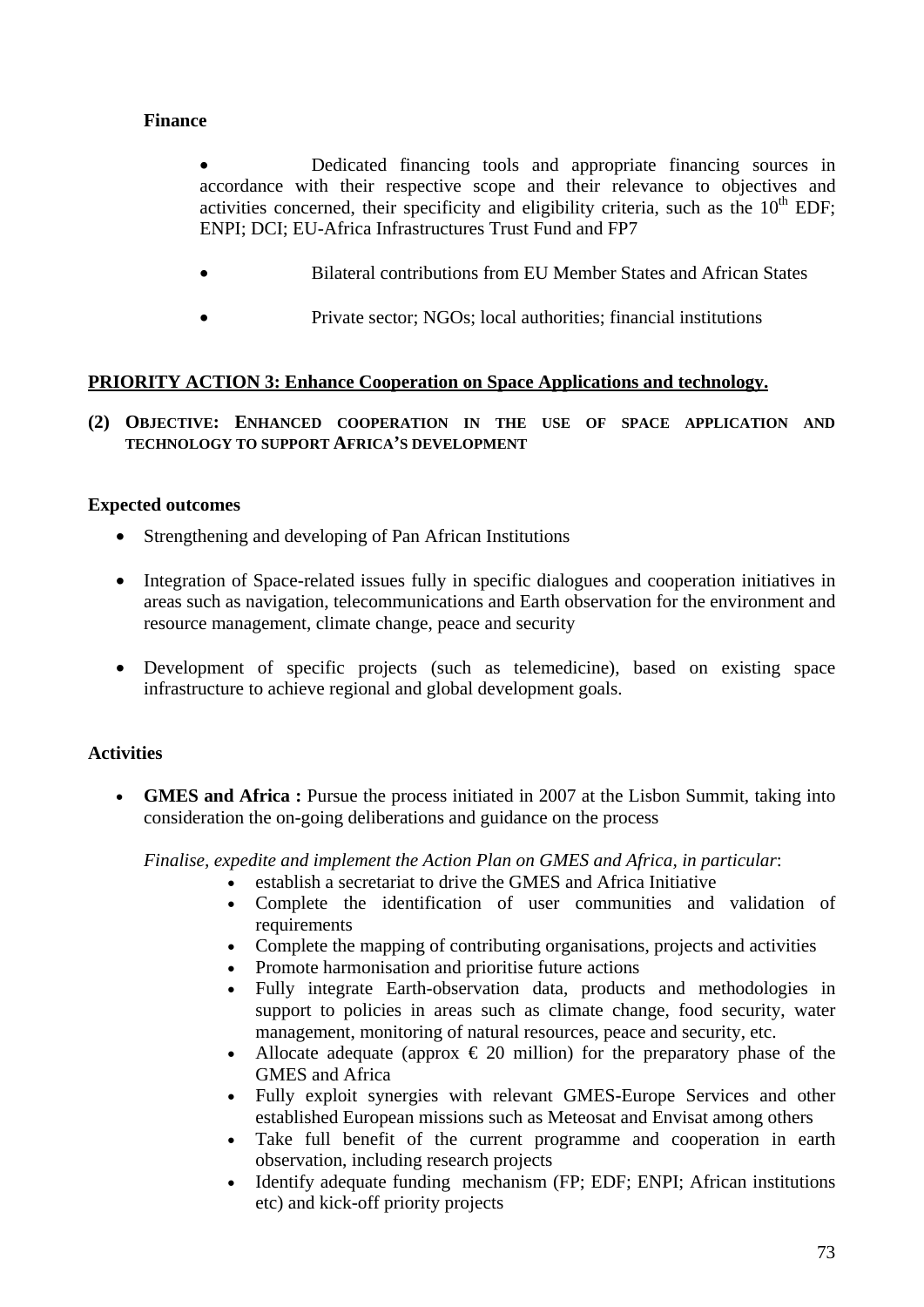# **Finance**

• Dedicated financing tools and appropriate financing sources in accordance with their respective scope and their relevance to objectives and activities concerned, their specificity and eligibility criteria, such as the  $10<sup>th</sup>$  EDF; ENPI; DCI; EU-Africa Infrastructures Trust Fund and FP7

- Bilateral contributions from EU Member States and African States
- Private sector: NGOs: local authorities: financial institutions

### **PRIORITY ACTION 3: Enhance Cooperation on Space Applications and technology.**

**(2) OBJECTIVE: ENHANCED COOPERATION IN THE USE OF SPACE APPLICATION AND TECHNOLOGY TO SUPPORT AFRICA'S DEVELOPMENT** 

#### **Expected outcomes**

- Strengthening and developing of Pan African Institutions
- Integration of Space-related issues fully in specific dialogues and cooperation initiatives in areas such as navigation, telecommunications and Earth observation for the environment and resource management, climate change, peace and security
- Development of specific projects (such as telemedicine), based on existing space infrastructure to achieve regional and global development goals.

### **Activities**

• **GMES and Africa :** Pursue the process initiated in 2007 at the Lisbon Summit, taking into consideration the on-going deliberations and guidance on the process

*Finalise, expedite and implement the Action Plan on GMES and Africa, in particular*:

- establish a secretariat to drive the GMES and Africa Initiative
- Complete the identification of user communities and validation of requirements
- Complete the mapping of contributing organisations, projects and activities
- Promote harmonisation and prioritise future actions
- Fully integrate Earth-observation data, products and methodologies in support to policies in areas such as climate change, food security, water management, monitoring of natural resources, peace and security, etc.
- Allocate adequate (approx  $\epsilon$  20 million) for the preparatory phase of the GMES and Africa
- Fully exploit synergies with relevant GMES-Europe Services and other established European missions such as Meteosat and Envisat among others
- Take full benefit of the current programme and cooperation in earth observation, including research projects
- Identify adequate funding mechanism (FP; EDF; ENPI; African institutions etc) and kick-off priority projects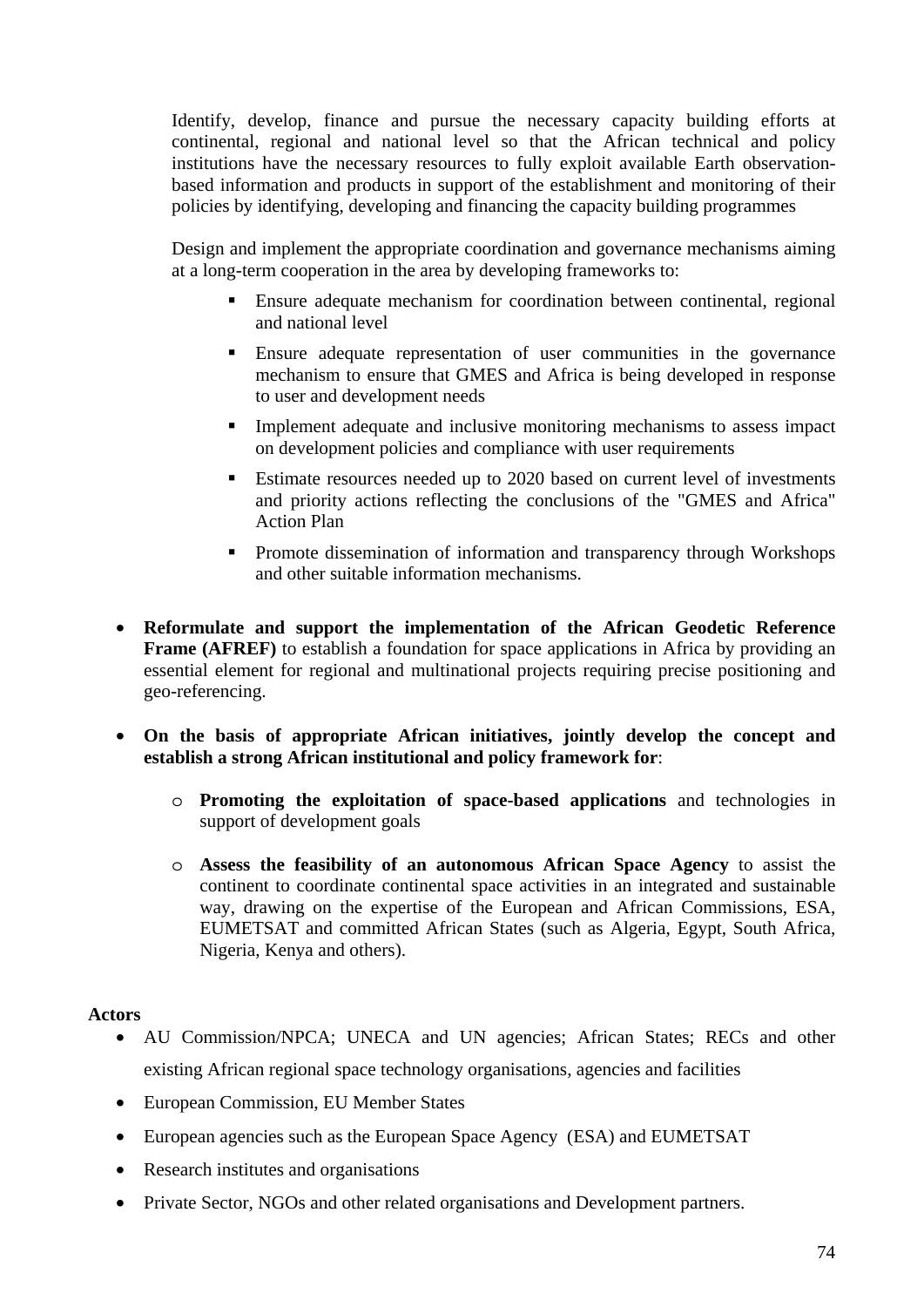Identify, develop, finance and pursue the necessary capacity building efforts at continental, regional and national level so that the African technical and policy institutions have the necessary resources to fully exploit available Earth observationbased information and products in support of the establishment and monitoring of their policies by identifying, developing and financing the capacity building programmes

Design and implement the appropriate coordination and governance mechanisms aiming at a long-term cooperation in the area by developing frameworks to:

- Ensure adequate mechanism for coordination between continental, regional and national level
- Ensure adequate representation of user communities in the governance mechanism to ensure that GMES and Africa is being developed in response to user and development needs
- **Implement adequate and inclusive monitoring mechanisms to assess impact** on development policies and compliance with user requirements
- Estimate resources needed up to 2020 based on current level of investments and priority actions reflecting the conclusions of the "GMES and Africa" Action Plan
- **Promote dissemination of information and transparency through Workshops** and other suitable information mechanisms.
- **Reformulate and support the implementation of the African Geodetic Reference Frame (AFREF)** to establish a foundation for space applications in Africa by providing an essential element for regional and multinational projects requiring precise positioning and geo-referencing.
- **On the basis of appropriate African initiatives, jointly develop the concept and establish a strong African institutional and policy framework for**:
	- o **Promoting the exploitation of space-based applications** and technologies in support of development goals
	- o **Assess the feasibility of an autonomous African Space Agency** to assist the continent to coordinate continental space activities in an integrated and sustainable way, drawing on the expertise of the European and African Commissions, ESA, EUMETSAT and committed African States (such as Algeria, Egypt, South Africa, Nigeria, Kenya and others).

### **Actors**

- AU Commission/NPCA; UNECA and UN agencies; African States; RECs and other existing African regional space technology organisations, agencies and facilities
- European Commission, EU Member States
- European agencies such as the European Space Agency (ESA) and EUMETSAT
- Research institutes and organisations
- Private Sector, NGOs and other related organisations and Development partners.